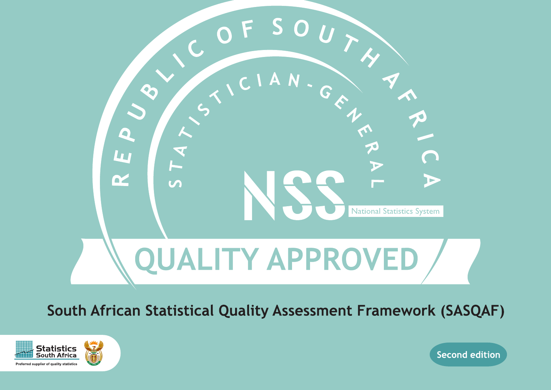

South African Statistical Quality Assessment Framework (SASQAF)



**Second edition**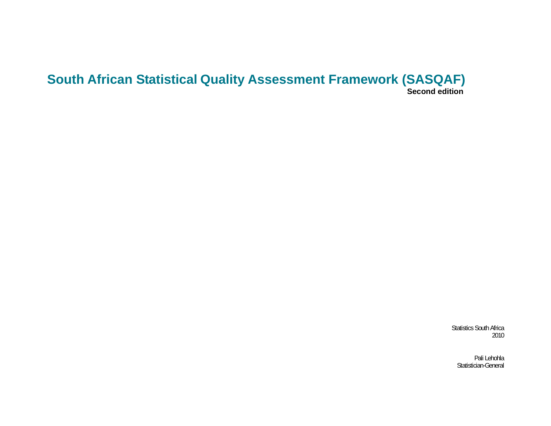# **South African Statistical Quality Assessment Framework (SASQAF) Second edition**

Statistics South Africa 2010

Pali Lehohla Statistician-General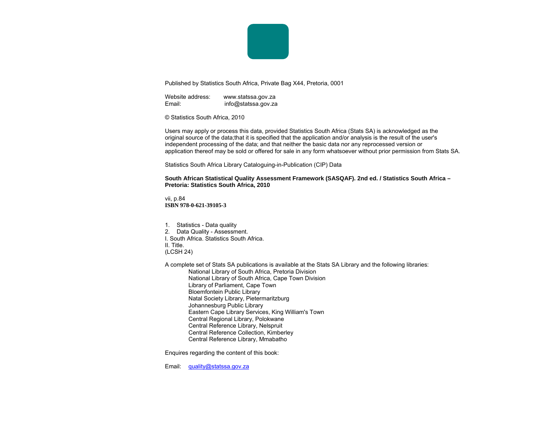

Published by Statistics South Africa, Private Bag X44, Pretoria, 0001

Website address: www.statssa.gov.za Email: info@statssa.gov.za

© Statistics South Africa, 2010

Users may apply or process this data, provided Statistics South Africa (Stats SA) is acknowledged as the original source of the data;that it is specified that the application and/or analysis is the result of the user's independent processing of the data; and that neither the basic data nor any reprocessed version or application thereof may be sold or offered for sale in any form whatsoever without prior permission from Stats SA.

Statistics South Africa Library Cataloguing-in-Publication (CIP) Data

**South African Statistical Quality Assessment Framework (SASQAF). 2nd ed. / Statistics South Africa – Pretoria: Statistics South Africa, 2010** 

vii, p.84 **ISBN 978-0-621-39105-3** 

1. Statistics - Data quality 2. Data Quality - Assessment. I. South Africa. Statistics South Africa. II. Title. (LCSH 24)

A complete set of Stats SA publications is available at the Stats SA Library and the following libraries:

National Library of South Africa, Pretoria Division National Library of South Africa, Cape Town Division Library of Parliament, Cape Town Bloemfontein Public Library Natal Society Library, Pietermaritzburg Johannesburg Public Library Eastern Cape Library Services, King William's Town Central Regional Library, Polokwane Central Reference Library, Nelspruit Central Reference Collection, Kimberley Central Reference Library, Mmabatho

Enquires regarding the content of this book:

Email: quality@statssa.gov.za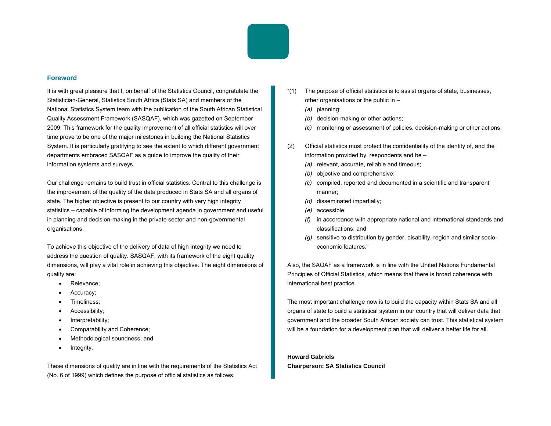

#### **Foreword**

It is with great pleasure that I, on behalf of the Statistics Council, congratulate the Statistician-General, Statistics South Africa (Stats SA) and members of the National Statistics System team with the publication of the South African Statistical Quality Assessment Framework (SASQAF), which was gazetted on September 2009. This framework for the quality improvement of all official statistics will over time prove to be one of the major milestones in building the National Statistics System. It is particularly gratifying to see the extent to which different government departments embraced SASQAF as a guide to improve the quality of their information systems and surveys.

Our challenge remains to build trust in official statistics. Central to this challenge is the improvement of the quality of the data produced in Stats SA and all organs of state. The higher objective is present to our country with very high integrity statistics – capable of informing the development agenda in government and useful in planning and decision-making in the private sector and non-governmental organisations.

To achieve this objective of the delivery of data of high integrity we need to address the question of quality. SASQAF, with its framework of the eight quality dimensions, will play a vital role in achieving this objective. The eight dimensions of quality are:

- Relevance;
- Accuracy;
- Timeliness;
- Accessibility;
- Interpretability;
- Comparability and Coherence;
- Methodological soundness; and
- Integrity.

These dimensions of quality are in line with the requirements of the Statistics Act (No. 6 of 1999) which defines the purpose of official statistics as follows:

- "(1) The purpose of official statistics is to assist organs of state, businesses, other organisations or the public in –
	- *(a)* planning;
	- *(b)* decision-making or other actions;
	- *(c)* monitoring or assessment of policies, decision-making or other actions.
- (2) Official statistics must protect the confidentiality of the identity of, and the information provided by, respondents and be –
	- *(a)* relevant, accurate, reliable and timeous;
	- *(b)* objective and comprehensive;
	- *(c)* compiled, reported and documented in a scientific and transparent manner;
	- *(d)* disseminated impartially;
	- *(e)* accessible;
	- *(f)* in accordance with appropriate national and international standards and classifications; and
	- *(g)* sensitive to distribution by gender, disability, region and similar socioeconomic features."

Also, the SAQAF as a framework is in line with the United Nations Fundamental Principles of Official Statistics, which means that there is broad coherence with international best practice.

The most important challenge now is to build the capacity within Stats SA and all organs of state to build a statistical system in our country that will deliver data that government and the broader South African society can trust. This statistical system will be a foundation for a development plan that will deliver a better life for all.

**Howard Gabriels Chairperson: SA Statistics Council**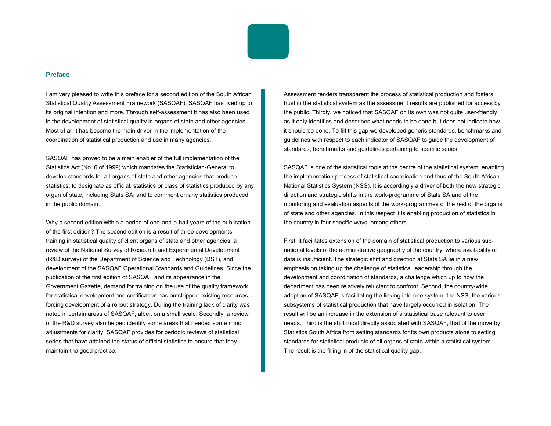

#### **Preface**

I am very pleased to write this preface for a second edition of the South African Statistical Quality Assessment Framework (SASQAF). SASQAF has lived up to its original intention and more. Through self-assessment it has also been used in the development of statistical quality in organs of state and other agencies. Most of all it has become the main driver in the implementation of the coordination of statistical production and use in many agencies.

SASQAF has proved to be a main enabler of the full implementation of the Statistics Act (No. 6 of 1999) which mandates the Statistician-General to develop standards for all organs of state and other agencies that produce statistics; to designate as official, statistics or class of statistics produced by any organ of state, including Stats SA; and to comment on any statistics produced in the public domain.

Why a second edition within a period of one-and-a-half years of the publication of the first edition? The second edition is a result of three developments – training in statistical quality of client organs of state and other agencies, a review of the National Survey of Research and Experimental Development (R&D survey) of the Department of Science and Technology (DST), and development of the SASQAF Operational Standards and Guidelines. Since the publication of the first edition of SASQAF and its appearance in the Government Gazette, demand for training on the use of the quality framework for statistical development and certification has outstripped existing resources, forcing development of a rollout strategy. During the training lack of clarity was noted in certain areas of SASQAF, albeit on a small scale. Secondly, a review of the R&D survey also helped identify some areas that needed some minor adjustments for clarity. SASQAF provides for periodic reviews of statistical series that have attained the status of official statistics to ensure that they maintain the good practice.

Assessment renders transparent the process of statistical production and fosters trust in the statistical system as the assessment results are published for access by the public. Thirdly, we noticed that SASQAF on its own was not quite user-friendly as it only identifies and describes what needs to be done but does not indicate how it should be done. To fill this gap we developed generic standards, benchmarks and guidelines with respect to each indicator of SASQAF to guide the development of standards, benchmarks and guidelines pertaining to specific series.

SASQAF is one of the statistical tools at the centre of the statistical system, enabling the implementation process of statistical coordination and thus of the South African National Statistics System (NSS). It is accordingly a driver of both the new strategic direction and strategic shifts in the work-programme of Stats SA and of the monitoring and evaluation aspects of the work-programmes of the rest of the organs of state and other agencies. In this respect it is enabling production of statistics in the country in four specific ways, among others.

First, it facilitates extension of the domain of statistical production to various subnational levels of the administrative geography of the country, where availability of data is insufficient. The strategic shift and direction at Stats SA lie in a new emphasis on taking up the challenge of statistical leadership through the development and coordination of standards, a challenge which up to now the department has been relatively reluctant to confront. Second, the country-wide adoption of SASQAF is facilitating the linking into one system, the NSS, the various subsystems of statistical production that have largely occurred in isolation. The result will be an increase in the extension of a statistical base relevant to user needs. Third is the shift most directly associated with SASQAF, that of the move by Statistics South Africa from setting standards for its own products alone to setting standards for statistical products of all organs of state within a statistical system. The result is the filling in of the statistical quality gap.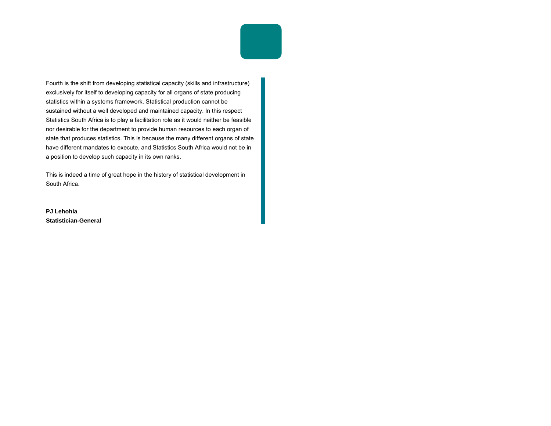Fourth is the shift from developing statistical capacity (skills and infrastructure) exclusively for itself to developing capacity for all organs of state producing statistics within a systems framework. Statistical production cannot be sustained without a well developed and maintained capacity. In this respect Statistics South Africa is to play a facilitation role as it would neither be feasible nor desirable for the department to provide human resources to each organ of state that produces statistics. This is because the many different organs of state have different mandates to execute, and Statistics South Africa would not be in a position to develop such capacity in its own ranks.

This is indeed a time of great hope in the history of statistical development in South Africa.

**PJ Lehohla Statistician-General**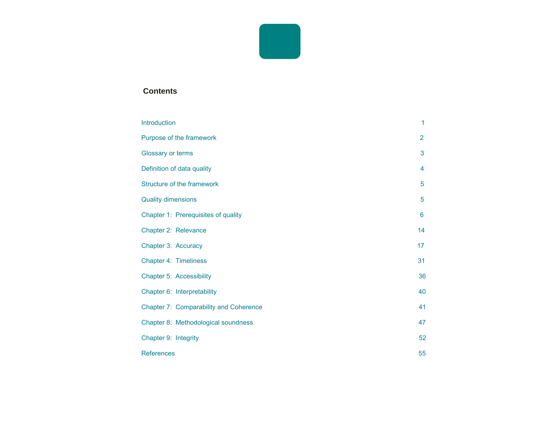

#### *Contents*

| <b>Introduction</b>                           | $\mathbf{1}$   |
|-----------------------------------------------|----------------|
| Purpose of the framework                      | $\overline{2}$ |
| Glossary or terms                             | 3              |
| Definition of data quality                    | 4              |
| Structure of the framework                    | 5              |
| <b>Quality dimensions</b>                     | 5              |
| Chapter 1: Prerequisites of quality           | 6              |
| Chapter 2: Relevance                          | 14             |
| Chapter 3: Accuracy                           | 17             |
| Chapter 4: Timeliness                         | 31             |
| <b>Chapter 5: Accessibility</b>               | 36             |
| Chapter 6: Interpretability                   | 40             |
| <b>Chapter 7: Comparability and Coherence</b> | 41             |
| Chapter 8: Methodological soundness           | 47             |
| Chapter 9: Integrity                          | 52             |
| <b>References</b>                             | 55             |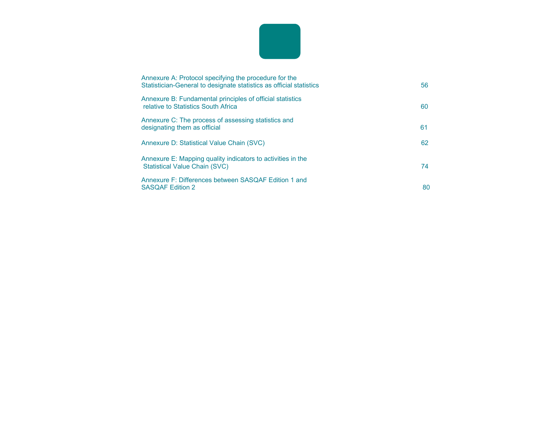

| Annexure A: Protocol specifying the procedure for the<br>Statistician-General to designate statistics as official statistics | 56 |
|------------------------------------------------------------------------------------------------------------------------------|----|
| Annexure B: Fundamental principles of official statistics<br>relative to Statistics South Africa                             | 60 |
| Annexure C: The process of assessing statistics and<br>designating them as official                                          | 61 |
| Annexure D: Statistical Value Chain (SVC)                                                                                    | 62 |
| Annexure E: Mapping quality indicators to activities in the<br>Statistical Value Chain (SVC)                                 | 74 |
| Annexure F: Differences between SASQAF Edition 1 and<br><b>SASQAF Edition 2</b>                                              | 80 |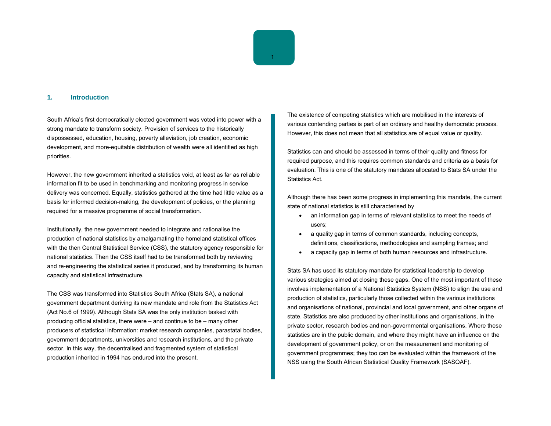

#### **1. Introduction**

South Africa's first democratically elected government was voted into power with a strong mandate to transform society. Provision of services to the historically dispossessed, education, housing, poverty alleviation, job creation, economic development, and more-equitable distribution of wealth were all identified as high priorities.

However, the new government inherited a statistics void, at least as far as reliable information fit to be used in benchmarking and monitoring progress in service delivery was concerned. Equally, statistics gathered at the time had little value as a basis for informed decision-making, the development of policies, or the planning required for a massive programme of social transformation.

Institutionally, the new government needed to integrate and rationalise the production of national statistics by amalgamating the homeland statistical offices with the then Central Statistical Service (CSS), the statutory agency responsible for national statistics. Then the CSS itself had to be transformed both by reviewing and re-engineering the statistical series it produced, and by transforming its human capacity and statistical infrastructure.

The CSS was transformed into Statistics South Africa (Stats SA), a national government department deriving its new mandate and role from the Statistics Act (Act No.6 of 1999). Although Stats SA was the only institution tasked with producing official statistics, there were – and continue to be – many other producers of statistical information: market research companies, parastatal bodies, government departments, universities and research institutions, and the private sector. In this way, the decentralised and fragmented system of statistical production inherited in 1994 has endured into the present.

The existence of competing statistics which are mobilised in the interests of various contending parties is part of an ordinary and healthy democratic process. However, this does not mean that all statistics are of equal value or quality.

Statistics can and should be assessed in terms of their quality and fitness for required purpose, and this requires common standards and criteria as a basis for evaluation. This is one of the statutory mandates allocated to Stats SA under the Statistics Act.

Although there has been some progress in implementing this mandate, the current state of national statistics is still characterised by

- an information gap in terms of relevant statistics to meet the needs of users;
- a quality gap in terms of common standards, including concepts, definitions, classifications, methodologies and sampling frames; and
- a capacity gap in terms of both human resources and infrastructure.

Stats SA has used its statutory mandate for statistical leadership to develop various strategies aimed at closing these gaps. One of the most important of these involves implementation of a National Statistics System (NSS) to align the use and production of statistics, particularly those collected within the various institutions and organisations of national, provincial and local government, and other organs of state. Statistics are also produced by other institutions and organisations, in the private sector, research bodies and non-governmental organisations. Where these statistics are in the public domain, and where they might have an influence on the development of government policy, or on the measurement and monitoring of government programmes; they too can be evaluated within the framework of the NSS using the South African Statistical Quality Framework (SASQAF).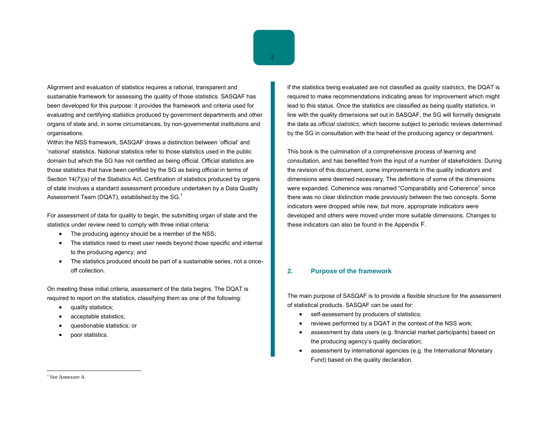Alignment and evaluation of statistics requires a rational, transparent and sustainable framework for assessing the quality of those statistics. SASQAF has been developed for this purpose: it provides the framework and criteria used for evaluating and certifying statistics produced by government departments and other organs of state and, in some circumstances, by non-governmental institutions and organisations.

Within the NSS framework, SASQAF draws a distinction between 'official' and 'national' statistics. National statistics refer to those statistics used in the public domain but which the SG has not certified as being official. Official statistics are those statistics that have been certified by the SG as being official in terms of Section 14(7)(a) of the Statistics Act. Certification of statistics produced by organs of state involves a standard assessment procedure undertaken by a Data Quality Assessment Team (DQAT), established by the SG.<sup>1</sup>

For assessment of data for quality to begin, the submitting organ of state and the statistics under review need to comply with three initial criteria:

- •The producing agency should be a member of the NSS;
- • The statistics need to meet user needs beyond those specific and internal to the producing agency; and
- • The statistics produced should be part of a sustainable series, not a onceoff collection.

On meeting these initial criteria, assessment of the data begins. The DQAT is required to report on the statistics, classifying them as one of the following:

- •quality statistics;
- •acceptable statistics;
- •questionable statistics; or
- •poor statistics.

If the statistics being evaluated are not classified as *quality statistics,* the DQAT is required to make recommendations indicating areas for improvement which might lead to this status. Once the statistics are classified as being quality statistics, in line with the quality dimensions set out in SASQAF, the SG will formally designate the data as *official statistics*, which become subject to periodic reviews determined by the SG in consultation with the head of the producing agency or department.

This book is the culmination of a comprehensive process of learning and consultation, and has benefited from the input of a number of stakeholders. During the revision of this document, some improvements in the quality indicators and dimensions were deemed necessary. The definitions of some of the dimensions were expanded. Coherence was renamed "Comparability and Coherence" since there was no clear distinction made previously between the two concepts. Some indicators were dropped while new, but more, appropriate indicators were developed and others were moved under more suitable dimensions. Changes to these indicators can also be found in the Appendix F.

#### **2. Purpose of the framework**

The main purpose of SASQAF is to provide a flexible structure for the assessment of statistical products. SASQAF can be used for:

- •self-assessment by producers of statistics;
- •reviews performed by a DQAT in the context of the NSS work;
- • assessment by data users (e.g. financial market participants) based on the producing agency's quality declaration;
- • assessment by international agencies (e.g. the International Monetary Fund) based on the quality declaration.

 $<sup>1</sup>$  See Annexure A</sup>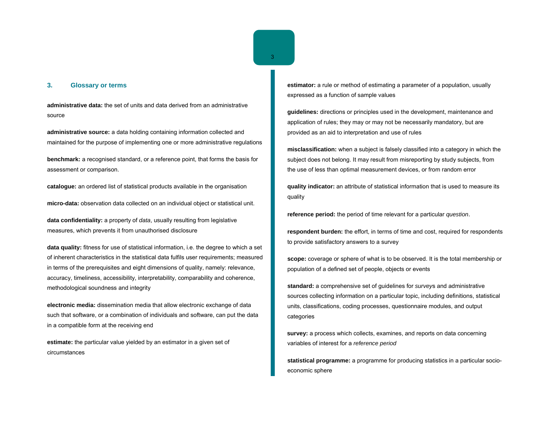# **3. Glossary or terms**

**administrative data:** the set of units and data derived from an administrative source

**administrative source:** a data holding containing information collected and maintained for the purpose of implementing one or more administrative regulations

**benchmark:** a recognised standard, or a reference point, that forms the basis for assessment or comparison.

**catalogue:** an ordered list of statistical products available in the organisation

**micro-data:** observation data collected on an individual object or statistical unit.

**data confidentiality:** a property of *data*, usually resulting from legislative measures, which prevents it from unauthorised disclosure

**data quality:** fitness for use of statistical information, i.e. the degree to which a set of inherent characteristics in the statistical data fulfils user requirements; measured in terms of the prerequisites and eight dimensions of quality, namely: relevance, accuracy, timeliness, accessibility, interpretability, comparability and coherence, methodological soundness and integrity

**electronic media:** dissemination media that allow electronic exchange of data such that software, or a combination of individuals and software, can put the data in a compatible form at the receiving end

**estimate:** the particular value yielded by an estimator in a given set of circumstances

**estimator:** a rule or method of estimating a parameter of a population, usually expressed as a function of sample values

**guidelines:** directions or principles used in the development, maintenance and application of rules; they may or may not be necessarily mandatory, but are provided as an aid to interpretation and use of rules

**misclassification:** when a subject is falsely classified into a category in which the subject does not belong. It may result from misreporting by study subjects, from the use of less than optimal measurement devices, or from random error

**quality indicator:** an attribute of statistical information that is used to measure its quality

**reference period:** the period of time relevant for a particular *question*.

**respondent burden:** the effort, in terms of time and cost, required for respondents to provide satisfactory answers to a survey

**scope:** coverage or sphere of what is to be observed. It is the total membership or population of a defined set of people, objects or events

**standard:** a comprehensive set of guidelines for *survey*s and administrative sources collecting information on a particular topic, including definitions, statistical units, classifications, coding processes, questionnaire modules, and output categories

**survey:** a process which collects, examines, and reports on data concerning variables of interest for a *reference period*

**statistical programme:** a programme for producing statistics in a particular socioeconomic sphere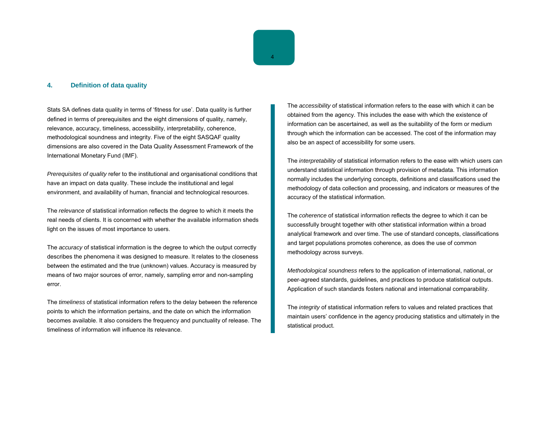#### **4. Definition of data quality**

Stats SA defines data quality in terms of 'fitness for use'. Data quality is further defined in terms of prerequisites and the eight dimensions of quality, namely, relevance, accuracy, timeliness, accessibility, interpretability, coherence, methodological soundness and integrity. Five of the eight SASQAF quality dimensions are also covered in the Data Quality Assessment Framework of the International Monetary Fund (IMF).

*Prerequisites of quality* refer to the institutional and organisational conditions that have an impact on data quality. These include the institutional and legal environment, and availability of human, financial and technological resources.

The *relevance* of statistical information reflects the degree to which it meets the real needs of clients. It is concerned with whether the available information sheds light on the issues of most importance to users.

The *accuracy* of statistical information is the degree to which the output correctly describes the phenomena it was designed to measure. It relates to the closeness between the estimated and the true (unknown) values. Accuracy is measured by means of two major sources of error, namely, sampling error and non-sampling error.

The *timeliness* of statistical information refers to the delay between the reference points to which the information pertains, and the date on which the information becomes available. It also considers the frequency and punctuality of release. The timeliness of information will influence its relevance.

The *accessibility* of statistical information refers to the ease with which it can be obtained from the agency. This includes the ease with which the existence of information can be ascertained, as well as the suitability of the form or medium through which the information can be accessed. The cost of the information may also be an aspect of accessibility for some users.

The *interpretability* of statistical information refers to the ease with which users can understand statistical information through provision of metadata. This information normally includes the underlying concepts, definitions and classifications used the methodology of data collection and processing, and indicators or measures of the accuracy of the statistical information.

The *coherence* of statistical information reflects the degree to which it can be successfully brought together with other statistical information within a broad analytical framework and over time. The use of standard concepts, classifications and target populations promotes coherence, as does the use of common methodology across surveys.

*Methodological soundness* refers to the application of international, national, or peer-agreed standards, guidelines, and practices to produce statistical outputs. Application of such standards fosters national and international comparability.

The *integrity* of statistical information refers to values and related practices that maintain users' confidence in the agency producing statistics and ultimately in the statistical product.

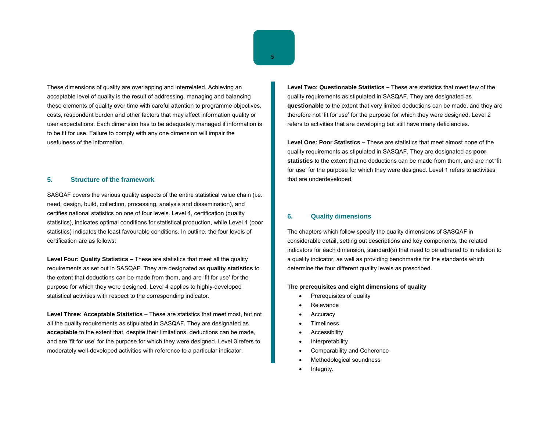These dimensions of quality are overlapping and interrelated. Achieving an acceptable level of quality is the result of addressing, managing and balancing these elements of quality over time with careful attention to programme objectives, costs, respondent burden and other factors that may affect information quality or user expectations. Each dimension has to be adequately managed if information is to be fit for use. Failure to comply with any one dimension will impair the usefulness of the information.

#### **5. Structure of the framework**

SASQAF covers the various quality aspects of the entire statistical value chain (i.e. need, design, build, collection, processing, analysis and dissemination), and certifies national statistics on one of four levels. Level 4, certification (quality statistics), indicates optimal conditions for statistical production, while Level 1 (poor statistics) indicates the least favourable conditions. In outline, the four levels of certification are as follows:

**Level Four: Quality Statistics –** These are statistics that meet all the quality requirements as set out in SASQAF. They are designated as **quality statistics** to the extent that deductions can be made from them, and are 'fit for use' for the purpose for which they were designed. Level 4 applies to highly-developed statistical activities with respect to the corresponding indicator.

**Level Three: Acceptable Statistics** – These are statistics that meet most, but not all the quality requirements as stipulated in SASQAF. They are designated as **acceptable** to the extent that, despite their limitations, deductions can be made, and are 'fit for use' for the purpose for which they were designed. Level 3 refers to moderately well-developed activities with reference to a particular indicator.

**Level Two: Questionable Statistics –** These are statistics that meet few of the quality requirements as stipulated in SASQAF. They are designated as **questionable** to the extent that very limited deductions can be made, and they are therefore not 'fit for use' for the purpose for which they were designed. Level 2 refers to activities that are developing but still have many deficiencies.

**Level One: Poor Statistics –** These are statistics that meet almost none of the quality requirements as stipulated in SASQAF. They are designated as **poor statistics** to the extent that no deductions can be made from them, and are not 'fit for use' for the purpose for which they were designed. Level 1 refers to activities that are underdeveloped.

#### **6. Quality dimensions**

The chapters which follow specify the quality dimensions of SASQAF in considerable detail, setting out descriptions and key components, the related indicators for each dimension, standard(s) that need to be adhered to in relation to a quality indicator, as well as providing benchmarks for the standards which determine the four different quality levels as prescribed.

#### **The prerequisites and eight dimensions of quality**

- Prerequisites of quality
- Relevance
- **Accuracy**
- **Timeliness**
- Accessibility
- **Interpretability**
- Comparability and Coherence
- Methodological soundness
- Integrity.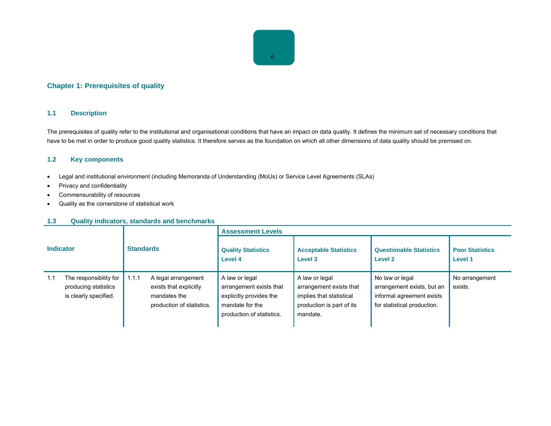# 6

### **Chapter 1: Prerequisites of quality**

#### **1.1 Description**

The prerequisites of quality refer to the institutional and organisational conditions that have an impact on data quality. It defines the minimum set of necessary conditions that have to be met in order to produce good quality statistics. It therefore serves as the foundation on which all other dimensions of data quality should be premised on.

#### **1.2 Key components**

- Legal and institutional environment (including Memoranda of Understanding (MoUs) or Service Level Agreements (SLAs)
- Privacy and confidentiality
- Commensurability of resources
- Quality as the cornerstone of statistical work

#### **1.3 Quality indicators, standards and benchmarks**

|                  |                                                                         |                  |                                                                                            | <b>Assessment Levels</b>                                                                                             |                                                                                                                |                                                                                                           |                                   |  |
|------------------|-------------------------------------------------------------------------|------------------|--------------------------------------------------------------------------------------------|----------------------------------------------------------------------------------------------------------------------|----------------------------------------------------------------------------------------------------------------|-----------------------------------------------------------------------------------------------------------|-----------------------------------|--|
| <b>Indicator</b> |                                                                         | <b>Standards</b> |                                                                                            | <b>Quality Statistics</b><br>Level 4                                                                                 | <b>Acceptable Statistics</b><br>Level 3                                                                        | <b>Questionable Statistics</b><br>Level <sub>2</sub>                                                      | <b>Poor Statistics</b><br>Level 1 |  |
| 1.1              | The responsibility for<br>producing statistics<br>is clearly specified. | 1.1.1            | A legal arrangement<br>exists that explicitly<br>mandates the<br>production of statistics. | A law or legal<br>arrangement exists that<br>explicitly provides the<br>mandate for the<br>production of statistics. | A law or legal<br>arrangement exists that<br>implies that statistical<br>production is part of its<br>mandate. | No law or legal<br>arrangement exists, but an<br>informal agreement exists<br>for statistical production. | No arrangement<br>exists.         |  |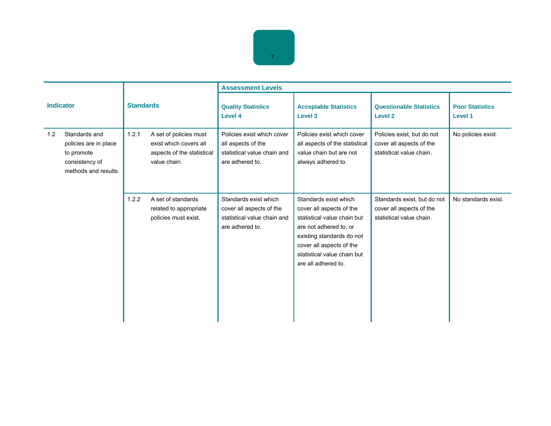

|                                                                                                       |                                                                                                         | <b>Assessment Levels</b>                                                                            |                                                                                                                                                                                                                           |                                                                                     |                                          |  |
|-------------------------------------------------------------------------------------------------------|---------------------------------------------------------------------------------------------------------|-----------------------------------------------------------------------------------------------------|---------------------------------------------------------------------------------------------------------------------------------------------------------------------------------------------------------------------------|-------------------------------------------------------------------------------------|------------------------------------------|--|
| <b>Indicator</b>                                                                                      | <b>Standards</b>                                                                                        | <b>Quality Statistics</b><br><b>Level 4</b>                                                         | <b>Acceptable Statistics</b><br>Level 3                                                                                                                                                                                   | <b>Questionable Statistics</b><br>Level 2                                           | <b>Poor Statistics</b><br><b>Level 1</b> |  |
| Standards and<br>1.2<br>policies are in place<br>to promote<br>consistency of<br>methods and results. | 1.2.1<br>A set of policies must<br>exist which covers all<br>aspects of the statistical<br>value chain. | Policies exist which cover<br>all aspects of the<br>statistical value chain and<br>are adhered to.  | Policies exist which cover<br>all aspects of the statistical<br>value chain but are not<br>always adhered to.                                                                                                             | Policies exist, but do not<br>cover all aspects of the<br>statistical value chain.  | No policies exist.                       |  |
|                                                                                                       | 1.2.2<br>A set of standards<br>related to appropriate<br>policies must exist.                           | Standards exist which<br>cover all aspects of the<br>statistical value chain and<br>are adhered to. | Standards exist which<br>cover all aspects of the<br>statistical value chain but<br>are not adhered to; or<br>existing standards do not<br>cover all aspects of the<br>statistical value chain but<br>are all adhered to. | Standards exist, but do not<br>cover all aspects of the<br>statistical value chain. | No standards exist.                      |  |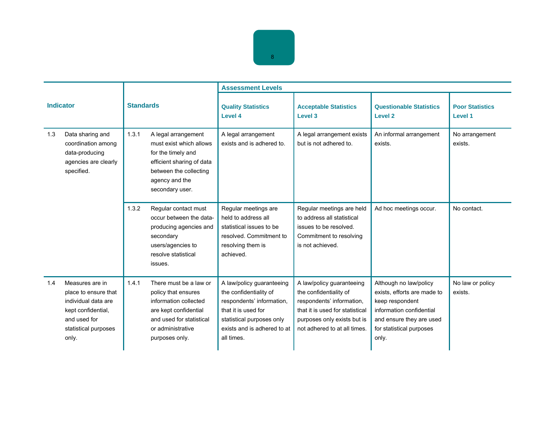

|     |                                                                                                                                       |       |                                                                                                                                                                    | <b>Assessment Levels</b>                                                                                                                                                          |                                                                                                                                                                                    |                                                                                                                                                                       |                                          |
|-----|---------------------------------------------------------------------------------------------------------------------------------------|-------|--------------------------------------------------------------------------------------------------------------------------------------------------------------------|-----------------------------------------------------------------------------------------------------------------------------------------------------------------------------------|------------------------------------------------------------------------------------------------------------------------------------------------------------------------------------|-----------------------------------------------------------------------------------------------------------------------------------------------------------------------|------------------------------------------|
|     | <b>Indicator</b>                                                                                                                      |       | <b>Standards</b>                                                                                                                                                   | <b>Quality Statistics</b><br>Level 4                                                                                                                                              | <b>Acceptable Statistics</b><br>Level 3                                                                                                                                            | <b>Questionable Statistics</b><br>Level <sub>2</sub>                                                                                                                  | <b>Poor Statistics</b><br><b>Level 1</b> |
| 1.3 | Data sharing and<br>coordination among<br>data-producing<br>agencies are clearly<br>specified.                                        |       | A legal arrangement<br>must exist which allows<br>for the timely and<br>efficient sharing of data<br>between the collecting<br>agency and the<br>secondary user.   | A legal arrangement<br>exists and is adhered to.                                                                                                                                  | A legal arrangement exists<br>but is not adhered to.                                                                                                                               | An informal arrangement<br>exists.                                                                                                                                    | No arrangement<br>exists.                |
|     |                                                                                                                                       | 1.3.2 | Regular contact must<br>occur between the data-<br>producing agencies and<br>secondary<br>users/agencies to<br>resolve statistical<br>issues.                      | Regular meetings are<br>held to address all<br>statistical issues to be<br>resolved. Commitment to<br>resolving them is<br>achieved.                                              | Regular meetings are held<br>to address all statistical<br>issues to be resolved.<br>Commitment to resolving<br>is not achieved.                                                   | Ad hoc meetings occur.                                                                                                                                                | No contact.                              |
| 1.4 | Measures are in<br>place to ensure that<br>individual data are<br>kept confidential.<br>and used for<br>statistical purposes<br>only. | 1.4.1 | There must be a law or<br>policy that ensures<br>information collected<br>are kept confidential<br>and used for statistical<br>or administrative<br>purposes only. | A law/policy guaranteeing<br>the confidentiality of<br>respondents' information,<br>that it is used for<br>statistical purposes only<br>exists and is adhered to at<br>all times. | A law/policy guaranteeing<br>the confidentiality of<br>respondents' information,<br>that it is used for statistical<br>purposes only exists but is<br>not adhered to at all times. | Although no law/policy<br>exists, efforts are made to<br>keep respondent<br>information confidential<br>and ensure they are used<br>for statistical purposes<br>only. | No law or policy<br>exists.              |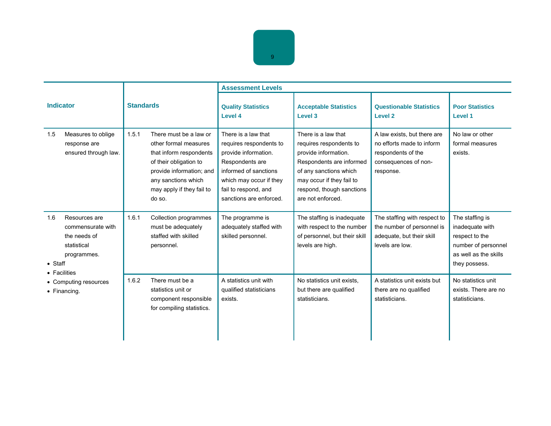

|                                                                                                            | <b>Standards</b>    |                                                                                                                                                                                      | <b>Assessment Levels</b>                                                                                                                                                                         |                                                                                                                                                                                                             |                                                                                                                     |                                                                                                                       |  |
|------------------------------------------------------------------------------------------------------------|---------------------|--------------------------------------------------------------------------------------------------------------------------------------------------------------------------------------|--------------------------------------------------------------------------------------------------------------------------------------------------------------------------------------------------|-------------------------------------------------------------------------------------------------------------------------------------------------------------------------------------------------------------|---------------------------------------------------------------------------------------------------------------------|-----------------------------------------------------------------------------------------------------------------------|--|
| <b>Indicator</b>                                                                                           |                     |                                                                                                                                                                                      | <b>Quality Statistics</b><br>Level 4                                                                                                                                                             | <b>Acceptable Statistics</b><br>Level 3                                                                                                                                                                     | <b>Questionable Statistics</b><br>Level <sub>2</sub>                                                                | <b>Poor Statistics</b><br>Level 1                                                                                     |  |
| Measures to oblige<br>1.5<br>response are<br>ensured through law.                                          | 1.5.1<br>do so.     | There must be a law or<br>other formal measures<br>that inform respondents<br>of their obligation to<br>provide information; and<br>any sanctions which<br>may apply if they fail to | There is a law that<br>requires respondents to<br>provide information.<br>Respondents are<br>informed of sanctions<br>which may occur if they<br>fail to respond, and<br>sanctions are enforced. | There is a law that<br>requires respondents to<br>provide information.<br>Respondents are informed<br>of any sanctions which<br>may occur if they fail to<br>respond, though sanctions<br>are not enforced. | A law exists, but there are<br>no efforts made to inform<br>respondents of the<br>consequences of non-<br>response. | No law or other<br>formal measures<br>exists.                                                                         |  |
| 1.6<br>Resources are<br>commensurate with<br>the needs of<br>statistical<br>programmes.<br>$\bullet$ Staff | 1.6.1<br>personnel. | Collection programmes<br>must be adequately<br>staffed with skilled                                                                                                                  | The programme is<br>adequately staffed with<br>skilled personnel.                                                                                                                                | The staffing is inadequate<br>with respect to the number<br>of personnel, but their skill<br>levels are high.                                                                                               | The staffing with respect to<br>the number of personnel is<br>adequate, but their skill<br>levels are low.          | The staffing is<br>inadequate with<br>respect to the<br>number of personnel<br>as well as the skills<br>they possess. |  |
| • Facilities<br>• Computing resources<br>$\bullet$ Financing.                                              | 1.6.2               | There must be a<br>statistics unit or<br>component responsible<br>for compiling statistics.                                                                                          | A statistics unit with<br>qualified statisticians<br>exists.                                                                                                                                     | No statistics unit exists,<br>but there are qualified<br>statisticians.                                                                                                                                     | A statistics unit exists but<br>there are no qualified<br>statisticians.                                            | No statistics unit<br>exists. There are no<br>statisticians.                                                          |  |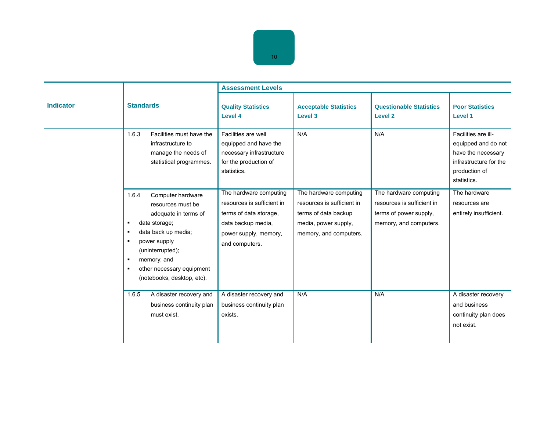|                  |                                                                                                                                                                                                                                                                                               | <b>Assessment Levels</b>                                                                                                                        |                                                                                                                                |                                                                                                          |                                                                                                                            |
|------------------|-----------------------------------------------------------------------------------------------------------------------------------------------------------------------------------------------------------------------------------------------------------------------------------------------|-------------------------------------------------------------------------------------------------------------------------------------------------|--------------------------------------------------------------------------------------------------------------------------------|----------------------------------------------------------------------------------------------------------|----------------------------------------------------------------------------------------------------------------------------|
| <b>Indicator</b> | <b>Standards</b>                                                                                                                                                                                                                                                                              | <b>Quality Statistics</b><br><b>Level 4</b>                                                                                                     | <b>Acceptable Statistics</b><br>Level 3                                                                                        | <b>Questionable Statistics</b><br><b>Level 2</b>                                                         | <b>Poor Statistics</b><br>Level 1                                                                                          |
|                  | 1.6.3<br>Facilities must have the<br>infrastructure to<br>manage the needs of<br>statistical programmes.                                                                                                                                                                                      | Facilities are well<br>equipped and have the<br>necessary infrastructure<br>for the production of<br>statistics.                                | N/A                                                                                                                            | N/A                                                                                                      | Facilities are ill-<br>equipped and do not<br>have the necessary<br>infrastructure for the<br>production of<br>statistics. |
|                  | 1.6.4<br>Computer hardware<br>resources must be<br>adequate in terms of<br>data storage;<br>$\blacksquare$<br>data back up media;<br>п<br>power supply<br>$\blacksquare$<br>(uninterrupted);<br>memory; and<br>٠<br>other necessary equipment<br>$\blacksquare$<br>(notebooks, desktop, etc). | The hardware computing<br>resources is sufficient in<br>terms of data storage,<br>data backup media,<br>power supply, memory,<br>and computers. | The hardware computing<br>resources is sufficient in<br>terms of data backup<br>media, power supply,<br>memory, and computers. | The hardware computing<br>resources is sufficient in<br>terms of power supply,<br>memory, and computers. | The hardware<br>resources are<br>entirely insufficient.                                                                    |
|                  | 1.6.5<br>A disaster recovery and<br>business continuity plan<br>must exist.                                                                                                                                                                                                                   | A disaster recovery and<br>business continuity plan<br>exists.                                                                                  | N/A                                                                                                                            | N/A                                                                                                      | A disaster recovery<br>and business<br>continuity plan does<br>not exist.                                                  |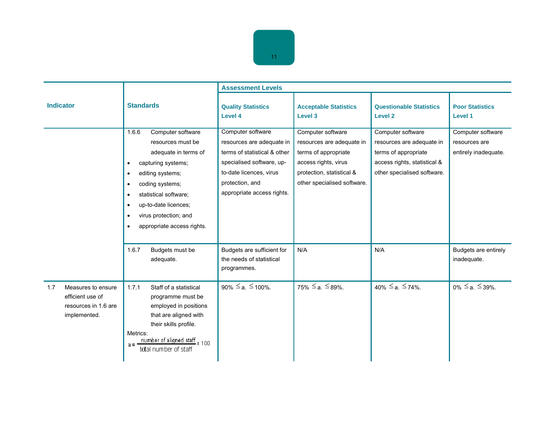

|                                                                                       |                                                                                                                                                                                                                                                                                                                                         | <b>Assessment Levels</b>                                                                                                                                                                |                                                                                                                                                            |                                                                                                                                       |                                                            |  |
|---------------------------------------------------------------------------------------|-----------------------------------------------------------------------------------------------------------------------------------------------------------------------------------------------------------------------------------------------------------------------------------------------------------------------------------------|-----------------------------------------------------------------------------------------------------------------------------------------------------------------------------------------|------------------------------------------------------------------------------------------------------------------------------------------------------------|---------------------------------------------------------------------------------------------------------------------------------------|------------------------------------------------------------|--|
| <b>Indicator</b>                                                                      | <b>Standards</b>                                                                                                                                                                                                                                                                                                                        | <b>Quality Statistics</b><br>Level 4                                                                                                                                                    | <b>Acceptable Statistics</b><br>Level 3                                                                                                                    | <b>Questionable Statistics</b><br>Level <sub>2</sub>                                                                                  | <b>Poor Statistics</b><br><b>Level 1</b>                   |  |
|                                                                                       | 1.6.6<br>Computer software<br>resources must be<br>adequate in terms of<br>capturing systems;<br>$\bullet$<br>editing systems;<br>$\bullet$<br>coding systems;<br>$\bullet$<br>statistical software;<br>$\bullet$<br>up-to-date licences;<br>$\bullet$<br>virus protection; and<br>$\bullet$<br>appropriate access rights.<br>$\bullet$ | Computer software<br>resources are adequate in<br>terms of statistical & other<br>specialised software, up-<br>to-date licences, virus<br>protection, and<br>appropriate access rights. | Computer software<br>resources are adequate in<br>terms of appropriate<br>access rights, virus<br>protection, statistical &<br>other specialised software. | Computer software<br>resources are adequate in<br>terms of appropriate<br>access rights, statistical &<br>other specialised software. | Computer software<br>resources are<br>entirely inadequate. |  |
|                                                                                       | 1.6.7<br>Budgets must be<br>adequate.                                                                                                                                                                                                                                                                                                   | Budgets are sufficient for<br>the needs of statistical<br>programmes.                                                                                                                   | N/A                                                                                                                                                        | N/A                                                                                                                                   | Budgets are entirely<br>inadequate.                        |  |
| Measures to ensure<br>1.7<br>efficient use of<br>resources in 1.6 are<br>implemented. | 1.7.1<br>Staff of a statistical<br>programme must be<br>employed in positions<br>that are aligned with<br>their skills profile.<br>Metrics:<br>$a = \frac{number of aligned staff}{total number of staff} \times 100$                                                                                                                   | 90% $\leq$ a. $\leq$ 100%.                                                                                                                                                              | $75\% \le a. \le 89\%$ .                                                                                                                                   | $40\% \le a. \le 74\%$ .                                                                                                              | $0\% \le a \le 39\%$ .                                     |  |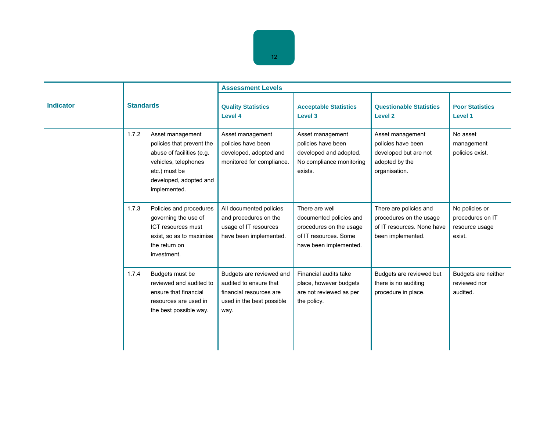|                  |                                                                                                                                                                        | <b>Assessment Levels</b>                                                                                           |                                                                                                                         |                                                                                                      |                                                                |  |
|------------------|------------------------------------------------------------------------------------------------------------------------------------------------------------------------|--------------------------------------------------------------------------------------------------------------------|-------------------------------------------------------------------------------------------------------------------------|------------------------------------------------------------------------------------------------------|----------------------------------------------------------------|--|
| <b>Indicator</b> | <b>Standards</b>                                                                                                                                                       | <b>Quality Statistics</b><br>Level 4                                                                               | <b>Acceptable Statistics</b><br>Level 3                                                                                 | <b>Questionable Statistics</b><br><b>Level 2</b>                                                     | <b>Poor Statistics</b><br>Level 1                              |  |
|                  | 1.7.2<br>Asset management<br>policies that prevent the<br>abuse of facilities (e.g.<br>vehicles, telephones<br>etc.) must be<br>developed, adopted and<br>implemented. | Asset management<br>policies have been<br>developed, adopted and<br>monitored for compliance.                      | Asset management<br>policies have been<br>developed and adopted.<br>No compliance monitoring<br>exists.                 | Asset management<br>policies have been<br>developed but are not<br>adopted by the<br>organisation.   | No asset<br>management<br>policies exist.                      |  |
|                  | Policies and procedures<br>1.7.3<br>governing the use of<br>ICT resources must<br>exist, so as to maximise<br>the return on<br>investment.                             | All documented policies<br>and procedures on the<br>usage of IT resources<br>have been implemented.                | There are well<br>documented policies and<br>procedures on the usage<br>of IT resources. Some<br>have been implemented. | There are policies and<br>procedures on the usage<br>of IT resources. None have<br>been implemented. | No policies or<br>procedures on IT<br>resource usage<br>exist. |  |
|                  | 1.7.4<br>Budgets must be<br>reviewed and audited to<br>ensure that financial<br>resources are used in<br>the best possible way.                                        | Budgets are reviewed and<br>audited to ensure that<br>financial resources are<br>used in the best possible<br>way. | Financial audits take<br>place, however budgets<br>are not reviewed as per<br>the policy.                               | Budgets are reviewed but<br>there is no auditing<br>procedure in place.                              | Budgets are neither<br>reviewed nor<br>audited.                |  |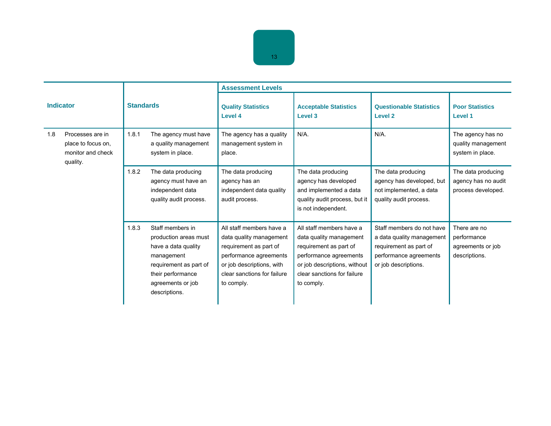| 13 |  |
|----|--|

| <b>Indicator</b> |                                                                         | <b>Standards</b> |                                                                                                                                                                     | <b>Assessment Levels</b>                                                                                                                                                          |                                                                                                                                                                                      |                                                                                                                                    |                                                                   |  |
|------------------|-------------------------------------------------------------------------|------------------|---------------------------------------------------------------------------------------------------------------------------------------------------------------------|-----------------------------------------------------------------------------------------------------------------------------------------------------------------------------------|--------------------------------------------------------------------------------------------------------------------------------------------------------------------------------------|------------------------------------------------------------------------------------------------------------------------------------|-------------------------------------------------------------------|--|
|                  |                                                                         |                  |                                                                                                                                                                     | <b>Quality Statistics</b><br><b>Level 4</b>                                                                                                                                       | <b>Acceptable Statistics</b><br>Level 3                                                                                                                                              | <b>Questionable Statistics</b><br>Level <sub>2</sub>                                                                               | <b>Poor Statistics</b><br>Level 1                                 |  |
| 1.8              | Processes are in<br>place to focus on,<br>monitor and check<br>quality. | 1.8.1            | The agency must have<br>a quality management<br>system in place.                                                                                                    | The agency has a quality<br>management system in<br>place.                                                                                                                        | $N/A$ .                                                                                                                                                                              | $N/A$ .                                                                                                                            | The agency has no<br>quality management<br>system in place.       |  |
|                  |                                                                         | 1.8.2            | The data producing<br>agency must have an<br>independent data<br>quality audit process.                                                                             | The data producing<br>agency has an<br>independent data quality<br>audit process.                                                                                                 | The data producing<br>agency has developed<br>and implemented a data<br>quality audit process, but it<br>is not independent.                                                         | The data producing<br>agency has developed, but<br>not implemented, a data<br>quality audit process.                               | The data producing<br>agency has no audit<br>process developed.   |  |
|                  |                                                                         | 1.8.3            | Staff members in<br>production areas must<br>have a data quality<br>management<br>requirement as part of<br>their performance<br>agreements or job<br>descriptions. | All staff members have a<br>data quality management<br>requirement as part of<br>performance agreements<br>or job descriptions, with<br>clear sanctions for failure<br>to comply. | All staff members have a<br>data quality management<br>requirement as part of<br>performance agreements<br>or job descriptions, without<br>clear sanctions for failure<br>to comply. | Staff members do not have<br>a data quality management<br>requirement as part of<br>performance agreements<br>or job descriptions. | There are no<br>performance<br>agreements or job<br>descriptions. |  |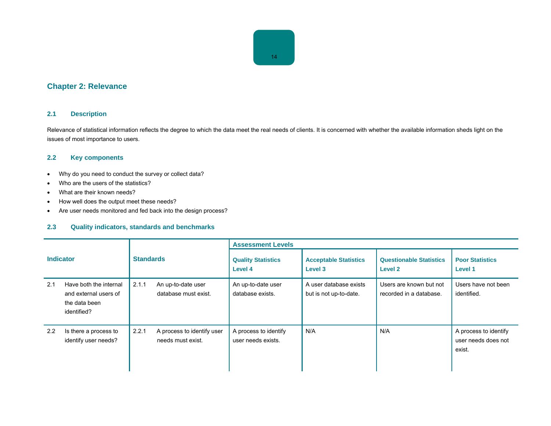## **Chapter 2: Relevance**

#### **2.1 Description**

Relevance of statistical information reflects the degree to which the data meet the real needs of clients. It is concerned with whether the available information sheds light on the issues of most importance to users.

#### **2.2 Key components**

- Why do you need to conduct the survey or collect data?
- Who are the users of the statistics?
- What are their known needs?
- How well does the output meet these needs?
- Are user needs monitored and fed back into the design process?

#### **2.3 Quality indicators, standards and benchmarks**

| <b>Indicator</b> |                                                                                 | <b>Standards</b> |                                                 | <b>Assessment Levels</b>                    |                                                  |                                                    |                                                        |  |
|------------------|---------------------------------------------------------------------------------|------------------|-------------------------------------------------|---------------------------------------------|--------------------------------------------------|----------------------------------------------------|--------------------------------------------------------|--|
|                  |                                                                                 |                  |                                                 | <b>Quality Statistics</b><br>Level 4        | <b>Acceptable Statistics</b><br>Level 3          | <b>Questionable Statistics</b><br>Level 2          | <b>Poor Statistics</b><br>Level 1                      |  |
| 2.1              | Have both the internal<br>and external users of<br>the data been<br>identified? | 2.1.1            | An up-to-date user<br>database must exist.      | An up-to-date user<br>database exists.      | A user database exists<br>but is not up-to-date. | Users are known but not<br>recorded in a database. | Users have not been<br>identified.                     |  |
| 2.2              | Is there a process to<br>identify user needs?                                   | 2.2.1            | A process to identify user<br>needs must exist. | A process to identify<br>user needs exists. | N/A                                              | N/A                                                | A process to identify<br>user needs does not<br>exist. |  |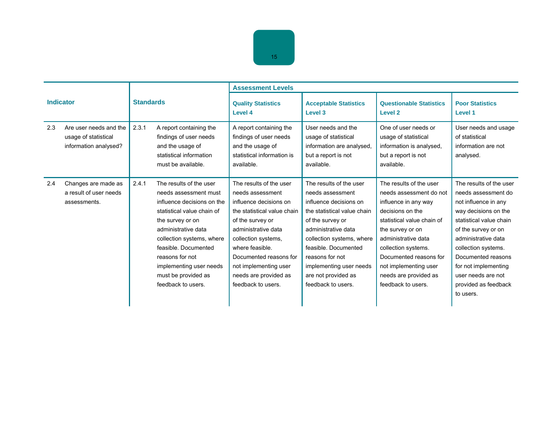|                  |                                                                         |                  |                                                                                                                                                                                                                                                                                                         | <b>Assessment Levels</b>                                                                                                                                                                                                                                                                    |                                                                                                                                                                                                                                                                                                 |                                                                                                                                                                                                                                                                                                  |                                                                                                                                                                                                                                                                                                         |
|------------------|-------------------------------------------------------------------------|------------------|---------------------------------------------------------------------------------------------------------------------------------------------------------------------------------------------------------------------------------------------------------------------------------------------------------|---------------------------------------------------------------------------------------------------------------------------------------------------------------------------------------------------------------------------------------------------------------------------------------------|-------------------------------------------------------------------------------------------------------------------------------------------------------------------------------------------------------------------------------------------------------------------------------------------------|--------------------------------------------------------------------------------------------------------------------------------------------------------------------------------------------------------------------------------------------------------------------------------------------------|---------------------------------------------------------------------------------------------------------------------------------------------------------------------------------------------------------------------------------------------------------------------------------------------------------|
| <b>Indicator</b> |                                                                         | <b>Standards</b> |                                                                                                                                                                                                                                                                                                         | <b>Quality Statistics</b><br>Level 4                                                                                                                                                                                                                                                        | <b>Acceptable Statistics</b><br>Level <sub>3</sub>                                                                                                                                                                                                                                              | <b>Questionable Statistics</b><br>Level <sub>2</sub>                                                                                                                                                                                                                                             | <b>Poor Statistics</b><br>Level 1                                                                                                                                                                                                                                                                       |
| 2.3              | Are user needs and the<br>usage of statistical<br>information analysed? | 2.3.1            | A report containing the<br>findings of user needs<br>and the usage of<br>statistical information<br>must be available.                                                                                                                                                                                  | A report containing the<br>findings of user needs<br>and the usage of<br>statistical information is<br>available.                                                                                                                                                                           | User needs and the<br>usage of statistical<br>information are analysed.<br>but a report is not<br>available.                                                                                                                                                                                    | One of user needs or<br>usage of statistical<br>information is analysed.<br>but a report is not<br>available.                                                                                                                                                                                    | User needs and usage<br>of statistical<br>information are not<br>analysed.                                                                                                                                                                                                                              |
| 2.4              | Changes are made as<br>a result of user needs<br>assessments.           | 2.4.1            | The results of the user<br>needs assessment must<br>influence decisions on the<br>statistical value chain of<br>the survey or on<br>administrative data<br>collection systems, where<br>feasible. Documented<br>reasons for not<br>implementing user needs<br>must be provided as<br>feedback to users. | The results of the user<br>needs assessment<br>influence decisions on<br>the statistical value chain<br>of the survey or<br>administrative data<br>collection systems,<br>where feasible.<br>Documented reasons for<br>not implementing user<br>needs are provided as<br>feedback to users. | The results of the user<br>needs assessment<br>influence decisions on<br>the statistical value chain<br>of the survey or<br>administrative data<br>collection systems, where<br>feasible. Documented<br>reasons for not<br>implementing user needs<br>are not provided as<br>feedback to users. | The results of the user<br>needs assessment do not<br>influence in any way<br>decisions on the<br>statistical value chain of<br>the survey or on<br>administrative data<br>collection systems.<br>Documented reasons for<br>not implementing user<br>needs are provided as<br>feedback to users. | The results of the user<br>needs assessment do<br>not influence in any<br>way decisions on the<br>statistical value chain<br>of the survey or on<br>administrative data<br>collection systems.<br>Documented reasons<br>for not implementing<br>user needs are not<br>provided as feedback<br>to users. |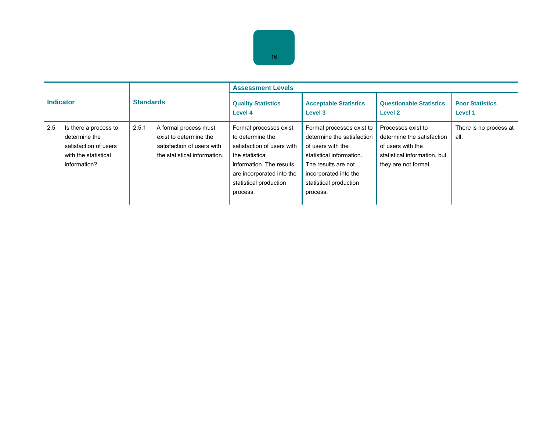| <b>Indicator</b> |                                                                                                         |                  | <b>Assessment Levels</b>                                                                                      |                                                                                                                                                                                            |                                                                                                                                                                                                |                                                                                                                               |                                   |
|------------------|---------------------------------------------------------------------------------------------------------|------------------|---------------------------------------------------------------------------------------------------------------|--------------------------------------------------------------------------------------------------------------------------------------------------------------------------------------------|------------------------------------------------------------------------------------------------------------------------------------------------------------------------------------------------|-------------------------------------------------------------------------------------------------------------------------------|-----------------------------------|
|                  |                                                                                                         | <b>Standards</b> |                                                                                                               | <b>Quality Statistics</b><br>Level 4                                                                                                                                                       | <b>Acceptable Statistics</b><br>Level 3                                                                                                                                                        | <b>Questionable Statistics</b><br>Level 2                                                                                     | <b>Poor Statistics</b><br>Level 1 |
| 2.5              | Is there a process to<br>determine the<br>satisfaction of users<br>with the statistical<br>information? | 2.5.1            | A formal process must<br>exist to determine the<br>satisfaction of users with<br>the statistical information. | Formal processes exist<br>to determine the<br>satisfaction of users with<br>the statistical<br>information. The results<br>are incorporated into the<br>statistical production<br>process. | Formal processes exist to<br>determine the satisfaction<br>of users with the<br>statistical information.<br>The results are not<br>incorporated into the<br>statistical production<br>process. | Processes exist to<br>determine the satisfaction<br>of users with the<br>statistical information, but<br>they are not formal. | There is no process at<br>all.    |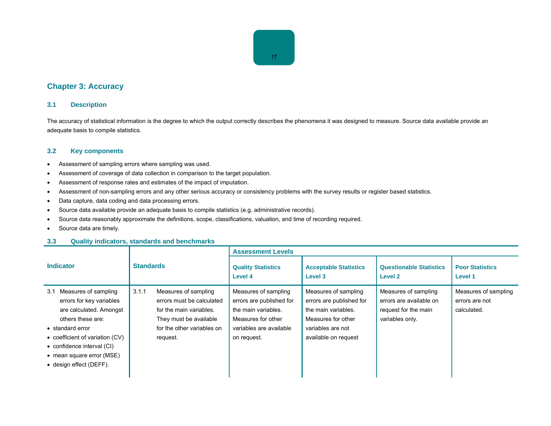## **Chapter 3: Accuracy**

#### **3.1 Description**

The accuracy of statistical information is the degree to which the output correctly describes the phenomena it was designed to measure. Source data available provide an adequate basis to compile statistics.

#### **3.2 Key components**

- Assessment of sampling errors where sampling was used.
- Assessment of coverage of data collection in comparison to the target population.
- Assessment of response rates and estimates of the impact of imputation.
- Assessment of non-sampling errors and any other serious accuracy or consistency problems with the survey results or register based statistics.
- Data capture, data coding and data processing errors.
- Source data available provide an adequate basis to compile statistics (e.g. administrative records).
- Source data reasonably approximate the definitions, scope, classifications, valuation, and time of recording required.
- Source data are timely.

#### **3.3 Quality indicators, standards and benchmarks**

|                                                                                                                                                                                                                                                      | <b>Standards</b> |                                                                                                                                                  | <b>Assessment Levels</b>                                                                                                                |                                                                                                                                            |                                                                                            |                                                       |
|------------------------------------------------------------------------------------------------------------------------------------------------------------------------------------------------------------------------------------------------------|------------------|--------------------------------------------------------------------------------------------------------------------------------------------------|-----------------------------------------------------------------------------------------------------------------------------------------|--------------------------------------------------------------------------------------------------------------------------------------------|--------------------------------------------------------------------------------------------|-------------------------------------------------------|
| <b>Indicator</b>                                                                                                                                                                                                                                     |                  |                                                                                                                                                  | <b>Quality Statistics</b><br>Level 4                                                                                                    | <b>Acceptable Statistics</b><br>Level 3                                                                                                    | <b>Questionable Statistics</b><br>Level 2                                                  | <b>Poor Statistics</b><br>Level 1                     |
| Measures of sampling<br>3.1<br>errors for key variables<br>are calculated. Amongst<br>others these are:<br>• standard error<br>• coefficient of variation (CV)<br>• confidence interval (CI)<br>• mean square error (MSE)<br>• design effect (DEFF). | 3.1.1            | Measures of sampling<br>errors must be calculated<br>for the main variables.<br>They must be available<br>for the other variables on<br>request. | Measures of sampling<br>errors are published for<br>the main variables.<br>Measures for other<br>variables are available<br>on request. | Measures of sampling<br>errors are published for<br>the main variables.<br>Measures for other<br>variables are not<br>available on request | Measures of sampling<br>errors are available on<br>request for the main<br>variables only. | Measures of sampling<br>errors are not<br>calculated. |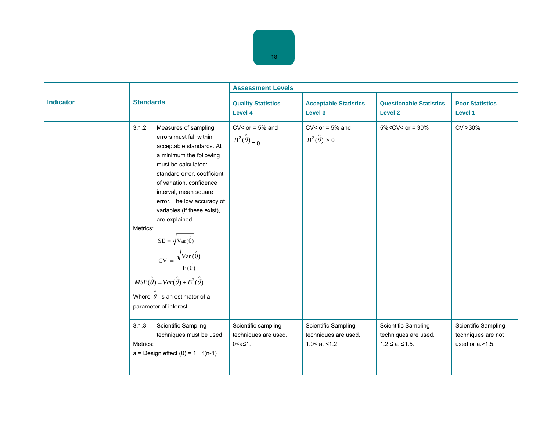Ē,

|                  |                                                                                                                                                                                                                                                                                                                                                                                                                                                                                                                                                                                           | <b>Assessment Levels</b>                                       |                                                                   |                                                                       |                                                                  |  |
|------------------|-------------------------------------------------------------------------------------------------------------------------------------------------------------------------------------------------------------------------------------------------------------------------------------------------------------------------------------------------------------------------------------------------------------------------------------------------------------------------------------------------------------------------------------------------------------------------------------------|----------------------------------------------------------------|-------------------------------------------------------------------|-----------------------------------------------------------------------|------------------------------------------------------------------|--|
| <b>Indicator</b> | <b>Standards</b>                                                                                                                                                                                                                                                                                                                                                                                                                                                                                                                                                                          | <b>Quality Statistics</b><br>Level 4                           | <b>Acceptable Statistics</b><br>Level 3                           | <b>Questionable Statistics</b><br><b>Level 2</b>                      | <b>Poor Statistics</b><br><b>Level 1</b>                         |  |
|                  | 3.1.2<br>Measures of sampling<br>errors must fall within<br>acceptable standards. At<br>a minimum the following<br>must be calculated:<br>standard error, coefficient<br>of variation, confidence<br>interval, mean square<br>error. The low accuracy of<br>variables (if these exist),<br>are explained.<br>Metrics:<br>$SE = \sqrt{Var(\hat{\theta})}$<br>= $\mathbf{v}$<br>CV = $\frac{\sqrt{\text{Var}(\hat{\theta})}}{\text{E}(\hat{\theta})}$<br>$MSE(\hat{\theta}) = Var(\hat{\theta}) + B^2(\hat{\theta}),$<br>Where $\hat{\theta}$ is an estimator of a<br>parameter of interest | $CV<$ or = 5% and<br>$B^2(\hat{\theta})_{\text{I}}=0$          | $CV<$ or = 5% and<br>$B^2(\hat{\theta}) > 0$                      | $5\%$ <cv< or="30%&lt;/td"><td>CV &gt; 30%</td></cv<>                 | CV > 30%                                                         |  |
|                  | <b>Scientific Sampling</b><br>3.1.3<br>techniques must be used.<br>Metrics:<br>$a =$ Design effect $(\theta) = 1 + \delta(n-1)$                                                                                                                                                                                                                                                                                                                                                                                                                                                           | Scientific sampling<br>techniques are used.<br>$0 < a \le 1$ . | Scientific Sampling<br>techniques are used.<br>$1.0 < a. < 1.2$ . | Scientific Sampling<br>techniques are used.<br>$1.2 \le a. \le 1.5$ . | Scientific Sampling<br>techniques are not<br>used or $a > 1.5$ . |  |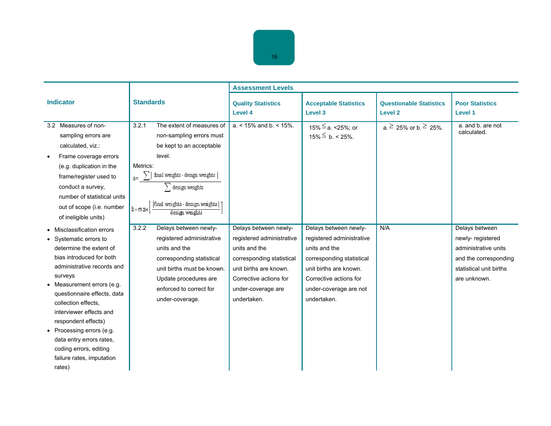|                                                                                                                                                                                                                                                                                                                                                                                                                |                                                                                                                                                                                                                                                | <b>Assessment Levels</b>                                                                                                                                                                  |                                                                                                                                                                                               |                                                  |                                                                                                                                |
|----------------------------------------------------------------------------------------------------------------------------------------------------------------------------------------------------------------------------------------------------------------------------------------------------------------------------------------------------------------------------------------------------------------|------------------------------------------------------------------------------------------------------------------------------------------------------------------------------------------------------------------------------------------------|-------------------------------------------------------------------------------------------------------------------------------------------------------------------------------------------|-----------------------------------------------------------------------------------------------------------------------------------------------------------------------------------------------|--------------------------------------------------|--------------------------------------------------------------------------------------------------------------------------------|
| <b>Indicator</b>                                                                                                                                                                                                                                                                                                                                                                                               | <b>Standards</b>                                                                                                                                                                                                                               | <b>Quality Statistics</b><br><b>Level 4</b>                                                                                                                                               | <b>Acceptable Statistics</b><br>Level 3                                                                                                                                                       | <b>Questionable Statistics</b><br><b>Level 2</b> | <b>Poor Statistics</b><br><b>Level 1</b>                                                                                       |
| 3.2 Measures of non-<br>sampling errors are<br>calculated, viz.:<br>Frame coverage errors<br>(e.g. duplication in the<br>frame/register used to<br>conduct a survey,<br>number of statistical units<br>out of scope (i.e. number<br>of ineligible units)                                                                                                                                                       | 3.2.1<br>The extent of measures of<br>non-sampling errors must<br>be kept to an acceptable<br>level.<br>Metrics:<br>final weights - design weights<br>$\sum$ design weights<br>final weights - design weights  <br>$b = max$<br>design weights | $a. < 15\%$ and $b. < 15\%$ .                                                                                                                                                             | 15% ≤ a. <25%; or<br>$15\% \le b. < 25\%$ .                                                                                                                                                   | $a \ge 25\%$ or b. $\ge 25\%$ .                  | a. and b. are not<br>calculated.                                                                                               |
| Misclassification errors<br>Systematic errors to<br>determine the extent of<br>bias introduced for both<br>administrative records and<br>surveys<br>Measurement errors (e.g.<br>questionnaire effects, data<br>collection effects.<br>interviewer effects and<br>respondent effects)<br>• Processing errors (e.g.<br>data entry errors rates,<br>coding errors, editing<br>failure rates, imputation<br>rates) | 3.2.2<br>Delays between newly-<br>registered administrative<br>units and the<br>corresponding statistical<br>unit births must be known.<br>Update procedures are<br>enforced to correct for<br>under-coverage.                                 | Delays between newly-<br>registered administrative<br>units and the<br>corresponding statistical<br>unit births are known.<br>Corrective actions for<br>under-coverage are<br>undertaken. | Delays between newly-<br>registered administrative<br>units and the<br>corresponding statistical<br>unit births are known.<br>Corrective actions for<br>under-coverage are not<br>undertaken. | N/A                                              | Delays between<br>newly-registered<br>administrative units<br>and the corresponding<br>statistical unit births<br>are unknown. |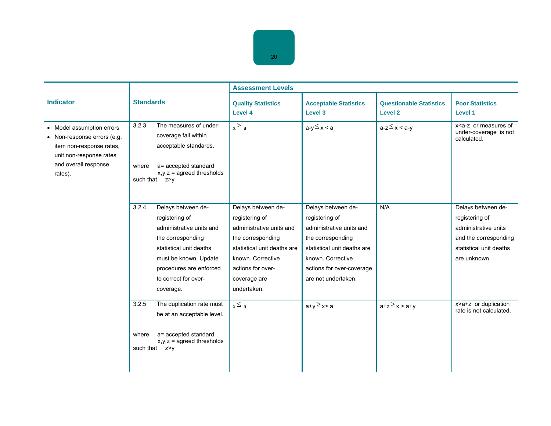|                                                                                                                                                    | <b>Standards</b>                    |                                                                                                                                                                                                           | <b>Assessment Levels</b>                                                                                                                                                                      |                                                                                                                                                                                               |                                                  |                                                                                                                                  |
|----------------------------------------------------------------------------------------------------------------------------------------------------|-------------------------------------|-----------------------------------------------------------------------------------------------------------------------------------------------------------------------------------------------------------|-----------------------------------------------------------------------------------------------------------------------------------------------------------------------------------------------|-----------------------------------------------------------------------------------------------------------------------------------------------------------------------------------------------|--------------------------------------------------|----------------------------------------------------------------------------------------------------------------------------------|
| <b>Indicator</b>                                                                                                                                   |                                     |                                                                                                                                                                                                           | <b>Quality Statistics</b><br>Level 4                                                                                                                                                          | <b>Acceptable Statistics</b><br>Level 3                                                                                                                                                       | <b>Questionable Statistics</b><br><b>Level 2</b> | <b>Poor Statistics</b><br><b>Level 1</b>                                                                                         |
| • Model assumption errors<br>• Non-response errors (e.g.<br>item non-response rates,<br>unit non-response rates<br>and overall response<br>rates). | 3.2.3<br>where<br>such that $z > v$ | The measures of under-<br>coverage fall within<br>acceptable standards.<br>a= accepted standard<br>$x, y, z =$ agreed thresholds                                                                          | $x \ge a$                                                                                                                                                                                     | $a-y \leq x < a$                                                                                                                                                                              | $a-z \leq x < a-y$                               | x <a-z measures="" of<br="" or="">under-coverage is not<br/>calculated.</a-z>                                                    |
|                                                                                                                                                    | 3.2.4                               | Delays between de-<br>registering of<br>administrative units and<br>the corresponding<br>statistical unit deaths<br>must be known. Update<br>procedures are enforced<br>to correct for over-<br>coverage. | Delays between de-<br>registering of<br>administrative units and<br>the corresponding<br>statistical unit deaths are<br>known. Corrective<br>actions for over-<br>coverage are<br>undertaken. | Delays between de-<br>registering of<br>administrative units and<br>the corresponding<br>statistical unit deaths are<br>known. Corrective<br>actions for over-coverage<br>are not undertaken. | N/A                                              | Delays between de-<br>registering of<br>administrative units<br>and the corresponding<br>statistical unit deaths<br>are unknown. |
|                                                                                                                                                    | 3.2.5<br>where<br>such that z>y     | The duplication rate must<br>be at an acceptable level.<br>a= accepted standard<br>$x, y, z$ = agreed thresholds                                                                                          | $x \leq a$                                                                                                                                                                                    | $a+y \geq x > a$                                                                                                                                                                              | $a+z \geq x > a+y$                               | x>a+z or duplication<br>rate is not calculated.                                                                                  |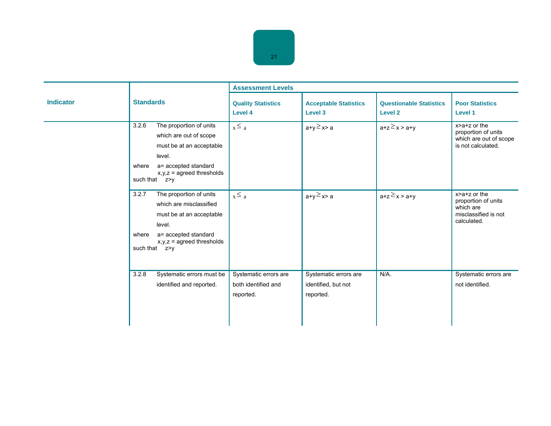|                  |                                                                                                                                                                                      | <b>Assessment Levels</b>                                  |                                                           |                                                      |                                                                                               |  |
|------------------|--------------------------------------------------------------------------------------------------------------------------------------------------------------------------------------|-----------------------------------------------------------|-----------------------------------------------------------|------------------------------------------------------|-----------------------------------------------------------------------------------------------|--|
| <b>Indicator</b> | <b>Standards</b>                                                                                                                                                                     | <b>Quality Statistics</b><br>Level 4                      | <b>Acceptable Statistics</b><br>Level 3                   | <b>Questionable Statistics</b><br>Level <sub>2</sub> | <b>Poor Statistics</b><br>Level 1                                                             |  |
|                  | The proportion of units<br>3.2.6<br>which are out of scope<br>must be at an acceptable<br>level.<br>a= accepted standard<br>where<br>$x, y, z$ = agreed thresholds<br>such that z>y  | $x \leq a$                                                | $a+y \geq x > a$                                          | $a+z \geq x > a+y$                                   | x>a+z or the<br>proportion of units<br>which are out of scope<br>is not calculated.           |  |
|                  | The proportion of units<br>3.2.7<br>which are misclassified<br>must be at an acceptable<br>level.<br>a= accepted standard<br>where<br>$x, y, z$ = agreed thresholds<br>such that z>y | $x \leq a$                                                | $a+y \geq x > a$                                          | $a+z \geq x > a+y$                                   | $x > a + z$ or the<br>proportion of units<br>which are<br>misclassified is not<br>calculated. |  |
|                  | 3.2.8<br>Systematic errors must be<br>identified and reported.                                                                                                                       | Systematic errors are<br>both identified and<br>reported. | Systematic errors are<br>identified, but not<br>reported. | N/A.                                                 | Systematic errors are<br>not identified.                                                      |  |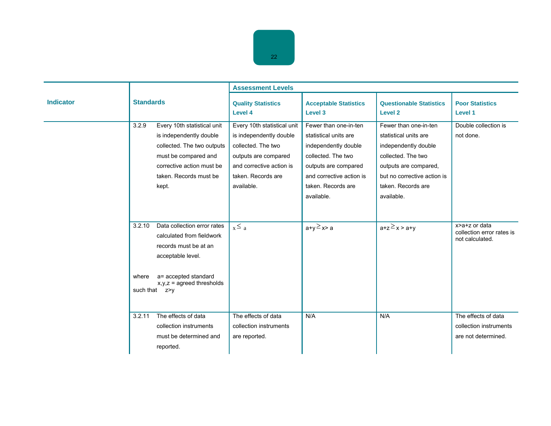|                  |                  |                                                                                                                                                                                      | <b>Assessment Levels</b>                                                                                                                                             |                                                                                                                                                                                      |                                                                                                                                                                                          |                                                                      |
|------------------|------------------|--------------------------------------------------------------------------------------------------------------------------------------------------------------------------------------|----------------------------------------------------------------------------------------------------------------------------------------------------------------------|--------------------------------------------------------------------------------------------------------------------------------------------------------------------------------------|------------------------------------------------------------------------------------------------------------------------------------------------------------------------------------------|----------------------------------------------------------------------|
| <b>Indicator</b> | <b>Standards</b> |                                                                                                                                                                                      | <b>Quality Statistics</b><br>Level 4                                                                                                                                 | <b>Acceptable Statistics</b><br>Level 3                                                                                                                                              | <b>Questionable Statistics</b><br>Level 2                                                                                                                                                | <b>Poor Statistics</b><br>Level 1                                    |
|                  | 3.2.9            | Every 10th statistical unit<br>is independently double<br>collected. The two outputs<br>must be compared and<br>corrective action must be<br>taken. Records must be<br>kept.         | Every 10th statistical unit<br>is independently double<br>collected. The two<br>outputs are compared<br>and corrective action is<br>taken. Records are<br>available. | Fewer than one-in-ten<br>statistical units are<br>independently double<br>collected. The two<br>outputs are compared<br>and corrective action is<br>taken. Records are<br>available. | Fewer than one-in-ten<br>statistical units are<br>independently double<br>collected. The two<br>outputs are compared,<br>but no corrective action is<br>taken. Records are<br>available. | Double collection is<br>not done.                                    |
|                  | 3.2.10<br>where  | Data collection error rates<br>calculated from fieldwork<br>records must be at an<br>acceptable level.<br>a= accepted standard<br>$x, y, z =$ agreed thresholds<br>such that $z > v$ | $x \leq a$                                                                                                                                                           | $a+y \geq x > a$                                                                                                                                                                     | $a+z \geq x > a+y$                                                                                                                                                                       | x>a+z or data<br>collection error rates is<br>not calculated.        |
|                  | 3.2.11           | The effects of data<br>collection instruments<br>must be determined and<br>reported.                                                                                                 | The effects of data<br>collection instruments<br>are reported.                                                                                                       | N/A                                                                                                                                                                                  | N/A                                                                                                                                                                                      | The effects of data<br>collection instruments<br>are not determined. |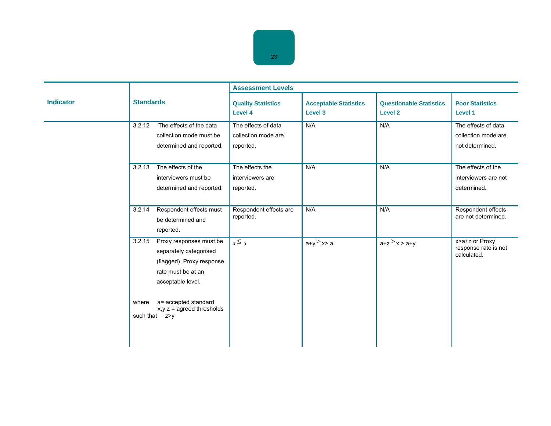|                  |                                                                                                                                     | <b>Assessment Levels</b>                                |                                         |                                                  |                                                               |
|------------------|-------------------------------------------------------------------------------------------------------------------------------------|---------------------------------------------------------|-----------------------------------------|--------------------------------------------------|---------------------------------------------------------------|
| <b>Indicator</b> | <b>Standards</b>                                                                                                                    | <b>Quality Statistics</b><br>Level 4                    | <b>Acceptable Statistics</b><br>Level 3 | <b>Questionable Statistics</b><br><b>Level 2</b> | <b>Poor Statistics</b><br><b>Level 1</b>                      |
|                  | 3.2.12<br>The effects of the data<br>collection mode must be<br>determined and reported.                                            | The effects of data<br>collection mode are<br>reported. | N/A                                     | N/A                                              | The effects of data<br>collection mode are<br>not determined. |
|                  | The effects of the<br>3.2.13<br>interviewers must be<br>determined and reported.                                                    | The effects the<br>interviewers are<br>reported.        | N/A                                     | N/A                                              | The effects of the<br>interviewers are not<br>determined.     |
|                  | Respondent effects must<br>3.2.14<br>be determined and<br>reported.                                                                 | Respondent effects are<br>reported.                     | N/A                                     | N/A                                              | Respondent effects<br>are not determined.                     |
|                  | 3.2.15<br>Proxy responses must be<br>separately categorised<br>(flagged). Proxy response<br>rate must be at an<br>acceptable level. | $x \leq a$                                              | $a+y \geq x > a$                        | $a+z \geq x > a+y$                               | x>a+z or Proxy<br>response rate is not<br>calculated.         |
|                  | a= accepted standard<br>where<br>$x,y,z =$ agreed thresholds<br>such that z>v                                                       |                                                         |                                         |                                                  |                                                               |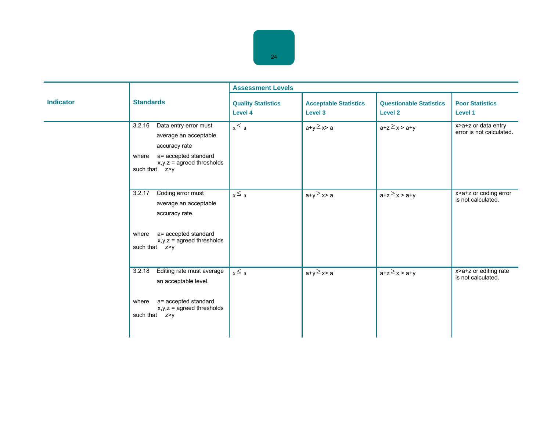|                  |                                                                                                                                                            | <b>Assessment Levels</b>             |                                         |                                           |                                                 |  |
|------------------|------------------------------------------------------------------------------------------------------------------------------------------------------------|--------------------------------------|-----------------------------------------|-------------------------------------------|-------------------------------------------------|--|
| <b>Indicator</b> | <b>Standards</b>                                                                                                                                           | <b>Quality Statistics</b><br>Level 4 | <b>Acceptable Statistics</b><br>Level 3 | <b>Questionable Statistics</b><br>Level 2 | <b>Poor Statistics</b><br>Level 1               |  |
|                  | 3.2.16<br>Data entry error must<br>average an acceptable<br>accuracy rate<br>a= accepted standard<br>where<br>$x,y,z =$ agreed thresholds<br>such that z>y | $x \leq a$                           | $a+y \geq x > a$                        | $a+z \geq x > a+y$                        | x>a+z or data entry<br>error is not calculated. |  |
|                  | Coding error must<br>3.2.17<br>average an acceptable<br>accuracy rate.<br>where a= accepted standard<br>$x,y,z =$ agreed thresholds<br>such that z>y       | $x \leq a$                           | $a+y \geq x > a$                        | $a+z \geq x > a+y$                        | x>a+z or coding error<br>is not calculated.     |  |
|                  | Editing rate must average<br>3.2.18<br>an acceptable level.<br>a= accepted standard<br>where<br>$x, y, z$ = agreed thresholds<br>such that z>y             | $x \leq a$                           | $a+y \geq x > a$                        | $a+z \geq x > a+y$                        | x>a+z or editing rate<br>is not calculated.     |  |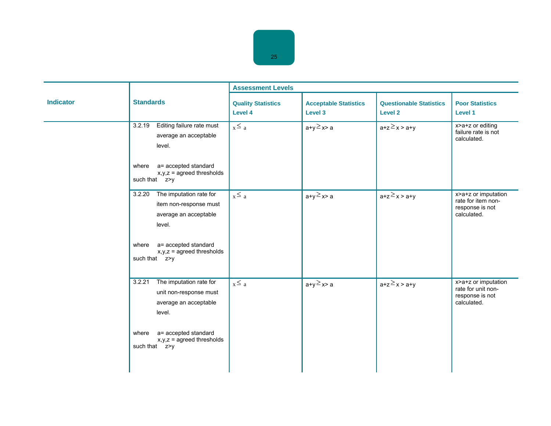|                  |                                                                                                                                                                                   | <b>Assessment Levels</b>             |                                         |                                           |                                                                             |  |
|------------------|-----------------------------------------------------------------------------------------------------------------------------------------------------------------------------------|--------------------------------------|-----------------------------------------|-------------------------------------------|-----------------------------------------------------------------------------|--|
| <b>Indicator</b> | <b>Standards</b>                                                                                                                                                                  | <b>Quality Statistics</b><br>Level 4 | <b>Acceptable Statistics</b><br>Level 3 | <b>Questionable Statistics</b><br>Level 2 | <b>Poor Statistics</b><br>Level 1                                           |  |
|                  | Editing failure rate must<br>3.2.19<br>average an acceptable<br>level.<br>a= accepted standard<br>where<br>$x,y,z =$ agreed thresholds<br>such that z>y                           | $x \leq a$                           | $a+y \geq x > a$                        | $a+z \geq x > a+y$                        | x>a+z or editing<br>failure rate is not<br>calculated.                      |  |
|                  | The imputation rate for<br>3.2.20<br>item non-response must<br>average an acceptable<br>level.<br>where a= accepted standard<br>$x,y,z =$ agreed thresholds<br>such that z>y      | $x \le a$                            | $a+y \geq x > a$                        | $a+z \geq x > a+y$                        | x>a+z or imputation<br>rate for item non-<br>response is not<br>calculated. |  |
|                  | The imputation rate for<br>3.2.21<br>unit non-response must<br>average an acceptable<br>level.<br>a= accepted standard<br>where<br>$x, y, z =$ agreed thresholds<br>such that z>y | $x \leq a$                           | $a+y \geq x > a$                        | $a+z \geq x > a+y$                        | x>a+z or imputation<br>rate for unit non-<br>response is not<br>calculated. |  |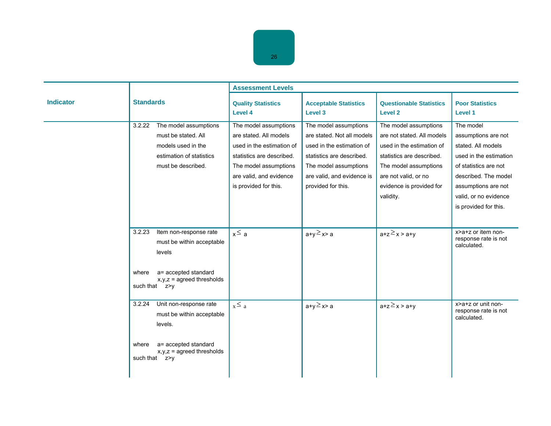|                  |                                                                                                                                                             | <b>Assessment Levels</b>                                                                                                                                                               |                                                                                                                                                                                            |                                                                                                                                                                                                         |                                                                                                                                                                                                            |  |
|------------------|-------------------------------------------------------------------------------------------------------------------------------------------------------------|----------------------------------------------------------------------------------------------------------------------------------------------------------------------------------------|--------------------------------------------------------------------------------------------------------------------------------------------------------------------------------------------|---------------------------------------------------------------------------------------------------------------------------------------------------------------------------------------------------------|------------------------------------------------------------------------------------------------------------------------------------------------------------------------------------------------------------|--|
| <b>Indicator</b> | <b>Standards</b>                                                                                                                                            | <b>Quality Statistics</b><br><b>Level 4</b>                                                                                                                                            | <b>Acceptable Statistics</b><br>Level 3                                                                                                                                                    | <b>Questionable Statistics</b><br>Level 2                                                                                                                                                               | <b>Poor Statistics</b><br>Level 1                                                                                                                                                                          |  |
|                  | The model assumptions<br>3.2.22<br>must be stated. All<br>models used in the<br>estimation of statistics<br>must be described.                              | The model assumptions<br>are stated. All models<br>used in the estimation of<br>statistics are described.<br>The model assumptions<br>are valid, and evidence<br>is provided for this. | The model assumptions<br>are stated. Not all models<br>used in the estimation of<br>statistics are described.<br>The model assumptions<br>are valid, and evidence is<br>provided for this. | The model assumptions<br>are not stated. All models<br>used in the estimation of<br>statistics are described.<br>The model assumptions<br>are not valid, or no<br>evidence is provided for<br>validity. | The model<br>assumptions are not<br>stated. All models<br>used in the estimation<br>of statistics are not<br>described. The model<br>assumptions are not<br>valid, or no evidence<br>is provided for this. |  |
|                  | 3.2.23<br>Item non-response rate<br>must be within acceptable<br>levels<br>a= accepted standard<br>where<br>$x, y, z =$ agreed thresholds<br>such that z>y  | $x \le a$                                                                                                                                                                              | $a+y \geq x > a$                                                                                                                                                                           | $a+z \geq x > a+y$                                                                                                                                                                                      | x>a+z or item non-<br>response rate is not<br>calculated.                                                                                                                                                  |  |
|                  | Unit non-response rate<br>3.2.24<br>must be within acceptable<br>levels.<br>a= accepted standard<br>where<br>$x, y, z$ = agreed thresholds<br>such that z>v | $x \leq a$                                                                                                                                                                             | $a+y \geq x > a$                                                                                                                                                                           | $a+z \geq x > a+y$                                                                                                                                                                                      | x>a+z or unit non-<br>response rate is not<br>calculated.                                                                                                                                                  |  |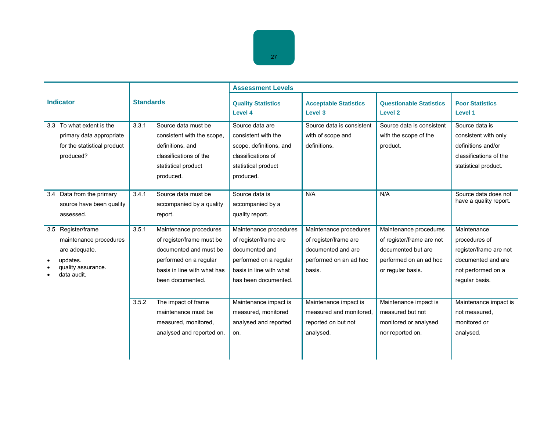|                  |                                                                                                                |                  |                                                                                                                                                            | <b>Assessment Levels</b>                                                                                                                       |                                                                                                           |                                                                                                                          |                                                                                                                      |  |
|------------------|----------------------------------------------------------------------------------------------------------------|------------------|------------------------------------------------------------------------------------------------------------------------------------------------------------|------------------------------------------------------------------------------------------------------------------------------------------------|-----------------------------------------------------------------------------------------------------------|--------------------------------------------------------------------------------------------------------------------------|----------------------------------------------------------------------------------------------------------------------|--|
| <b>Indicator</b> |                                                                                                                | <b>Standards</b> |                                                                                                                                                            | <b>Quality Statistics</b><br>Level 4                                                                                                           | <b>Acceptable Statistics</b><br>Level 3                                                                   | <b>Questionable Statistics</b><br><b>Level 2</b>                                                                         | <b>Poor Statistics</b><br>Level 1                                                                                    |  |
|                  | 3.3 To what extent is the<br>primary data appropriate<br>for the statistical product<br>produced?              | 3.3.1            | Source data must be<br>consistent with the scope,<br>definitions, and<br>classifications of the<br>statistical product<br>produced.                        | Source data are<br>consistent with the<br>scope, definitions, and<br>classifications of<br>statistical product<br>produced.                    | Source data is consistent<br>with of scope and<br>definitions.                                            | Source data is consistent<br>with the scope of the<br>product.                                                           | Source data is<br>consistent with only<br>definitions and/or<br>classifications of the<br>statistical product.       |  |
|                  | 3.4 Data from the primary<br>source have been quality<br>assessed.                                             | 3.4.1            | Source data must be<br>accompanied by a quality<br>report.                                                                                                 | Source data is<br>accompanied by a<br>quality report.                                                                                          | N/A                                                                                                       | N/A                                                                                                                      | Source data does not<br>have a quality report.                                                                       |  |
|                  | 3.5 Register/frame<br>maintenance procedures<br>are adequate.<br>updates.<br>quality assurance.<br>data audit. | 3.5.1            | Maintenance procedures<br>of register/frame must be<br>documented and must be<br>performed on a regular<br>basis in line with what has<br>been documented. | Maintenance procedures<br>of register/frame are<br>documented and<br>performed on a regular<br>basis in line with what<br>has been documented. | Maintenance procedures<br>of register/frame are<br>documented and are<br>performed on an ad hoc<br>basis. | Maintenance procedures<br>of register/frame are not<br>documented but are<br>performed on an ad hoc<br>or regular basis. | Maintenance<br>procedures of<br>register/frame are not<br>documented and are<br>not performed on a<br>regular basis. |  |
|                  |                                                                                                                | 3.5.2            | The impact of frame<br>maintenance must be<br>measured, monitored,<br>analysed and reported on.                                                            | Maintenance impact is<br>measured, monitored<br>analysed and reported<br>on.                                                                   | Maintenance impact is<br>measured and monitored.<br>reported on but not<br>analysed.                      | Maintenance impact is<br>measured but not<br>monitored or analysed<br>nor reported on.                                   | Maintenance impact is<br>not measured,<br>monitored or<br>analysed.                                                  |  |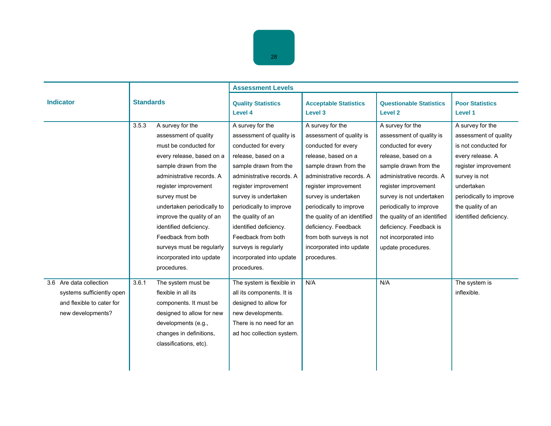|                                                                                                        | <b>Standards</b> |                                                                                                                                                                                                                                                                                                                                                                                    | <b>Assessment Levels</b>                                                                                                                                                                                                                                                                                                                                            |                                                                                                                                                                                                                                                                                                                                                            |                                                                                                                                                                                                                                                                                                                                           |                                                                                                                                                                                                                        |  |
|--------------------------------------------------------------------------------------------------------|------------------|------------------------------------------------------------------------------------------------------------------------------------------------------------------------------------------------------------------------------------------------------------------------------------------------------------------------------------------------------------------------------------|---------------------------------------------------------------------------------------------------------------------------------------------------------------------------------------------------------------------------------------------------------------------------------------------------------------------------------------------------------------------|------------------------------------------------------------------------------------------------------------------------------------------------------------------------------------------------------------------------------------------------------------------------------------------------------------------------------------------------------------|-------------------------------------------------------------------------------------------------------------------------------------------------------------------------------------------------------------------------------------------------------------------------------------------------------------------------------------------|------------------------------------------------------------------------------------------------------------------------------------------------------------------------------------------------------------------------|--|
| <b>Indicator</b>                                                                                       |                  |                                                                                                                                                                                                                                                                                                                                                                                    | <b>Quality Statistics</b><br>Level 4                                                                                                                                                                                                                                                                                                                                | <b>Acceptable Statistics</b><br>Level 3                                                                                                                                                                                                                                                                                                                    | <b>Questionable Statistics</b><br><b>Level 2</b>                                                                                                                                                                                                                                                                                          | <b>Poor Statistics</b><br><b>Level 1</b>                                                                                                                                                                               |  |
|                                                                                                        | 3.5.3            | A survey for the<br>assessment of quality<br>must be conducted for<br>every release, based on a<br>sample drawn from the<br>administrative records. A<br>register improvement<br>survey must be<br>undertaken periodically to<br>improve the quality of an<br>identified deficiency.<br>Feedback from both<br>surveys must be regularly<br>incorporated into update<br>procedures. | A survey for the<br>assessment of quality is<br>conducted for every<br>release, based on a<br>sample drawn from the<br>administrative records. A<br>register improvement<br>survey is undertaken<br>periodically to improve<br>the quality of an<br>identified deficiency.<br>Feedback from both<br>surveys is regularly<br>incorporated into update<br>procedures. | A survey for the<br>assessment of quality is<br>conducted for every<br>release, based on a<br>sample drawn from the<br>administrative records. A<br>register improvement<br>survey is undertaken<br>periodically to improve<br>the quality of an identified<br>deficiency. Feedback<br>from both surveys is not<br>incorporated into update<br>procedures. | A survey for the<br>assessment of quality is<br>conducted for every<br>release, based on a<br>sample drawn from the<br>administrative records. A<br>register improvement<br>survey is not undertaken<br>periodically to improve<br>the quality of an identified<br>deficiency. Feedback is<br>not incorporated into<br>update procedures. | A survey for the<br>assessment of quality<br>is not conducted for<br>every release. A<br>register improvement<br>survey is not<br>undertaken<br>periodically to improve<br>the quality of an<br>identified deficiency. |  |
| 3.6 Are data collection<br>systems sufficiently open<br>and flexible to cater for<br>new developments? | 3.6.1            | The system must be<br>flexible in all its<br>components. It must be<br>designed to allow for new<br>developments (e.g.,<br>changes in definitions,<br>classifications, etc).                                                                                                                                                                                                       | The system is flexible in<br>all its components. It is<br>designed to allow for<br>new developments.<br>There is no need for an<br>ad hoc collection system.                                                                                                                                                                                                        | N/A                                                                                                                                                                                                                                                                                                                                                        | N/A                                                                                                                                                                                                                                                                                                                                       | The system is<br>inflexible.                                                                                                                                                                                           |  |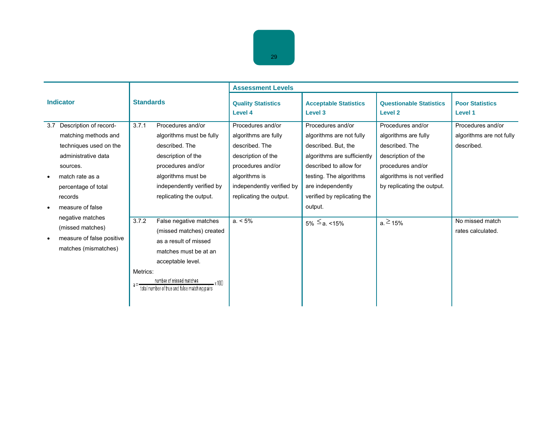|                  |                                                                                                                                                       |                   |                                                                                                                                                               | <b>Assessment Levels</b>                                                                                                                             |                                                                                                                                                                               |                                                                                                                                                                    |                                                             |
|------------------|-------------------------------------------------------------------------------------------------------------------------------------------------------|-------------------|---------------------------------------------------------------------------------------------------------------------------------------------------------------|------------------------------------------------------------------------------------------------------------------------------------------------------|-------------------------------------------------------------------------------------------------------------------------------------------------------------------------------|--------------------------------------------------------------------------------------------------------------------------------------------------------------------|-------------------------------------------------------------|
| <b>Indicator</b> |                                                                                                                                                       | <b>Standards</b>  |                                                                                                                                                               | <b>Quality Statistics</b><br>Level 4                                                                                                                 | <b>Acceptable Statistics</b><br>Level 3                                                                                                                                       | <b>Questionable Statistics</b><br>Level <sub>2</sub>                                                                                                               | <b>Poor Statistics</b><br>Level 1                           |
| 3.7<br>$\bullet$ | Description of record-<br>matching methods and<br>techniques used on the<br>administrative data<br>sources.<br>match rate as a<br>percentage of total | 3.7.1             | Procedures and/or<br>algorithms must be fully<br>described. The<br>description of the<br>procedures and/or<br>algorithms must be<br>independently verified by | Procedures and/or<br>algorithms are fully<br>described. The<br>description of the<br>procedures and/or<br>algorithms is<br>independently verified by | Procedures and/or<br>algorithms are not fully<br>described. But, the<br>algorithms are sufficiently<br>described to allow for<br>testing. The algorithms<br>are independently | Procedures and/or<br>algorithms are fully<br>described. The<br>description of the<br>procedures and/or<br>algorithms is not verified<br>by replicating the output. | Procedures and/or<br>algorithms are not fully<br>described. |
| ٠                | records<br>measure of false                                                                                                                           |                   | replicating the output.                                                                                                                                       | replicating the output.                                                                                                                              | verified by replicating the<br>output.                                                                                                                                        |                                                                                                                                                                    |                                                             |
|                  | negative matches<br>(missed matches)<br>measure of false positive<br>matches (mismatches)                                                             | 3.7.2<br>Metrics: | False negative matches<br>(missed matches) created<br>as a result of missed<br>matches must be at an<br>acceptable level.<br>number of missed matches         | $a. < 5\%$                                                                                                                                           | $5\% \le a.$ <15%                                                                                                                                                             | $a \ge 15\%$                                                                                                                                                       | No missed match<br>rates calculated.                        |
|                  |                                                                                                                                                       |                   | total number of true and false matching pairs                                                                                                                 |                                                                                                                                                      |                                                                                                                                                                               |                                                                                                                                                                    |                                                             |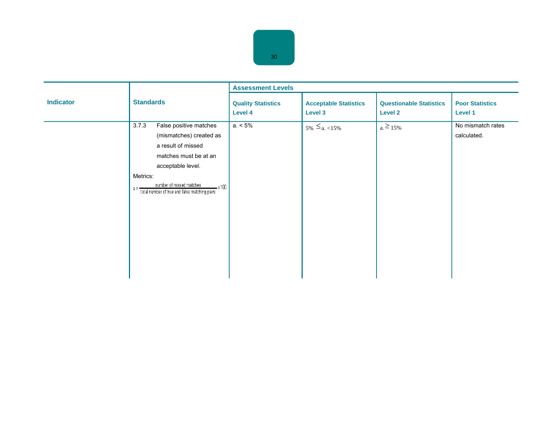|                  |                                                                                                                                                                                                                                             | <b>Assessment Levels</b>             |                                         |                                                  |                                   |  |
|------------------|---------------------------------------------------------------------------------------------------------------------------------------------------------------------------------------------------------------------------------------------|--------------------------------------|-----------------------------------------|--------------------------------------------------|-----------------------------------|--|
| <b>Indicator</b> | <b>Standards</b>                                                                                                                                                                                                                            | <b>Quality Statistics</b><br>Level 4 | <b>Acceptable Statistics</b><br>Level 3 | <b>Questionable Statistics</b><br><b>Level 2</b> | <b>Poor Statistics</b><br>Level 1 |  |
|                  | False positive matches<br>3.7.3<br>(mismatches) created as<br>a result of missed<br>matches must be at an<br>acceptable level.<br>Metrics:<br>number of missed matches<br>$-x100$<br>$a =$<br>total number of true and false matching pairs | $a. < 5\%$                           | $5\% \le a. \le 15\%$                   | $a. \ge 15\%$                                    | No mismatch rates<br>calculated.  |  |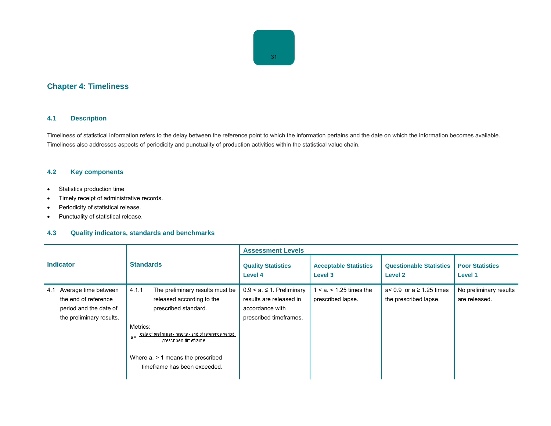# **Chapter 4: Timeliness**

# **4.1 Description**

Timeliness of statistical information refers to the delay between the reference point to which the information pertains and the date on which the information becomes available. Timeliness also addresses aspects of periodicity and punctuality of production activities within the statistical value chain.

# **4.2 Key components**

- Statistics production time
- Timely receipt of administrative records.
- Periodicity of statistical release.
- Punctuality of statistical release.

|                                                                                                           |                                                                                                                                                                                                                                                                                           | <b>Assessment Levels</b>                                                                              |                                                   |                                                          |                                         |  |
|-----------------------------------------------------------------------------------------------------------|-------------------------------------------------------------------------------------------------------------------------------------------------------------------------------------------------------------------------------------------------------------------------------------------|-------------------------------------------------------------------------------------------------------|---------------------------------------------------|----------------------------------------------------------|-----------------------------------------|--|
| <b>Indicator</b>                                                                                          | <b>Standards</b>                                                                                                                                                                                                                                                                          | <b>Quality Statistics</b><br>Level 4                                                                  | <b>Acceptable Statistics</b><br>Level 3           | <b>Questionable Statistics</b><br>Level 2                | <b>Poor Statistics</b><br>Level 1       |  |
| Average time between<br>4.1<br>the end of reference<br>period and the date of<br>the preliminary results. | 4.1.1<br>The preliminary results must be<br>released according to the<br>prescribed standard.<br>Metrics:<br>$a = \frac{date\ of\ preliminary\ results - end\ of\ reference\ period}{1}$<br>prescribed timeframe<br>Where $a \geq 1$ means the prescribed<br>timeframe has been exceeded. | $0.9 < a \le 1$ . Preliminary<br>results are released in<br>accordance with<br>prescribed timeframes. | $1 < a$ . $< 1.25$ times the<br>prescribed lapse. | $a < 0.9$ or $a \ge 1.25$ times<br>the prescribed lapse. | No preliminary results<br>are released. |  |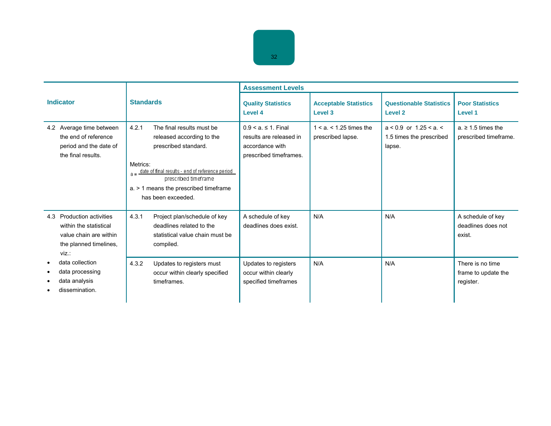|                                                                                                                            |                                                                                                                                                                                                                                                                   | <b>Assessment Levels</b>                                                                             |                                               |                                                                |                                                      |  |
|----------------------------------------------------------------------------------------------------------------------------|-------------------------------------------------------------------------------------------------------------------------------------------------------------------------------------------------------------------------------------------------------------------|------------------------------------------------------------------------------------------------------|-----------------------------------------------|----------------------------------------------------------------|------------------------------------------------------|--|
| <b>Indicator</b>                                                                                                           | <b>Standards</b>                                                                                                                                                                                                                                                  | <b>Quality Statistics</b><br>Level 4                                                                 | <b>Acceptable Statistics</b><br>Level 3       | <b>Questionable Statistics</b><br><b>Level 2</b>               | <b>Poor Statistics</b><br>Level 1                    |  |
| 4.2 Average time between<br>the end of reference<br>period and the date of<br>the final results.                           | 4.2.1<br>The final results must be<br>released according to the<br>prescribed standard.<br>Metrics:<br>$a = \frac{date\ of\ final\ results - end\ of\ reference\ period}{$<br>prescribed timeframe<br>a. > 1 means the prescribed timeframe<br>has been exceeded. | $0.9 < a$ . $\leq 1$ . Final<br>results are released in<br>accordance with<br>prescribed timeframes. | $1 < a < 1.25$ times the<br>prescribed lapse. | $a < 0.9$ or 1.25 < a. <<br>1.5 times the prescribed<br>lapse. | $a \geq 1.5$ times the<br>prescribed timeframe.      |  |
| <b>Production activities</b><br>4.3<br>within the statistical<br>value chain are within<br>the planned timelines,<br>viz.: | 4.3.1<br>Project plan/schedule of key<br>deadlines related to the<br>statistical value chain must be<br>compiled.                                                                                                                                                 | A schedule of key<br>deadlines does exist.                                                           | N/A                                           | N/A                                                            | A schedule of key<br>deadlines does not<br>exist.    |  |
| data collection<br>data processing<br>data analysis<br>dissemination.                                                      | 4.3.2<br>Updates to registers must<br>occur within clearly specified<br>timeframes.                                                                                                                                                                               | Updates to registers<br>occur within clearly<br>specified timeframes                                 | N/A                                           | N/A                                                            | There is no time<br>frame to update the<br>register. |  |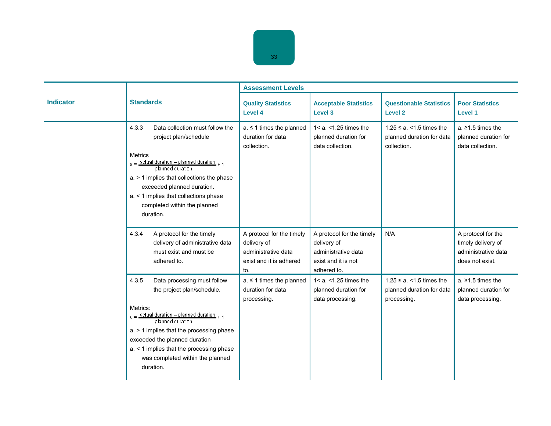|                  |                                                                                                                                                                                                                                                                                                                                   | <b>Assessment Levels</b>                                                                          |                                                                                                       |                                                                            |                                                                                    |  |
|------------------|-----------------------------------------------------------------------------------------------------------------------------------------------------------------------------------------------------------------------------------------------------------------------------------------------------------------------------------|---------------------------------------------------------------------------------------------------|-------------------------------------------------------------------------------------------------------|----------------------------------------------------------------------------|------------------------------------------------------------------------------------|--|
| <b>Indicator</b> | <b>Standards</b>                                                                                                                                                                                                                                                                                                                  | <b>Quality Statistics</b><br>Level 4                                                              | <b>Acceptable Statistics</b><br>Level 3                                                               | <b>Questionable Statistics</b><br><b>Level 2</b>                           | <b>Poor Statistics</b><br>Level 1                                                  |  |
|                  | 4.3.3<br>Data collection must follow the<br>project plan/schedule<br><b>Metrics</b><br>$a = \frac{actual duration - planned duration}{planned duration} + 1$<br>a. > 1 implies that collections the phase<br>exceeded planned duration.<br>a. < 1 implies that collections phase<br>completed within the planned<br>duration.     | $a \leq 1$ times the planned<br>duration for data<br>collection.                                  | $1 < a. < 1.25$ times the<br>planned duration for<br>data collection.                                 | $1.25 \le a$ . < 1.5 times the<br>planned duration for data<br>collection. | a. $\geq$ 1.5 times the<br>planned duration for<br>data collection.                |  |
|                  | 4.3.4<br>A protocol for the timely<br>delivery of administrative data<br>must exist and must be<br>adhered to.                                                                                                                                                                                                                    | A protocol for the timely<br>delivery of<br>administrative data<br>exist and it is adhered<br>to. | A protocol for the timely<br>delivery of<br>administrative data<br>exist and it is not<br>adhered to. | N/A                                                                        | A protocol for the<br>timely delivery of<br>administrative data<br>does not exist. |  |
|                  | 4.3.5<br>Data processing must follow<br>the project plan/schedule.<br>Metrics:<br>$a = \frac{actual duration - planned duration}{planned duration} + 1$<br>a. > 1 implies that the processing phase<br>exceeded the planned duration<br>a. < 1 implies that the processing phase<br>was completed within the planned<br>duration. | $a \leq 1$ times the planned<br>duration for data<br>processing.                                  | $1 < a. < 1.25$ times the<br>planned duration for<br>data processing.                                 | $1.25 \le a$ . < 1.5 times the<br>planned duration for data<br>processing. | a. $\geq$ 1.5 times the<br>planned duration for<br>data processing.                |  |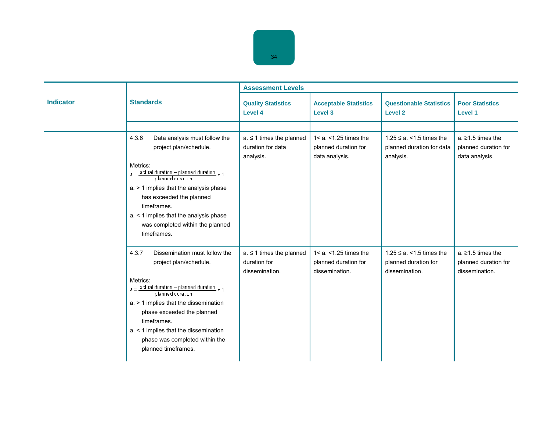|                  |                                                                                                                                                                                                                                                                                                                                           | <b>Assessment Levels</b>                                       |                                                                     |                                                                          |                                                                   |  |
|------------------|-------------------------------------------------------------------------------------------------------------------------------------------------------------------------------------------------------------------------------------------------------------------------------------------------------------------------------------------|----------------------------------------------------------------|---------------------------------------------------------------------|--------------------------------------------------------------------------|-------------------------------------------------------------------|--|
| <b>Indicator</b> | <b>Standards</b>                                                                                                                                                                                                                                                                                                                          | <b>Quality Statistics</b><br>Level 4                           | <b>Acceptable Statistics</b><br>Level 3                             | <b>Questionable Statistics</b><br>Level 2                                | <b>Poor Statistics</b><br>Level 1                                 |  |
|                  |                                                                                                                                                                                                                                                                                                                                           |                                                                |                                                                     |                                                                          |                                                                   |  |
|                  | 4.3.6<br>Data analysis must follow the<br>project plan/schedule.<br>Metrics:<br>$a = \frac{actual duration - planned duration}{planned duration} + 1$<br>$a.$ > 1 implies that the analysis phase<br>has exceeded the planned<br>timeframes.<br>a. < 1 implies that the analysis phase<br>was completed within the planned<br>timeframes. | $a \leq 1$ times the planned<br>duration for data<br>analysis. | $1 < a. < 1.25$ times the<br>planned duration for<br>data analysis. | $1.25 \le a$ . < 1.5 times the<br>planned duration for data<br>analysis. | a. $\geq$ 1.5 times the<br>planned duration for<br>data analysis. |  |
|                  | 4.3.7<br>Dissemination must follow the<br>project plan/schedule.<br>Metrics:<br>$a =$ actual duration - planned duration + 1<br>planned duration<br>a. > 1 implies that the dissemination<br>phase exceeded the planned<br>timeframes.<br>a. < 1 implies that the dissemination<br>phase was completed within the<br>planned timeframes.  | $a \leq 1$ times the planned<br>duration for<br>dissemination. | $1 < a. < 1.25$ times the<br>planned duration for<br>dissemination. | $1.25 \le a$ . < 1.5 times the<br>planned duration for<br>dissemination. | a. $\geq$ 1.5 times the<br>planned duration for<br>dissemination. |  |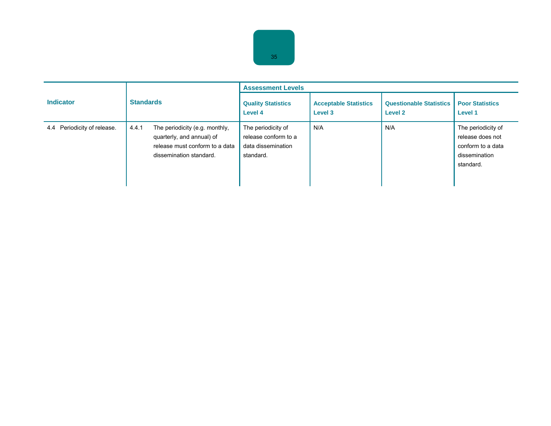|                                |                                                                                                                                   | <b>Assessment Levels</b>                                                      |                                         |                                                  |                                                                                           |  |
|--------------------------------|-----------------------------------------------------------------------------------------------------------------------------------|-------------------------------------------------------------------------------|-----------------------------------------|--------------------------------------------------|-------------------------------------------------------------------------------------------|--|
| <b>Indicator</b>               | <b>Standards</b>                                                                                                                  | <b>Quality Statistics</b><br>Level 4                                          | <b>Acceptable Statistics</b><br>Level 3 | <b>Questionable Statistics</b><br><b>Level 2</b> | <b>Poor Statistics</b><br>Level 1                                                         |  |
| Periodicity of release.<br>4.4 | 4.4.1<br>The periodicity (e.g. monthly,<br>quarterly, and annual) of<br>release must conform to a data<br>dissemination standard. | The periodicity of<br>release conform to a<br>data dissemination<br>standard. | N/A                                     | N/A                                              | The periodicity of<br>release does not<br>conform to a data<br>dissemination<br>standard. |  |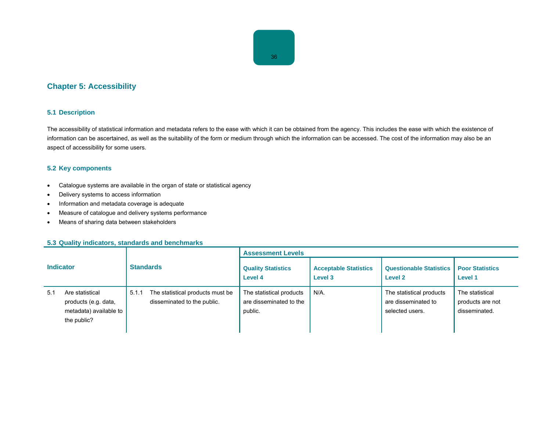# **Chapter 5: Accessibility**

# **5.1 Description**

The accessibility of statistical information and metadata refers to the ease with which it can be obtained from the agency. This includes the ease with which the existence of information can be ascertained, as well as the suitability of the form or medium through which the information can be accessed. The cost of the information may also be an aspect of accessibility for some users.

# **5.2 Key components**

- Catalogue systems are available in the organ of state or statistical agency
- Delivery systems to access information
- Information and metadata coverage is adequate
- Measure of catalogue and delivery systems performance
- Means of sharing data between stakeholders

|                  |                                                                                  |                  |                                                                 | <b>Assessment Levels</b>                                       |                                         |                                                                    |                                                      |  |
|------------------|----------------------------------------------------------------------------------|------------------|-----------------------------------------------------------------|----------------------------------------------------------------|-----------------------------------------|--------------------------------------------------------------------|------------------------------------------------------|--|
| <b>Indicator</b> |                                                                                  | <b>Standards</b> |                                                                 | <b>Quality Statistics</b><br>Level 4                           | <b>Acceptable Statistics</b><br>Level 3 | <b>Questionable Statistics</b><br><b>Level 2</b>                   | <b>Poor Statistics</b><br>Level 1                    |  |
| 5.1              | Are statistical<br>products (e.g. data,<br>metadata) available to<br>the public? | 5.1.1            | The statistical products must be<br>disseminated to the public. | The statistical products<br>are disseminated to the<br>public. | $N/A$ .                                 | The statistical products<br>are disseminated to<br>selected users. | The statistical<br>products are not<br>disseminated. |  |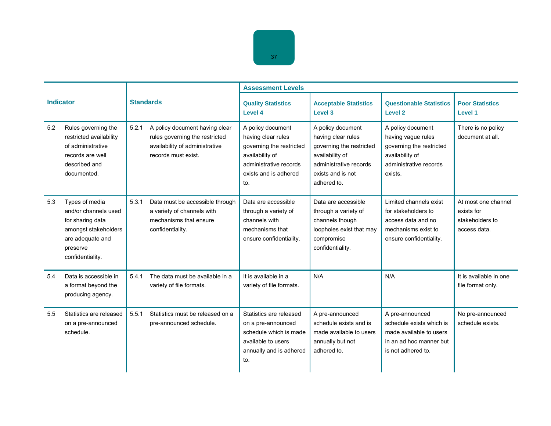|     |                                                                                                                                        | <b>Standards</b> |                                                                                                                           | <b>Assessment Levels</b>                                                                                                                         |                                                                                                                                                      |                                                                                                                             |                                                                      |  |
|-----|----------------------------------------------------------------------------------------------------------------------------------------|------------------|---------------------------------------------------------------------------------------------------------------------------|--------------------------------------------------------------------------------------------------------------------------------------------------|------------------------------------------------------------------------------------------------------------------------------------------------------|-----------------------------------------------------------------------------------------------------------------------------|----------------------------------------------------------------------|--|
|     | <b>Indicator</b>                                                                                                                       |                  |                                                                                                                           | <b>Quality Statistics</b><br>Level 4                                                                                                             | <b>Acceptable Statistics</b><br>Level 3                                                                                                              | <b>Questionable Statistics</b><br>Level <sub>2</sub>                                                                        | <b>Poor Statistics</b><br>Level 1                                    |  |
| 5.2 | Rules governing the<br>restricted availability<br>of administrative<br>records are well<br>described and<br>documented.                | 5.2.1            | A policy document having clear<br>rules governing the restricted<br>availability of administrative<br>records must exist. | A policy document<br>having clear rules<br>governing the restricted<br>availability of<br>administrative records<br>exists and is adhered<br>to. | A policy document<br>having clear rules<br>governing the restricted<br>availability of<br>administrative records<br>exists and is not<br>adhered to. | A policy document<br>having vague rules<br>governing the restricted<br>availability of<br>administrative records<br>exists. | There is no policy<br>document at all.                               |  |
| 5.3 | Types of media<br>and/or channels used<br>for sharing data<br>amongst stakeholders<br>are adequate and<br>preserve<br>confidentiality. | 5.3.1            | Data must be accessible through<br>a variety of channels with<br>mechanisms that ensure<br>confidentiality.               | Data are accessible<br>through a variety of<br>channels with<br>mechanisms that<br>ensure confidentiality.                                       | Data are accessible<br>through a variety of<br>channels though<br>loopholes exist that may<br>compromise<br>confidentiality.                         | Limited channels exist<br>for stakeholders to<br>access data and no<br>mechanisms exist to<br>ensure confidentiality.       | At most one channel<br>exists for<br>stakeholders to<br>access data. |  |
| 5.4 | Data is accessible in<br>a format beyond the<br>producing agency.                                                                      | 5.4.1            | The data must be available in a<br>variety of file formats.                                                               | It is available in a<br>variety of file formats.                                                                                                 | N/A                                                                                                                                                  | N/A                                                                                                                         | It is available in one<br>file format only.                          |  |
| 5.5 | Statistics are released<br>on a pre-announced<br>schedule.                                                                             | 5.5.1            | Statistics must be released on a<br>pre-announced schedule.                                                               | Statistics are released<br>on a pre-announced<br>schedule which is made<br>available to users<br>annually and is adhered<br>to.                  | A pre-announced<br>schedule exists and is<br>made available to users<br>annually but not<br>adhered to.                                              | A pre-announced<br>schedule exists which is<br>made available to users<br>in an ad hoc manner but<br>is not adhered to.     | No pre-announced<br>schedule exists.                                 |  |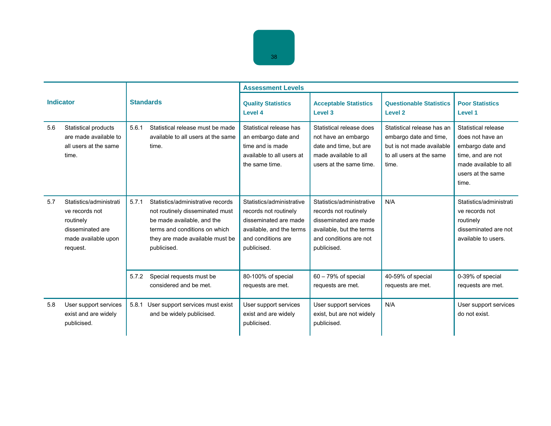|                  |                                                                                                               |                  |                                                                                                                                                                                       | <b>Assessment Levels</b>                                                                                                                     |                                                                                                                                                  |                                                                                                                        |                                                                                                                                         |  |
|------------------|---------------------------------------------------------------------------------------------------------------|------------------|---------------------------------------------------------------------------------------------------------------------------------------------------------------------------------------|----------------------------------------------------------------------------------------------------------------------------------------------|--------------------------------------------------------------------------------------------------------------------------------------------------|------------------------------------------------------------------------------------------------------------------------|-----------------------------------------------------------------------------------------------------------------------------------------|--|
| <b>Indicator</b> |                                                                                                               | <b>Standards</b> |                                                                                                                                                                                       | <b>Quality Statistics</b><br>Level 4                                                                                                         | <b>Acceptable Statistics</b><br>Level 3                                                                                                          | <b>Questionable Statistics</b><br>Level <sub>2</sub>                                                                   | <b>Poor Statistics</b><br>Level 1                                                                                                       |  |
| 5.6              | Statistical products<br>are made available to<br>all users at the same<br>time.                               | 5.6.1            | Statistical release must be made<br>available to all users at the same<br>time.                                                                                                       | Statistical release has<br>an embargo date and<br>time and is made<br>available to all users at<br>the same time.                            | Statistical release does<br>not have an embargo<br>date and time, but are<br>made available to all<br>users at the same time.                    | Statistical release has an<br>embargo date and time,<br>but is not made available<br>to all users at the same<br>time. | Statistical release<br>does not have an<br>embargo date and<br>time, and are not<br>made available to all<br>users at the same<br>time. |  |
| 5.7              | Statistics/administrati<br>ve records not<br>routinely<br>disseminated are<br>made available upon<br>request. | 5.7.1            | Statistics/administrative records<br>not routinely disseminated must<br>be made available, and the<br>terms and conditions on which<br>they are made available must be<br>publicised. | Statistics/administrative<br>records not routinely<br>disseminated are made<br>available, and the terms<br>and conditions are<br>publicised. | Statistics/administrative<br>records not routinely<br>disseminated are made<br>available, but the terms<br>and conditions are not<br>publicised. | N/A                                                                                                                    | Statistics/administrati<br>ve records not<br>routinely<br>disseminated are not<br>available to users.                                   |  |
|                  |                                                                                                               | 5.7.2            | Special requests must be<br>considered and be met.                                                                                                                                    | 80-100% of special<br>requests are met.                                                                                                      | $60 - 79%$ of special<br>requests are met.                                                                                                       | 40-59% of special<br>requests are met.                                                                                 | 0-39% of special<br>requests are met.                                                                                                   |  |
| 5.8              | User support services<br>exist and are widely<br>publicised.                                                  | 5.8.1            | User support services must exist<br>and be widely publicised.                                                                                                                         | User support services<br>exist and are widely<br>publicised.                                                                                 | User support services<br>exist, but are not widely<br>publicised.                                                                                | N/A                                                                                                                    | User support services<br>do not exist.                                                                                                  |  |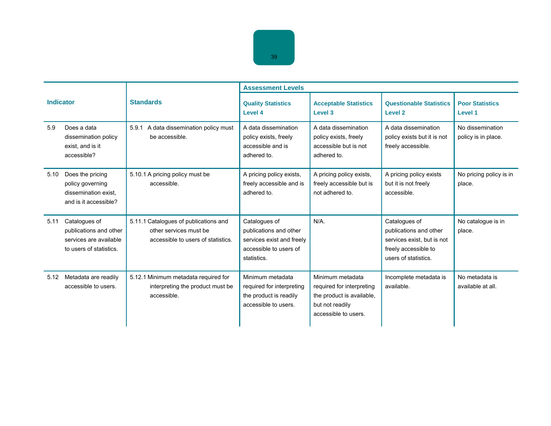|                  |                                                                                              |                                                                                                       | <b>Assessment Levels</b>                                                                                      |                                                                                                                       |                                                                                                                       |                                         |  |
|------------------|----------------------------------------------------------------------------------------------|-------------------------------------------------------------------------------------------------------|---------------------------------------------------------------------------------------------------------------|-----------------------------------------------------------------------------------------------------------------------|-----------------------------------------------------------------------------------------------------------------------|-----------------------------------------|--|
| <b>Indicator</b> |                                                                                              | <b>Standards</b>                                                                                      | <b>Quality Statistics</b><br>Level 4                                                                          | <b>Acceptable Statistics</b><br>Level 3                                                                               | <b>Questionable Statistics</b><br><b>Level 2</b>                                                                      | <b>Poor Statistics</b><br>Level 1       |  |
| 5.9              | Does a data<br>dissemination policy<br>exist, and is it<br>accessible?                       | A data dissemination policy must<br>5.9.1<br>be accessible.                                           | A data dissemination<br>policy exists, freely<br>accessible and is<br>adhered to.                             | A data dissemination<br>policy exists, freely<br>accessible but is not<br>adhered to.                                 | A data dissemination<br>policy exists but it is not<br>freely accessible.                                             | No dissemination<br>policy is in place. |  |
| 5.10             | Does the pricing<br>policy governing<br>dissemination exist.<br>and is it accessible?        | 5.10.1 A pricing policy must be<br>accessible.                                                        | A pricing policy exists,<br>freely accessible and is<br>adhered to.                                           | A pricing policy exists,<br>freely accessible but is<br>not adhered to.                                               | A pricing policy exists<br>but it is not freely<br>accessible.                                                        | No pricing policy is in<br>place.       |  |
| 5.11             | Catalogues of<br>publications and other<br>services are available<br>to users of statistics. | 5.11.1 Catalogues of publications and<br>other services must be<br>accessible to users of statistics. | Catalogues of<br>publications and other<br>services exist and freely<br>accessible to users of<br>statistics. | $N/A$ .                                                                                                               | Catalogues of<br>publications and other<br>services exist, but is not<br>freely accessible to<br>users of statistics. | No catalogue is in<br>place.            |  |
| 5.12             | Metadata are readily<br>accessible to users.                                                 | 5.12.1 Minimum metadata required for<br>interpreting the product must be<br>accessible.               | Minimum metadata<br>required for interpreting<br>the product is readily<br>accessible to users.               | Minimum metadata<br>required for interpreting<br>the product is available.<br>but not readily<br>accessible to users. | Incomplete metadata is<br>available.                                                                                  | No metadata is<br>available at all.     |  |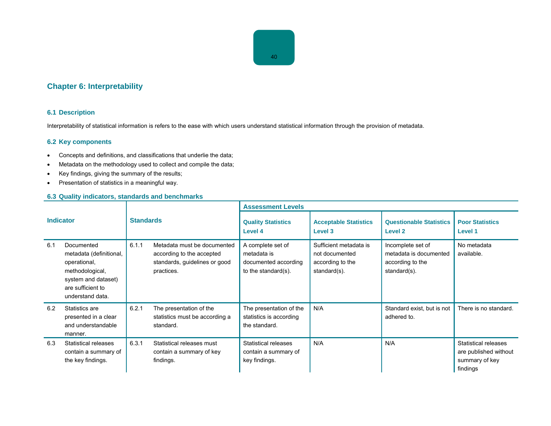# **Chapter 6: Interpretability**

# **6.1 Description**

Interpretability of statistical information is refers to the ease with which users understand statistical information through the provision of metadata.

# **6.2 Key components**

- Concepts and definitions, and classifications that underlie the data;
- Metadata on the methodology used to collect and compile the data;
- Key findings, giving the summary of the results;
- Presentation of statistics in a meaningful way.

# **6.3 Quality indicators, standards and benchmarks**

| <b>Indicator</b> |                                                                                                                                          | <b>Standards</b> |                                                                                                         | <b>Assessment Levels</b>                                                        |                                                                              |                                                                                 |                                                                                    |
|------------------|------------------------------------------------------------------------------------------------------------------------------------------|------------------|---------------------------------------------------------------------------------------------------------|---------------------------------------------------------------------------------|------------------------------------------------------------------------------|---------------------------------------------------------------------------------|------------------------------------------------------------------------------------|
|                  |                                                                                                                                          |                  |                                                                                                         | <b>Quality Statistics</b><br>Level 4                                            | <b>Acceptable Statistics</b><br>Level 3                                      | <b>Questionable Statistics</b><br>Level 2                                       | <b>Poor Statistics</b><br>Level 1                                                  |
| 6.1              | Documented<br>metadata (definitional,<br>operational,<br>methodological,<br>system and dataset)<br>are sufficient to<br>understand data. | 6.1.1            | Metadata must be documented<br>according to the accepted<br>standards, guidelines or good<br>practices. | A complete set of<br>metadata is<br>documented according<br>to the standard(s). | Sufficient metadata is<br>not documented<br>according to the<br>standard(s). | Incomplete set of<br>metadata is documented<br>according to the<br>standard(s). | No metadata<br>available.                                                          |
| 6.2              | Statistics are<br>presented in a clear<br>and understandable<br>manner.                                                                  | 6.2.1            | The presentation of the<br>statistics must be according a<br>standard.                                  | The presentation of the<br>statistics is according<br>the standard.             | N/A                                                                          | Standard exist, but is not<br>adhered to.                                       | There is no standard.                                                              |
| 6.3              | Statistical releases<br>contain a summary of<br>the key findings.                                                                        | 6.3.1            | Statistical releases must<br>contain a summary of key<br>findings.                                      | Statistical releases<br>contain a summary of<br>key findings.                   | N/A                                                                          | N/A                                                                             | <b>Statistical releases</b><br>are published without<br>summary of key<br>findings |

40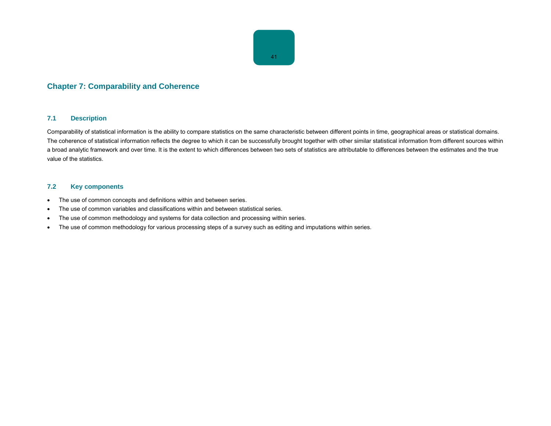

# **Chapter 7: Comparability and Coherence**

#### **7.1 Description**

Comparability of statistical information is the ability to compare statistics on the same characteristic between different points in time, geographical areas or statistical domains. The coherence of statistical information reflects the degree to which it can be successfully brought together with other similar statistical information from different sources within a broad analytic framework and over time. It is the extent to which differences between two sets of statistics are attributable to differences between the estimates and the true value of the statistics.

## **7.2 Key components**

- The use of common concepts and definitions within and between series.
- The use of common variables and classifications within and between statistical series.
- The use of common methodology and systems for data collection and processing within series.
- The use of common methodology for various processing steps of a survey such as editing and imputations within series.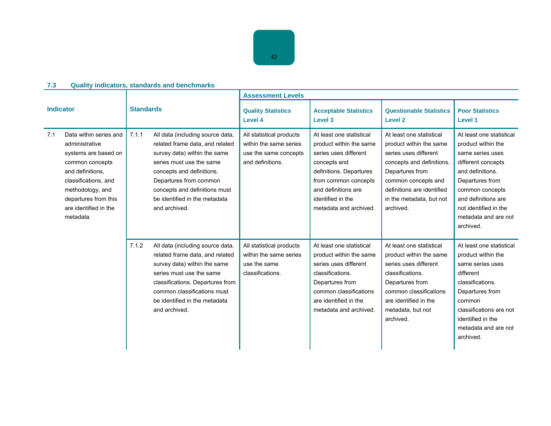|                                                                                                                                                                                                                          |                                                                                                                                                                                                                                                                                    | <b>Assessment Levels</b>                                                                        |                                                                                                                                                                                                                       |                                                                                                                                                                                                                            |                                                                                                                                                                                                                                         |  |  |
|--------------------------------------------------------------------------------------------------------------------------------------------------------------------------------------------------------------------------|------------------------------------------------------------------------------------------------------------------------------------------------------------------------------------------------------------------------------------------------------------------------------------|-------------------------------------------------------------------------------------------------|-----------------------------------------------------------------------------------------------------------------------------------------------------------------------------------------------------------------------|----------------------------------------------------------------------------------------------------------------------------------------------------------------------------------------------------------------------------|-----------------------------------------------------------------------------------------------------------------------------------------------------------------------------------------------------------------------------------------|--|--|
| <b>Indicator</b>                                                                                                                                                                                                         | <b>Standards</b>                                                                                                                                                                                                                                                                   | <b>Quality Statistics</b><br>Level 4                                                            | <b>Acceptable Statistics</b><br>Level 3                                                                                                                                                                               | <b>Questionable Statistics</b><br><b>Level 2</b>                                                                                                                                                                           | <b>Poor Statistics</b><br>Level 1                                                                                                                                                                                                       |  |  |
| Data within series and<br>7.1<br>administrative<br>systems are based on<br>common concepts<br>and definitions.<br>classifications, and<br>methodology, and<br>departures from this<br>are identified in the<br>metadata. | 7.1.1<br>All data (including source data,<br>related frame data, and related<br>survey data) within the same<br>series must use the same<br>concepts and definitions.<br>Departures from common<br>concepts and definitions must<br>be identified in the metadata<br>and archived. | All statistical products<br>within the same series<br>use the same concepts<br>and definitions. | At least one statistical<br>product within the same<br>series uses different<br>concepts and<br>definitions. Departures<br>from common concepts<br>and definitions are<br>identified in the<br>metadata and archived. | At least one statistical<br>product within the same<br>series uses different<br>concepts and definitions.<br>Departures from<br>common concepts and<br>definitions are identified<br>in the metadata, but not<br>archived. | At least one statistical<br>product within the<br>same series uses<br>different concepts<br>and definitions.<br>Departures from<br>common concepts<br>and definitions are<br>not identified in the<br>metadata and are not<br>archived. |  |  |
|                                                                                                                                                                                                                          | 7.1.2<br>All data (including source data,<br>related frame data, and related<br>survey data) within the same<br>series must use the same<br>classifications. Departures from<br>common classifications must<br>be identified in the metadata<br>and archived.                      | All statistical products<br>within the same series<br>use the same<br>classifications.          | At least one statistical<br>product within the same<br>series uses different<br>classifications.<br>Departures from<br>common classifications<br>are identified in the<br>metadata and archived.                      | At least one statistical<br>product within the same<br>series uses different<br>classifications.<br>Departures from<br>common classifications<br>are identified in the<br>metadata, but not<br>archived.                   | At least one statistical<br>product within the<br>same series uses<br>different<br>classifications.<br>Departures from<br>common<br>classifications are not<br>identified in the<br>metadata and are not<br>archived.                   |  |  |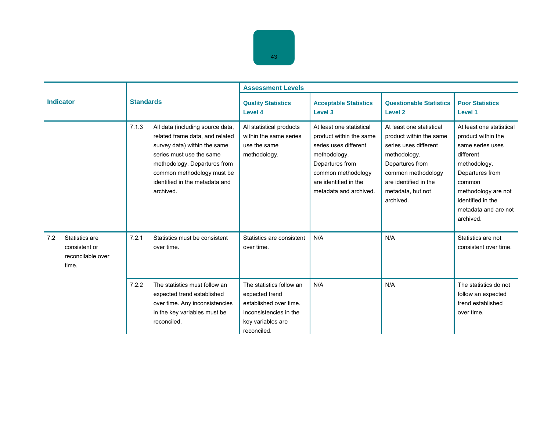|                  |                                                               |                  |                                                                                                                                                                                                                                              | <b>Assessment Levels</b>                                                                                                           |                                                                                                                                                                                          |                                                                                                                                                                                                  |                                                                                                                                                                                                               |  |
|------------------|---------------------------------------------------------------|------------------|----------------------------------------------------------------------------------------------------------------------------------------------------------------------------------------------------------------------------------------------|------------------------------------------------------------------------------------------------------------------------------------|------------------------------------------------------------------------------------------------------------------------------------------------------------------------------------------|--------------------------------------------------------------------------------------------------------------------------------------------------------------------------------------------------|---------------------------------------------------------------------------------------------------------------------------------------------------------------------------------------------------------------|--|
| <b>Indicator</b> |                                                               | <b>Standards</b> |                                                                                                                                                                                                                                              | <b>Quality Statistics</b><br>Level 4                                                                                               | <b>Acceptable Statistics</b><br>Level 3                                                                                                                                                  | <b>Questionable Statistics</b><br>Level 2                                                                                                                                                        | <b>Poor Statistics</b><br>Level 1                                                                                                                                                                             |  |
|                  |                                                               | 7.1.3            | All data (including source data,<br>related frame data, and related<br>survey data) within the same<br>series must use the same<br>methodology. Departures from<br>common methodology must be<br>identified in the metadata and<br>archived. | All statistical products<br>within the same series<br>use the same<br>methodology.                                                 | At least one statistical<br>product within the same<br>series uses different<br>methodology.<br>Departures from<br>common methodology<br>are identified in the<br>metadata and archived. | At least one statistical<br>product within the same<br>series uses different<br>methodology.<br>Departures from<br>common methodology<br>are identified in the<br>metadata, but not<br>archived. | At least one statistical<br>product within the<br>same series uses<br>different<br>methodology.<br>Departures from<br>common<br>methodology are not<br>identified in the<br>metadata and are not<br>archived. |  |
| 7.2              | Statistics are<br>consistent or<br>reconcilable over<br>time. | 7.2.1            | Statistics must be consistent<br>over time.                                                                                                                                                                                                  | Statistics are consistent<br>over time.                                                                                            | N/A                                                                                                                                                                                      | N/A                                                                                                                                                                                              | Statistics are not<br>consistent over time.                                                                                                                                                                   |  |
|                  |                                                               | 7.2.2            | The statistics must follow an<br>expected trend established<br>over time. Any inconsistencies<br>in the key variables must be<br>reconciled.                                                                                                 | The statistics follow an<br>expected trend<br>established over time.<br>Inconsistencies in the<br>key variables are<br>reconciled. | N/A                                                                                                                                                                                      | N/A                                                                                                                                                                                              | The statistics do not<br>follow an expected<br>trend established<br>over time.                                                                                                                                |  |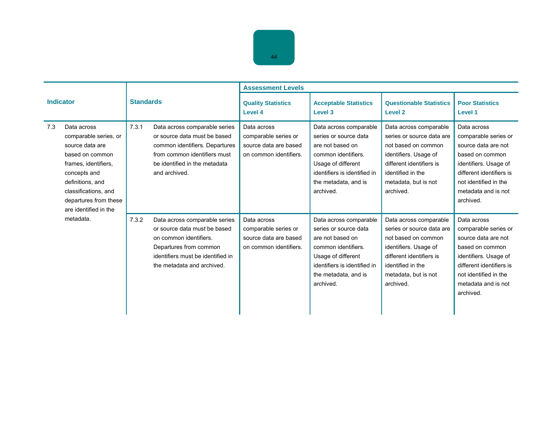|                  |                                                                                                                                                                                                                  |                  |                                                                                                                                                                                      | <b>Assessment Levels</b>                                                               |                                                                                                                                                                                       |                                                                                                                                                                                           |                                                                                                                                                                                                 |
|------------------|------------------------------------------------------------------------------------------------------------------------------------------------------------------------------------------------------------------|------------------|--------------------------------------------------------------------------------------------------------------------------------------------------------------------------------------|----------------------------------------------------------------------------------------|---------------------------------------------------------------------------------------------------------------------------------------------------------------------------------------|-------------------------------------------------------------------------------------------------------------------------------------------------------------------------------------------|-------------------------------------------------------------------------------------------------------------------------------------------------------------------------------------------------|
| <b>Indicator</b> |                                                                                                                                                                                                                  | <b>Standards</b> |                                                                                                                                                                                      | <b>Quality Statistics</b><br>Level 4                                                   | <b>Acceptable Statistics</b><br>Level 3                                                                                                                                               | <b>Questionable Statistics</b><br>Level <sub>2</sub>                                                                                                                                      | <b>Poor Statistics</b><br>Level 1                                                                                                                                                               |
| 7.3              | Data across<br>comparable series, or<br>source data are<br>based on common<br>frames, identifiers,<br>concepts and<br>definitions, and<br>classifications, and<br>departures from these<br>are identified in the | 7.3.1            | Data across comparable series<br>or source data must be based<br>common identifiers. Departures<br>from common identifiers must<br>be identified in the metadata<br>and archived.    | Data across<br>comparable series or<br>source data are based<br>on common identifiers. | Data across comparable<br>series or source data<br>are not based on<br>common identifiers.<br>Usage of different<br>identifiers is identified in<br>the metadata, and is<br>archived. | Data across comparable<br>series or source data are<br>not based on common<br>identifiers. Usage of<br>different identifiers is<br>identified in the<br>metadata, but is not<br>archived. | Data across<br>comparable series or<br>source data are not<br>based on common<br>identifiers. Usage of<br>different identifiers is<br>not identified in the<br>metadata and is not<br>archived. |
|                  | metadata.                                                                                                                                                                                                        | 7.3.2            | Data across comparable series<br>or source data must be based<br>on common identifiers.<br>Departures from common<br>identifiers must be identified in<br>the metadata and archived. | Data across<br>comparable series or<br>source data are based<br>on common identifiers. | Data across comparable<br>series or source data<br>are not based on<br>common identifiers.<br>Usage of different<br>identifiers is identified in<br>the metadata, and is<br>archived. | Data across comparable<br>series or source data are<br>not based on common<br>identifiers. Usage of<br>different identifiers is<br>identified in the<br>metadata, but is not<br>archived. | Data across<br>comparable series or<br>source data are not<br>based on common<br>identifiers. Usage of<br>different identifiers is<br>not identified in the<br>metadata and is not<br>archived. |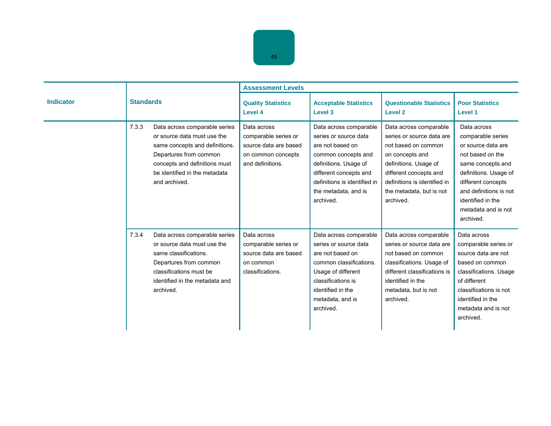|                  |                  |                                                                                                                                                                                                             | <b>Assessment Levels</b>                                                                               |                                                                                                                                                                                                                    |                                                                                                                                                                                                                           |                                                                                                                                                                                                                                   |  |
|------------------|------------------|-------------------------------------------------------------------------------------------------------------------------------------------------------------------------------------------------------------|--------------------------------------------------------------------------------------------------------|--------------------------------------------------------------------------------------------------------------------------------------------------------------------------------------------------------------------|---------------------------------------------------------------------------------------------------------------------------------------------------------------------------------------------------------------------------|-----------------------------------------------------------------------------------------------------------------------------------------------------------------------------------------------------------------------------------|--|
| <b>Indicator</b> | <b>Standards</b> |                                                                                                                                                                                                             | <b>Quality Statistics</b><br>Level 4                                                                   | <b>Acceptable Statistics</b><br>Level 3                                                                                                                                                                            | <b>Questionable Statistics</b><br>Level <sub>2</sub>                                                                                                                                                                      | <b>Poor Statistics</b><br>Level 1                                                                                                                                                                                                 |  |
|                  | 7.3.3            | Data across comparable series<br>or source data must use the<br>same concepts and definitions.<br>Departures from common<br>concepts and definitions must<br>be identified in the metadata<br>and archived. | Data across<br>comparable series or<br>source data are based<br>on common concepts<br>and definitions. | Data across comparable<br>series or source data<br>are not based on<br>common concepts and<br>definitions. Usage of<br>different concepts and<br>definitions is identified in<br>the metadata, and is<br>archived. | Data across comparable<br>series or source data are<br>not based on common<br>on concepts and<br>definitions. Usage of<br>different concepts and<br>definitions is identified in<br>the metadata, but is not<br>archived. | Data across<br>comparable series<br>or source data are<br>not based on the<br>same concepts and<br>definitions. Usage of<br>different concepts<br>and definitions is not<br>identified in the<br>metadata and is not<br>archived. |  |
|                  | 7.3.4            | Data across comparable series<br>or source data must use the<br>same classifications.<br>Departures from common<br>classifications must be<br>identified in the metadata and<br>archived.                   | Data across<br>comparable series or<br>source data are based<br>on common<br>classifications.          | Data across comparable<br>series or source data<br>are not based on<br>common classifications.<br>Usage of different<br>classifications is<br>identified in the<br>metadata, and is<br>archived.                   | Data across comparable<br>series or source data are<br>not based on common<br>classifications. Usage of<br>different classifications is<br>identified in the<br>metadata, but is not<br>archived.                         | Data across<br>comparable series or<br>source data are not<br>based on common<br>classifications. Usage<br>of different<br>classifications is not<br>identified in the<br>metadata and is not<br>archived.                        |  |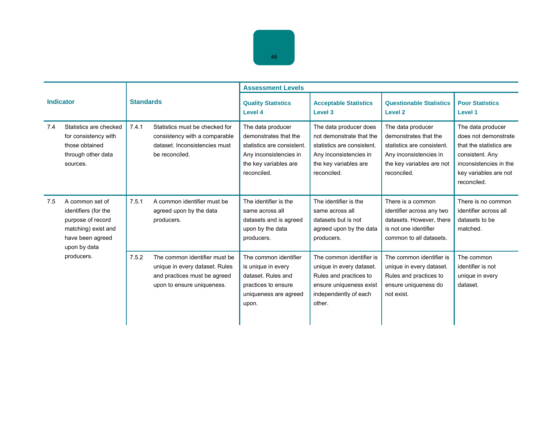|     |                                                                                                                         | <b>Standards</b> |                                                                                                                               | <b>Assessment Levels</b>                                                                                                                   |                                                                                                                                                    |                                                                                                                                                |                                                                                                                                                           |
|-----|-------------------------------------------------------------------------------------------------------------------------|------------------|-------------------------------------------------------------------------------------------------------------------------------|--------------------------------------------------------------------------------------------------------------------------------------------|----------------------------------------------------------------------------------------------------------------------------------------------------|------------------------------------------------------------------------------------------------------------------------------------------------|-----------------------------------------------------------------------------------------------------------------------------------------------------------|
|     | <b>Indicator</b>                                                                                                        |                  |                                                                                                                               | <b>Quality Statistics</b><br>Level 4                                                                                                       | <b>Acceptable Statistics</b><br>Level 3                                                                                                            | <b>Questionable Statistics</b><br><b>Level 2</b>                                                                                               | <b>Poor Statistics</b><br>Level 1                                                                                                                         |
| 7.4 | Statistics are checked<br>for consistency with<br>those obtained<br>through other data<br>sources.                      | 7.4.1            | Statistics must be checked for<br>consistency with a comparable<br>dataset. Inconsistencies must<br>be reconciled.            | The data producer<br>demonstrates that the<br>statistics are consistent.<br>Any inconsistencies in<br>the key variables are<br>reconciled. | The data producer does<br>not demonstrate that the<br>statistics are consistent.<br>Any inconsistencies in<br>the key variables are<br>reconciled. | The data producer<br>demonstrates that the<br>statistics are consistent.<br>Any inconsistencies in<br>the key variables are not<br>reconciled. | The data producer<br>does not demonstrate<br>that the statistics are<br>consistent. Any<br>inconsistencies in the<br>key variables are not<br>reconciled. |
| 7.5 | A common set of<br>identifiers (for the<br>purpose of record<br>matching) exist and<br>have been agreed<br>upon by data | 7.5.1            | A common identifier must be<br>agreed upon by the data<br>producers.                                                          | The identifier is the<br>same across all<br>datasets and is agreed<br>upon by the data<br>producers.                                       | The identifier is the<br>same across all<br>datasets but is not<br>agreed upon by the data<br>producers.                                           | There is a common<br>identifier across any two<br>datasets. However, there<br>is not one identifier<br>common to all datasets.                 | There is no common<br>identifier across all<br>datasets to be<br>matched.                                                                                 |
|     | producers.                                                                                                              | 7.5.2            | The common identifier must be<br>unique in every dataset. Rules<br>and practices must be agreed<br>upon to ensure uniqueness. | The common identifier<br>is unique in every<br>dataset. Rules and<br>practices to ensure<br>uniqueness are agreed<br>upon.                 | The common identifier is<br>unique in every dataset.<br>Rules and practices to<br>ensure uniqueness exist<br>independently of each<br>other.       | The common identifier is<br>unique in every dataset.<br>Rules and practices to<br>ensure uniqueness do<br>not exist.                           | The common<br>identifier is not<br>unique in every<br>dataset.                                                                                            |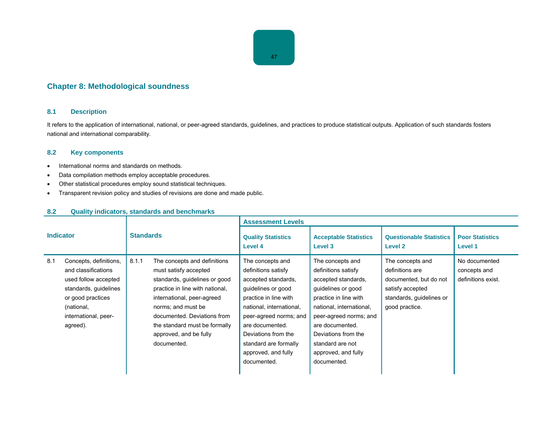# **Chapter 8: Methodological soundness**

## **8.1 Description**

It refers to the application of international, national, or peer-agreed standards, guidelines, and practices to produce statistical outputs. Application of such standards fosters national and international comparability.

# **8.2 Key components**

- International norms and standards on methods.
- Data compilation methods employ acceptable procedures.
- Other statistical procedures employ sound statistical techniques.
- Transparent revision policy and studies of revisions are done and made public.

| <b>Indicator</b> |                                                                                                                                                                       | <b>Standards</b> |                                                                                                                                                                                                                                                                                        | <b>Assessment Levels</b>                                                                                                                                                                                                                                                     |                                                                                                                                                                                                                                                                         |                                                                                                                                 |                                                     |  |
|------------------|-----------------------------------------------------------------------------------------------------------------------------------------------------------------------|------------------|----------------------------------------------------------------------------------------------------------------------------------------------------------------------------------------------------------------------------------------------------------------------------------------|------------------------------------------------------------------------------------------------------------------------------------------------------------------------------------------------------------------------------------------------------------------------------|-------------------------------------------------------------------------------------------------------------------------------------------------------------------------------------------------------------------------------------------------------------------------|---------------------------------------------------------------------------------------------------------------------------------|-----------------------------------------------------|--|
|                  |                                                                                                                                                                       |                  |                                                                                                                                                                                                                                                                                        | <b>Quality Statistics</b><br>Level 4                                                                                                                                                                                                                                         | <b>Acceptable Statistics</b><br>Level 3                                                                                                                                                                                                                                 | <b>Questionable Statistics</b><br>Level 2                                                                                       | <b>Poor Statistics</b><br>Level 1                   |  |
| 8.1              | Concepts, definitions,<br>and classifications<br>used follow accepted<br>standards, guidelines<br>or good practices<br>(national,<br>international, peer-<br>agreed). | 8.1.1            | The concepts and definitions<br>must satisfy accepted<br>standards, guidelines or good<br>practice in line with national,<br>international, peer-agreed<br>norms; and must be<br>documented. Deviations from<br>the standard must be formally<br>approved, and be fully<br>documented. | The concepts and<br>definitions satisfy<br>accepted standards,<br>guidelines or good<br>practice in line with<br>national, international,<br>peer-agreed norms; and<br>are documented.<br>Deviations from the<br>standard are formally<br>approved, and fully<br>documented. | The concepts and<br>definitions satisfy<br>accepted standards,<br>guidelines or good<br>practice in line with<br>national, international,<br>peer-agreed norms; and<br>are documented.<br>Deviations from the<br>standard are not<br>approved, and fully<br>documented. | The concepts and<br>definitions are<br>documented, but do not<br>satisfy accepted<br>standards, guidelines or<br>good practice. | No documented<br>concepts and<br>definitions exist. |  |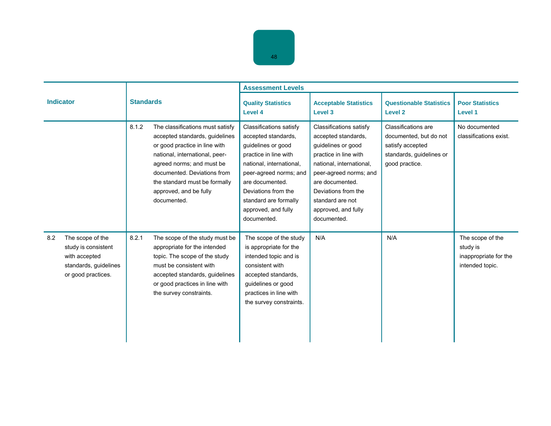|                  |                                                                                                         |                  |                                                                                                                                                                                                                                                                             | <b>Assessment Levels</b>                                                                                                                                                                                                                                            |                                                                                                                                                                                                                                                         |                                                                                                                 |                                                                          |  |
|------------------|---------------------------------------------------------------------------------------------------------|------------------|-----------------------------------------------------------------------------------------------------------------------------------------------------------------------------------------------------------------------------------------------------------------------------|---------------------------------------------------------------------------------------------------------------------------------------------------------------------------------------------------------------------------------------------------------------------|---------------------------------------------------------------------------------------------------------------------------------------------------------------------------------------------------------------------------------------------------------|-----------------------------------------------------------------------------------------------------------------|--------------------------------------------------------------------------|--|
| <b>Indicator</b> |                                                                                                         | <b>Standards</b> |                                                                                                                                                                                                                                                                             | <b>Quality Statistics</b><br>Level 4                                                                                                                                                                                                                                | <b>Acceptable Statistics</b><br>Level 3                                                                                                                                                                                                                 | <b>Questionable Statistics</b><br><b>Level 2</b>                                                                | <b>Poor Statistics</b><br>Level 1                                        |  |
|                  |                                                                                                         | 8.1.2            | The classifications must satisfy<br>accepted standards, guidelines<br>or good practice in line with<br>national, international, peer-<br>agreed norms; and must be<br>documented. Deviations from<br>the standard must be formally<br>approved, and be fully<br>documented. | <b>Classifications satisfy</b><br>accepted standards.<br>guidelines or good<br>practice in line with<br>national, international,<br>peer-agreed norms; and<br>are documented.<br>Deviations from the<br>standard are formally<br>approved, and fully<br>documented. | Classifications satisfy<br>accepted standards.<br>guidelines or good<br>practice in line with<br>national, international,<br>peer-agreed norms; and<br>are documented.<br>Deviations from the<br>standard are not<br>approved, and fully<br>documented. | Classifications are<br>documented, but do not<br>satisfy accepted<br>standards, guidelines or<br>good practice. | No documented<br>classifications exist.                                  |  |
| 8.2              | The scope of the<br>study is consistent<br>with accepted<br>standards, guidelines<br>or good practices. | 8.2.1            | The scope of the study must be<br>appropriate for the intended<br>topic. The scope of the study<br>must be consistent with<br>accepted standards, guidelines<br>or good practices in line with<br>the survey constraints.                                                   | The scope of the study<br>is appropriate for the<br>intended topic and is<br>consistent with<br>accepted standards,<br>guidelines or good<br>practices in line with<br>the survey constraints.                                                                      | N/A                                                                                                                                                                                                                                                     | N/A                                                                                                             | The scope of the<br>study is<br>inappropriate for the<br>intended topic. |  |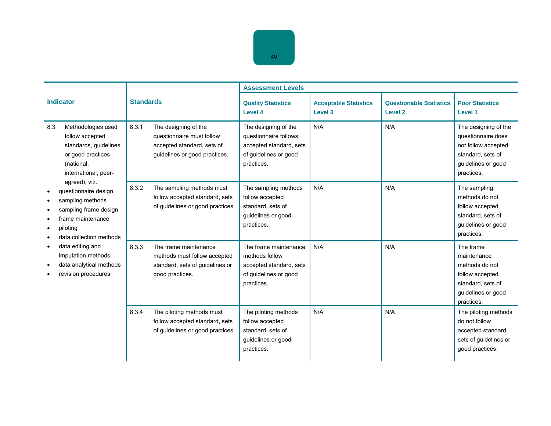|                                                                                                                                                 |                                                                                                                           | <b>Assessment Levels</b>                                                                                        |                                         |                                                  |                                                                                                                            |  |
|-------------------------------------------------------------------------------------------------------------------------------------------------|---------------------------------------------------------------------------------------------------------------------------|-----------------------------------------------------------------------------------------------------------------|-----------------------------------------|--------------------------------------------------|----------------------------------------------------------------------------------------------------------------------------|--|
| <b>Indicator</b>                                                                                                                                | <b>Standards</b>                                                                                                          | <b>Quality Statistics</b><br>Level 4                                                                            | <b>Acceptable Statistics</b><br>Level 3 | <b>Questionable Statistics</b><br><b>Level 2</b> | <b>Poor Statistics</b><br>Level 1                                                                                          |  |
| 8.3<br>Methodologies used<br>follow accepted<br>standards, guidelines<br>or good practices<br>(national,<br>international, peer-                | 8.3.1<br>The designing of the<br>questionnaire must follow<br>accepted standard, sets of<br>guidelines or good practices. | The designing of the<br>questionnaire follows<br>accepted standard, sets<br>of guidelines or good<br>practices. | N/A                                     | N/A                                              | The designing of the<br>questionnaire does<br>not follow accepted<br>standard, sets of<br>quidelines or good<br>practices. |  |
| agreed), viz.:<br>questionnaire design<br>sampling methods<br>sampling frame design<br>frame maintenance<br>piloting<br>data collection methods | 8.3.2<br>The sampling methods must<br>follow accepted standard, sets<br>of guidelines or good practices.                  | The sampling methods<br>follow accepted<br>standard, sets of<br>guidelines or good<br>practices.                | N/A                                     | N/A                                              | The sampling<br>methods do not<br>follow accepted<br>standard, sets of<br>guidelines or good<br>practices.                 |  |
| data editing and<br>imputation methods<br>data analytical methods<br>revision procedures                                                        | 8.3.3<br>The frame maintenance<br>methods must follow accepted<br>standard, sets of guidelines or<br>good practices.      | The frame maintenance<br>methods follow<br>accepted standard, sets<br>of guidelines or good<br>practices.       | N/A                                     | N/A                                              | The frame<br>maintenance<br>methods do not<br>follow accepted<br>standard, sets of<br>guidelines or good<br>practices.     |  |
|                                                                                                                                                 | The piloting methods must<br>8.3.4<br>follow accepted standard, sets<br>of guidelines or good practices.                  | The piloting methods<br>follow accepted<br>standard, sets of<br>guidelines or good<br>practices.                | N/A                                     | N/A                                              | The piloting methods<br>do not follow<br>accepted standard,<br>sets of guidelines or<br>good practices.                    |  |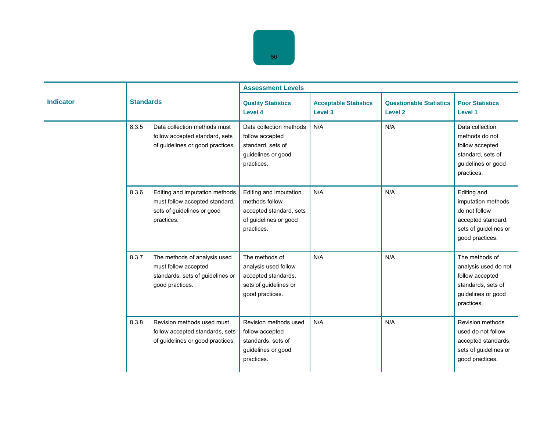|                  | <b>Standards</b>         |                                                                                                    | <b>Assessment Levels</b>                                                                                   |                                         |                                           |                                                                                                                      |
|------------------|--------------------------|----------------------------------------------------------------------------------------------------|------------------------------------------------------------------------------------------------------------|-----------------------------------------|-------------------------------------------|----------------------------------------------------------------------------------------------------------------------|
| <b>Indicator</b> |                          |                                                                                                    | <b>Quality Statistics</b><br>Level 4                                                                       | <b>Acceptable Statistics</b><br>Level 3 | <b>Questionable Statistics</b><br>Level 2 | <b>Poor Statistics</b><br>Level 1                                                                                    |
|                  | 8.3.5                    | Data collection methods must<br>follow accepted standard, sets<br>of guidelines or good practices. | Data collection methods<br>follow accepted<br>standard, sets of<br>guidelines or good<br>practices.        | N/A                                     | N/A                                       | Data collection<br>methods do not<br>follow accepted<br>standard, sets of<br>guidelines or good<br>practices.        |
|                  | 8.3.6<br>practices.      | Editing and imputation methods<br>must follow accepted standard,<br>sets of guidelines or good     | Editing and imputation<br>methods follow<br>accepted standard, sets<br>of guidelines or good<br>practices. | N/A                                     | N/A                                       | Editing and<br>imputation methods<br>do not follow<br>accepted standard,<br>sets of guidelines or<br>good practices. |
|                  | 8.3.7<br>good practices. | The methods of analysis used<br>must follow accepted<br>standards, sets of guidelines or           | The methods of<br>analysis used follow<br>accepted standards,<br>sets of guidelines or<br>good practices.  | N/A                                     | N/A                                       | The methods of<br>analysis used do not<br>follow accepted<br>standards, sets of<br>guidelines or good<br>practices.  |
|                  | 8.3.8                    | Revision methods used must<br>follow accepted standards, sets<br>of guidelines or good practices.  | Revision methods used<br>follow accepted<br>standards, sets of<br>guidelines or good<br>practices.         | N/A                                     | N/A                                       | Revision methods<br>used do not follow<br>accepted standards,<br>sets of guidelines or<br>good practices.            |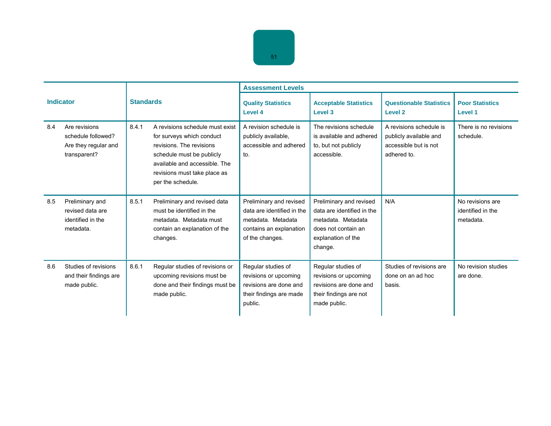|     |                                                                             |       |                                                                                                                                                                                                             | <b>Assessment Levels</b>                                                                                                  |                                                                                                                                     |                                                                                           |                                                    |  |
|-----|-----------------------------------------------------------------------------|-------|-------------------------------------------------------------------------------------------------------------------------------------------------------------------------------------------------------------|---------------------------------------------------------------------------------------------------------------------------|-------------------------------------------------------------------------------------------------------------------------------------|-------------------------------------------------------------------------------------------|----------------------------------------------------|--|
|     | <b>Indicator</b>                                                            |       | <b>Standards</b>                                                                                                                                                                                            | <b>Quality Statistics</b><br>Level 4                                                                                      | <b>Acceptable Statistics</b><br>Level 3                                                                                             | <b>Questionable Statistics</b><br>Level 2                                                 | <b>Poor Statistics</b><br>Level 1                  |  |
| 8.4 | Are revisions<br>schedule followed?<br>Are they regular and<br>transparent? | 8.4.1 | A revisions schedule must exist<br>for surveys which conduct<br>revisions. The revisions<br>schedule must be publicly<br>available and accessible. The<br>revisions must take place as<br>per the schedule. | A revision schedule is<br>publicly available,<br>accessible and adhered<br>to.                                            | The revisions schedule<br>is available and adhered<br>to, but not publicly<br>accessible.                                           | A revisions schedule is<br>publicly available and<br>accessible but is not<br>adhered to. | There is no revisions<br>schedule.                 |  |
| 8.5 | Preliminary and<br>revised data are<br>identified in the<br>metadata.       | 8.5.1 | Preliminary and revised data<br>must be identified in the<br>metadata. Metadata must<br>contain an explanation of the<br>changes.                                                                           | Preliminary and revised<br>data are identified in the<br>metadata. Metadata<br>contains an explanation<br>of the changes. | Preliminary and revised<br>data are identified in the<br>metadata. Metadata<br>does not contain an<br>explanation of the<br>change. | N/A                                                                                       | No revisions are<br>identified in the<br>metadata. |  |
| 8.6 | Studies of revisions<br>and their findings are<br>made public.              | 8.6.1 | Regular studies of revisions or<br>upcoming revisions must be<br>done and their findings must be<br>made public.                                                                                            | Regular studies of<br>revisions or upcoming<br>revisions are done and<br>their findings are made<br>public.               | Regular studies of<br>revisions or upcoming<br>revisions are done and<br>their findings are not<br>made public.                     | Studies of revisions are<br>done on an ad hoc<br>basis.                                   | No revision studies<br>are done.                   |  |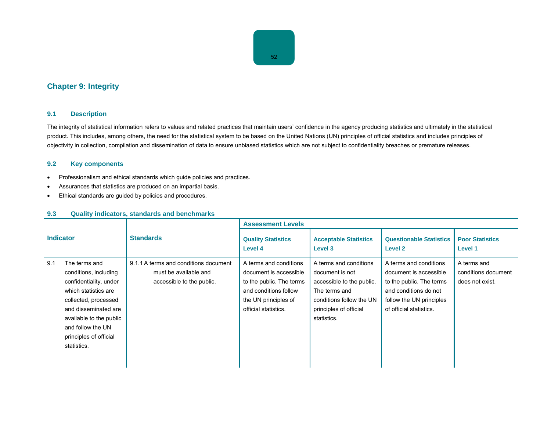# **Chapter 9: Integrity**

## **9.1 Description**

The integrity of statistical information refers to values and related practices that maintain users' confidence in the agency producing statistics and ultimately in the statistical product. This includes, among others, the need for the statistical system to be based on the United Nations (UN) principles of official statistics and includes principles of objectivity in collection, compilation and dissemination of data to ensure unbiased statistics which are not subject to confidentiality breaches or premature releases.

# **9.2 Key components**

- Professionalism and ethical standards which guide policies and practices.
- Assurances that statistics are produced on an impartial basis.
- Ethical standards are guided by policies and procedures.

| <b>Indicator</b> |                                                                                                                                                                                                                                   | <b>Standards</b>                                                                            | <b>Assessment Levels</b>                                                                                                                              |                                                                                                                                                              |                                                                                                                                                              |                                                       |  |
|------------------|-----------------------------------------------------------------------------------------------------------------------------------------------------------------------------------------------------------------------------------|---------------------------------------------------------------------------------------------|-------------------------------------------------------------------------------------------------------------------------------------------------------|--------------------------------------------------------------------------------------------------------------------------------------------------------------|--------------------------------------------------------------------------------------------------------------------------------------------------------------|-------------------------------------------------------|--|
|                  |                                                                                                                                                                                                                                   |                                                                                             | <b>Quality Statistics</b><br>Level 4                                                                                                                  | <b>Acceptable Statistics</b><br>Level 3                                                                                                                      | <b>Questionable Statistics</b><br><b>Level 2</b>                                                                                                             | <b>Poor Statistics</b><br>Level 1                     |  |
| 9.1              | The terms and<br>conditions, including<br>confidentiality, under<br>which statistics are<br>collected, processed<br>and disseminated are<br>available to the public<br>and follow the UN<br>principles of official<br>statistics. | 9.1.1 A terms and conditions document<br>must be available and<br>accessible to the public. | A terms and conditions<br>document is accessible<br>to the public. The terms<br>and conditions follow<br>the UN principles of<br>official statistics. | A terms and conditions<br>document is not<br>accessible to the public.<br>The terms and<br>conditions follow the UN<br>principles of official<br>statistics. | A terms and conditions<br>document is accessible<br>to the public. The terms<br>and conditions do not<br>follow the UN principles<br>of official statistics. | A terms and<br>conditions document<br>does not exist. |  |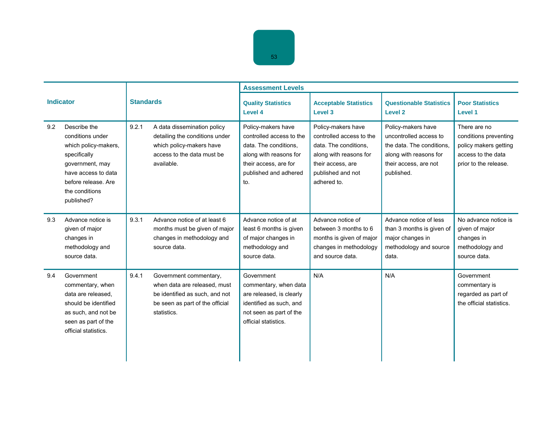|                  |                                                                                                                                                                           |                  |                                                                                                                                            | <b>Assessment Levels</b>                                                                                                                                   |                                                                                                                                                            |                                                                                                                                            |                                                                                                               |  |
|------------------|---------------------------------------------------------------------------------------------------------------------------------------------------------------------------|------------------|--------------------------------------------------------------------------------------------------------------------------------------------|------------------------------------------------------------------------------------------------------------------------------------------------------------|------------------------------------------------------------------------------------------------------------------------------------------------------------|--------------------------------------------------------------------------------------------------------------------------------------------|---------------------------------------------------------------------------------------------------------------|--|
| <b>Indicator</b> |                                                                                                                                                                           | <b>Standards</b> |                                                                                                                                            | <b>Quality Statistics</b><br>Level 4                                                                                                                       | <b>Acceptable Statistics</b><br>Level 3                                                                                                                    | <b>Questionable Statistics</b><br><b>Level 2</b>                                                                                           | <b>Poor Statistics</b><br>Level 1                                                                             |  |
| 9.2              | Describe the<br>conditions under<br>which policy-makers,<br>specifically<br>government, may<br>have access to data<br>before release. Are<br>the conditions<br>published? | 9.2.1            | A data dissemination policy<br>detailing the conditions under<br>which policy-makers have<br>access to the data must be<br>available.      | Policy-makers have<br>controlled access to the<br>data. The conditions.<br>along with reasons for<br>their access, are for<br>published and adhered<br>to. | Policy-makers have<br>controlled access to the<br>data. The conditions,<br>along with reasons for<br>their access, are<br>published and not<br>adhered to. | Policy-makers have<br>uncontrolled access to<br>the data. The conditions.<br>along with reasons for<br>their access, are not<br>published. | There are no<br>conditions preventing<br>policy makers getting<br>access to the data<br>prior to the release. |  |
| 9.3              | Advance notice is<br>given of major<br>changes in<br>methodology and<br>source data.                                                                                      | 9.3.1            | Advance notice of at least 6<br>months must be given of major<br>changes in methodology and<br>source data.                                | Advance notice of at<br>least 6 months is given<br>of major changes in<br>methodology and<br>source data.                                                  | Advance notice of<br>between 3 months to 6<br>months is given of major<br>changes in methodology<br>and source data.                                       | Advance notice of less<br>than 3 months is given of<br>major changes in<br>methodology and source<br>data.                                 | No advance notice is<br>given of major<br>changes in<br>methodology and<br>source data.                       |  |
| 9.4              | Government<br>commentary, when<br>data are released.<br>should be identified<br>as such, and not be<br>seen as part of the<br>official statistics.                        | 9.4.1            | Government commentary,<br>when data are released, must<br>be identified as such, and not<br>be seen as part of the official<br>statistics. | Government<br>commentary, when data<br>are released, is clearly<br>identified as such, and<br>not seen as part of the<br>official statistics.              | N/A                                                                                                                                                        | N/A                                                                                                                                        | Government<br>commentary is<br>regarded as part of<br>the official statistics.                                |  |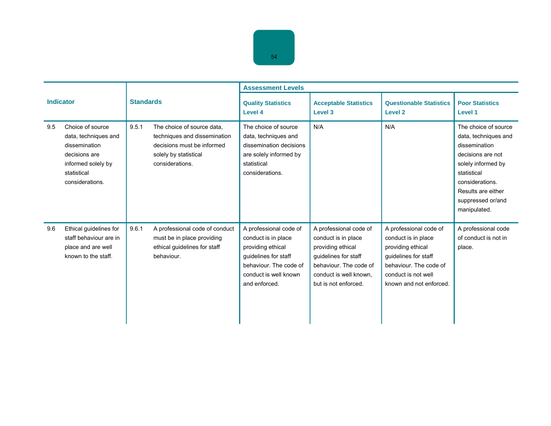| <b>Indicator</b> |                                                                                                                                    | <b>Standards</b> |                                                                                                                                      | <b>Assessment Levels</b>                                                                                                                                       |                                                                                                                                                                        |                                                                                                                                                                        |                                                                                                                                                                                                       |
|------------------|------------------------------------------------------------------------------------------------------------------------------------|------------------|--------------------------------------------------------------------------------------------------------------------------------------|----------------------------------------------------------------------------------------------------------------------------------------------------------------|------------------------------------------------------------------------------------------------------------------------------------------------------------------------|------------------------------------------------------------------------------------------------------------------------------------------------------------------------|-------------------------------------------------------------------------------------------------------------------------------------------------------------------------------------------------------|
|                  |                                                                                                                                    |                  |                                                                                                                                      | <b>Quality Statistics</b><br>Level 4                                                                                                                           | <b>Acceptable Statistics</b><br>Level 3                                                                                                                                | <b>Questionable Statistics</b><br><b>Level 2</b>                                                                                                                       | <b>Poor Statistics</b><br>Level 1                                                                                                                                                                     |
| 9.5              | Choice of source<br>data, techniques and<br>dissemination<br>decisions are<br>informed solely by<br>statistical<br>considerations. | 9.5.1            | The choice of source data,<br>techniques and dissemination<br>decisions must be informed<br>solely by statistical<br>considerations. | The choice of source<br>data, techniques and<br>dissemination decisions<br>are solely informed by<br>statistical<br>considerations.                            | N/A                                                                                                                                                                    | N/A                                                                                                                                                                    | The choice of source<br>data, techniques and<br>dissemination<br>decisions are not<br>solely informed by<br>statistical<br>considerations.<br>Results are either<br>suppressed or/and<br>manipulated. |
| 9.6              | Ethical guidelines for<br>staff behaviour are in<br>place and are well<br>known to the staff.                                      | 9.6.1            | A professional code of conduct<br>must be in place providing<br>ethical guidelines for staff<br>behaviour.                           | A professional code of<br>conduct is in place<br>providing ethical<br>quidelines for staff<br>behaviour. The code of<br>conduct is well known<br>and enforced. | A professional code of<br>conduct is in place<br>providing ethical<br>guidelines for staff<br>behaviour. The code of<br>conduct is well known,<br>but is not enforced. | A professional code of<br>conduct is in place<br>providing ethical<br>quidelines for staff<br>behaviour. The code of<br>conduct is not well<br>known and not enforced. | A professional code<br>of conduct is not in<br>place.                                                                                                                                                 |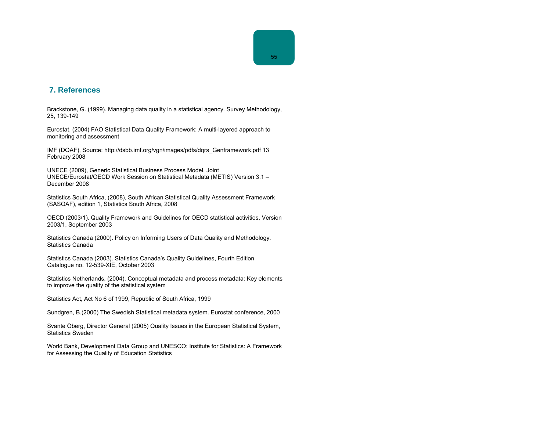# **7. References**

Brackstone, G. (1999). Managing data quality in a statistical agency. Survey Methodology, 25, 139-149

Eurostat, (2004) FAO Statistical Data Quality Framework: A multi-layered approach to monitoring and assessment

IMF (DQAF), Source: http://dsbb.imf.org/vgn/images/pdfs/dqrs\_Genframework.pdf 13 February 2008

UNECE (2009), Generic Statistical Business Process Model, Joint UNECE/Eurostat/OECD Work Session on Statistical Metadata (METIS) Version 3.1 – December 2008

Statistics South Africa, (2008), South African Statistical Quality Assessment Framework (SASQAF), edition 1, Statistics South Africa, 2008

OECD (2003/1). Quality Framework and Guidelines for OECD statistical activities, Version 2003/1, September 2003

Statistics Canada (2000). Policy on Informing Users of Data Quality and Methodology. Statistics Canada

Statistics Canada (2003). Statistics Canada's Quality Guidelines, Fourth Edition Catalogue no. 12-539-XIE, October 2003

Statistics Netherlands, (2004), Conceptual metadata and process metadata: Key elements to improve the quality of the statistical system

Statistics Act, Act No 6 of 1999, Republic of South Africa, 1999

Sundgren, B.(2000) The Swedish Statistical metadata system. Eurostat conference, 2000

Svante Öberg, Director General (2005) Quality Issues in the European Statistical System, Statistics Sweden

World Bank, Development Data Group and UNESCO: Institute for Statistics: A Framework for Assessing the Quality of Education Statistics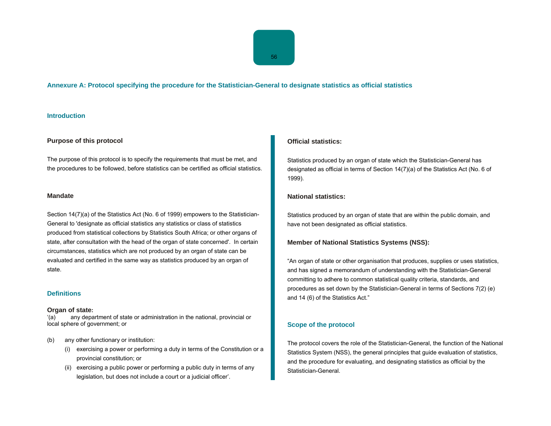## **Annexure A: Protocol specifying the procedure for the Statistician-General to designate statistics as official statistics**

## **Introduction**

#### **Purpose of this protocol**

The purpose of this protocol is to specify the requirements that must be met, and the procedures to be followed, before statistics can be certified as official statistics.

#### **Mandate**

Section 14(7)(a) of the Statistics Act (No. 6 of 1999) empowers to the Statistician-General to 'designate as official statistics any statistics or class of statistics produced from statistical collections by Statistics South Africa; or other organs of state, after consultation with the head of the organ of state concerned'. In certain circumstances, statistics which are not produced by an organ of state can be evaluated and certified in the same way as statistics produced by an organ of state.

# **Definitions**

#### **Organ of state:**

'(a) any department of state or administration in the national, provincial or local sphere of government; or

- (b) any other functionary or institution:
	- (i) exercising a power or performing a duty in terms of the Constitution or a provincial constitution; or
	- (ii) exercising a public power or performing a public duty in terms of any legislation, but does not include a court or a judicial officer'.

#### **Official statistics:**

Statistics produced by an organ of state which the Statistician-General has designated as official in terms of Section 14(7)(a) of the Statistics Act (No. 6 of 1999).

### **National statistics:**

Statistics produced by an organ of state that are within the public domain, and have not been designated as official statistics.

### **Member of National Statistics Systems (NSS):**

"An organ of state or other organisation that produces, supplies or uses statistics, and has signed a memorandum of understanding with the Statistician-General committing to adhere to common statistical quality criteria, standards, and procedures as set down by the Statistician-General in terms of Sections 7(2) (e) and 14 (6) of the Statistics Act."

#### **Scope of the protocol**

The protocol covers the role of the Statistician-General, the function of the National Statistics System (NSS), the general principles that guide evaluation of statistics, and the procedure for evaluating, and designating statistics as official by the Statistician-General.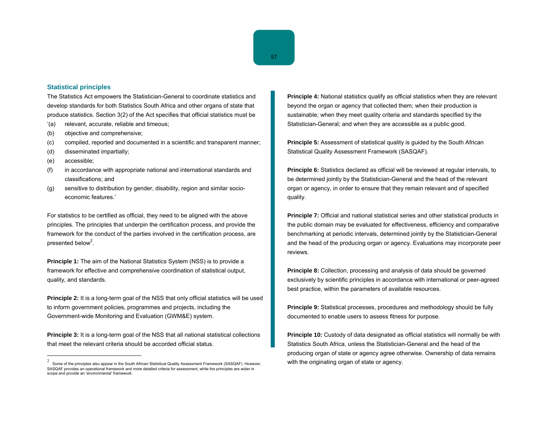#### **Statistical principles**

The Statistics Act empowers the Statistician-General to coordinate statistics and develop standards for both Statistics South Africa and other organs of state that produce statistics. Section 3(2) of the Act specifies that official statistics must be

- '(a) relevant, accurate, reliable and timeous;
- (b) objective and comprehensive;
- (c) compiled, reported and documented in a scientific and transparent manner;
- (d) disseminated impartially;
- (e) accessible;
- (f) in accordance with appropriate national and international standards and classifications; and
- (g) sensitive to distribution by gender, disability, region and similar socioeconomic features.'

For statistics to be certified as official, they need to be aligned with the above principles. The principles that underpin the certification process, and provide the framework for the conduct of the parties involved in the certification process, are presented below<sup>2</sup>.

**Principle 1:** The aim of the National Statistics System (NSS) is to provide a framework for effective and comprehensive coordination of statistical output, quality, and standards.

**Principle 2:** It is a long-term goal of the NSS that only official statistics will be used to inform government policies, programmes and projects, including the Government-wide Monitoring and Evaluation (GWM&E) system.

**Principle 3:** It is a long-term goal of the NSS that all national statistical collections that meet the relevant criteria should be accorded official status.

**Principle 4:** National statistics qualify as official statistics when they are relevant beyond the organ or agency that collected them; when their production is sustainable; when they meet quality criteria and standards specified by the Statistician-General; and when they are accessible as a public good.

**Principle 5:** Assessment of statistical quality is guided by the South African Statistical Quality Assessment Framework (SASQAF).

**Principle 6:** Statistics declared as official will be reviewed at regular intervals, to be determined jointly by the Statistician-General and the head of the relevant organ or agency, in order to ensure that they remain relevant and of specified quality.

**Principle 7:** Official and national statistical series and other statistical products in the public domain may be evaluated for effectiveness, efficiency and comparative benchmarking at periodic intervals, determined jointly by the Statistician-General and the head of the producing organ or agency. Evaluations may incorporate peer reviews.

**Principle 8:** Collection, processing and analysis of data should be governed exclusively by scientific principles in accordance with international or peer-agreed best practice, within the parameters of available resources.

**Principle 9:** Statistical processes, procedures and methodology should be fully documented to enable users to assess fitness for purpose.

**Principle 10:** Custody of data designated as official statistics will normally be with Statistics South Africa, unless the Statistician-General and the head of the producing organ of state or agency agree otherwise. Ownership of data remains with the originating organ of state or agency.

<sup>2</sup>Some of the principles also appear in the South African Statistical Quality Assessment Framework (SASQAF). However, SASQAF provides an operational framework and more detailed criteria for assessment, while the principles are wider in scope and provide an 'environmental' framework.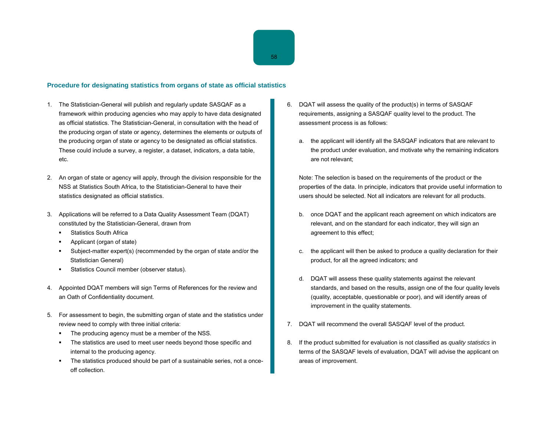#### **Procedure for designating statistics from organs of state as official statistics**

- 1. The Statistician-General will publish and regularly update SASQAF as a framework within producing agencies who may apply to have data designated as official statistics. The Statistician-General, in consultation with the head of the producing organ of state or agency, determines the elements or outputs of the producing organ of state or agency to be designated as official statistics. These could include a survey, a register, a dataset, indicators, a data table, etc.
- 2. An organ of state or agency will apply, through the division responsible for the NSS at Statistics South Africa, to the Statistician-General to have their statistics designated as official statistics.
- 3. Applications will be referred to a Data Quality Assessment Team (DQAT) constituted by the Statistician-General, drawn from
	- Statistics South Africa
	- Applicant (organ of state)
	- Subject-matter expert(s) (recommended by the organ of state and/or the Statistician General)
	- Statistics Council member (observer status).
- 4. Appointed DQAT members will sign Terms of References for the review and an Oath of Confidentiality document.
- 5. For assessment to begin, the submitting organ of state and the statistics under review need to comply with three initial criteria:
	- The producing agency must be a member of the NSS.
	- The statistics are used to meet user needs beyond those specific and internal to the producing agency.
	- The statistics produced should be part of a sustainable series, not a onceoff collection.
- 6. DQAT will assess the quality of the product(s) in terms of SASQAF requirements, assigning a SASQAF quality level to the product. The assessment process is as follows:
	- a. the applicant will identify all the SASQAF indicators that are relevant to the product under evaluation, and motivate why the remaining indicators are not relevant;

Note: The selection is based on the requirements of the product or the properties of the data. In principle, indicators that provide useful information to users should be selected. Not all indicators are relevant for all products.

- b. once DQAT and the applicant reach agreement on which indicators are relevant, and on the standard for each indicator, they will sign an agreement to this effect;
- c. the applicant will then be asked to produce a quality declaration for their product, for all the agreed indicators; and
- d. DQAT will assess these quality statements against the relevant standards, and based on the results, assign one of the four quality levels (quality, acceptable, questionable or poor), and will identify areas of improvement in the quality statements.
- 7. DQAT will recommend the overall SASQAF level of the product.
- 8. If the product submitted for evaluation is not classified as *quality statistics* in terms of the SASQAF levels of evaluation, DQAT will advise the applicant on areas of improvement.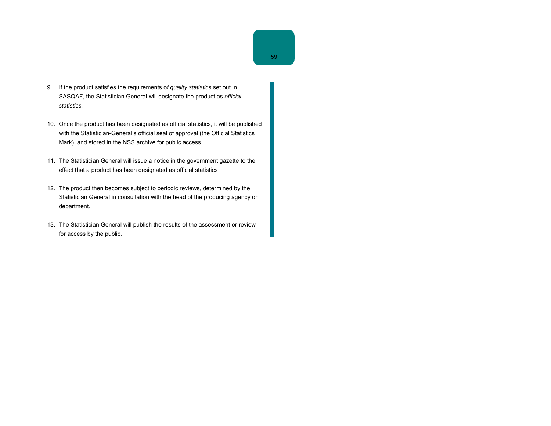- 9. If the product satisfies the requirements o*f quality statistic*s set out in SASQAF, the Statistician General will designate the product as *official statistics.*
- 10. Once the product has been designated as official statistics, it will be published with the Statistician-General's official seal of approval (the Official Statistics Mark), and stored in the NSS archive for public access.
- 11. The Statistician General will issue a notice in the government gazette to the effect that a product has been designated as official statistics
- 12. The product then becomes subject to periodic reviews, determined by the Statistician General in consultation with the head of the producing agency or department.
- 13. The Statistician General will publish the results of the assessment or review for access by the public.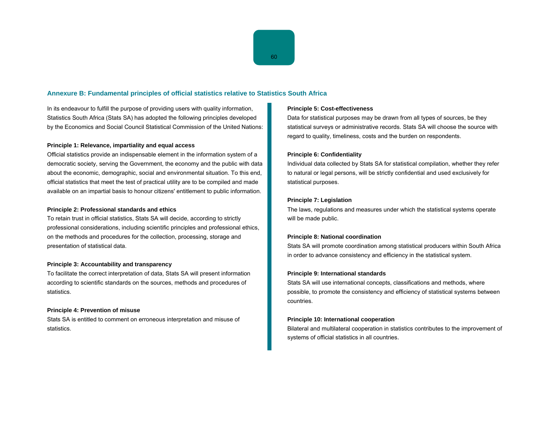# **Annexure B: Fundamental principles of official statistics relative to Statistics South Africa**

In its endeavour to fulfill the purpose of providing users with quality information, Statistics South Africa (Stats SA) has adopted the following principles developed by the Economics and Social Council Statistical Commission of the United Nations:

#### **Principle 1: Relevance, impartiality and equal access**

Official statistics provide an indispensable element in the information system of a democratic society, serving the Government, the economy and the public with data about the economic, demographic, social and environmental situation. To this end, official statistics that meet the test of practical utility are to be compiled and made available on an impartial basis to honour citizens' entitlement to public information.

#### **Principle 2: Professional standards and ethics**

To retain trust in official statistics, Stats SA will decide, according to strictly professional considerations, including scientific principles and professional ethics, on the methods and procedures for the collection, processing, storage and presentation of statistical data.

#### **Principle 3: Accountability and transparency**

To facilitate the correct interpretation of data, Stats SA will present information according to scientific standards on the sources, methods and procedures of statistics.

#### **Principle 4: Prevention of misuse**

Stats SA is entitled to comment on erroneous interpretation and misuse of statistics.

#### **Principle 5: Cost-effectiveness**

Data for statistical purposes may be drawn from all types of sources, be they statistical surveys or administrative records. Stats SA will choose the source with regard to quality, timeliness, costs and the burden on respondents.

#### **Principle 6: Confidentiality**

Individual data collected by Stats SA for statistical compilation, whether they refer to natural or legal persons, will be strictly confidential and used exclusively for statistical purposes.

#### **Principle 7: Legislation**

The laws, regulations and measures under which the statistical systems operate will be made public.

#### **Principle 8: National coordination**

Stats SA will promote coordination among statistical producers within South Africa in order to advance consistency and efficiency in the statistical system.

#### **Principle 9: International standards**

Stats SA will use international concepts, classifications and methods, where possible, to promote the consistency and efficiency of statistical systems between countries.

#### **Principle 10: International cooperation**

Bilateral and multilateral cooperation in statistics contributes to the improvement of systems of official statistics in all countries.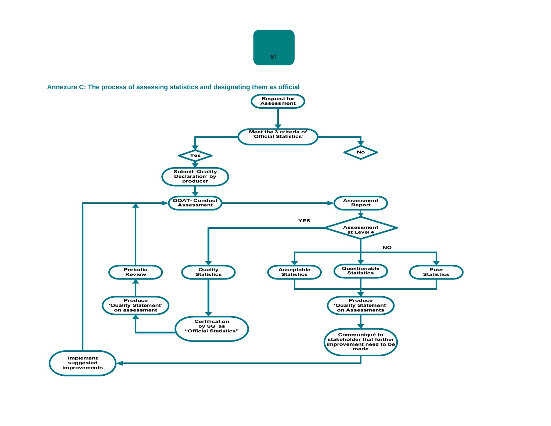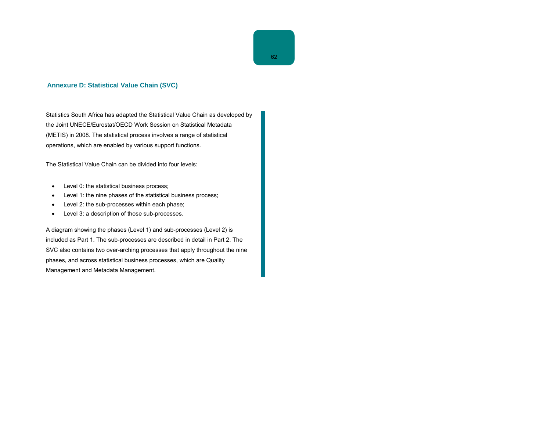Statistics South Africa has adapted the Statistical Value Chain as developed by the Joint UNECE/Eurostat/OECD Work Session on Statistical Metadata (METIS) in 2008. The statistical process involves a range of statistical operations, which are enabled by various support functions.

The Statistical Value Chain can be divided into four levels:

- Level 0: the statistical business process;
- Level 1: the nine phases of the statistical business process;
- Level 2: the sub-processes within each phase;
- Level 3: a description of those sub-processes.

A diagram showing the phases (Level 1) and sub-processes (Level 2) is included as Part 1. The sub-processes are described in detail in Part 2. The SVC also contains two over-arching processes that apply throughout the nine phases, and across statistical business processes, which are Quality Management and Metadata Management.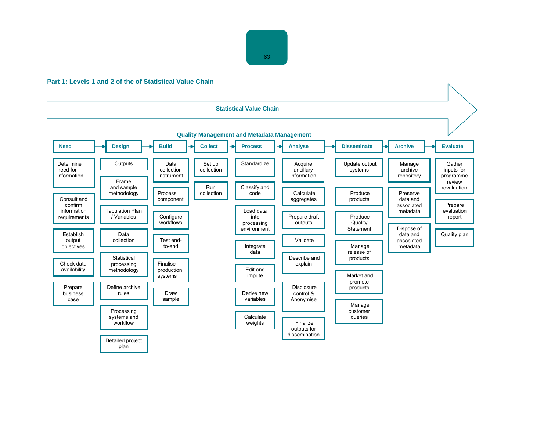# **Part 1: Levels 1 and 2 of the of Statistical Value Chain**

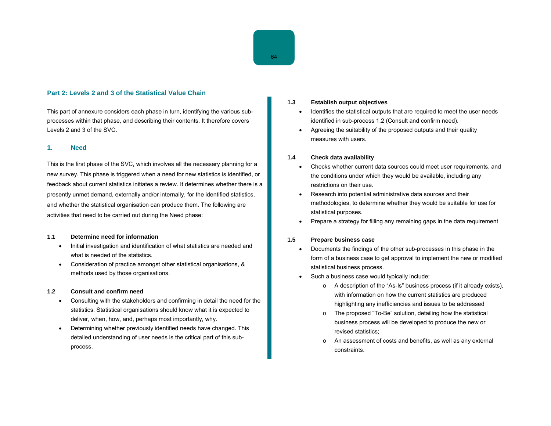## **Part 2: Levels 2 and 3 of the Statistical Value Chain**

This part of annexure considers each phase in turn, identifying the various subprocesses within that phase, and describing their contents. It therefore covers Levels 2 and 3 of the SVC.

#### **1. Need**

This is the first phase of the SVC, which involves all the necessary planning for a new survey. This phase is triggered when a need for new statistics is identified, or feedback about current statistics initiates a review. It determines whether there is a presently unmet demand, externally and/or internally, for the identified statistics, and whether the statistical organisation can produce them. The following are activities that need to be carried out during the Need phase:

#### **1.1 Determine need for information**

- Initial investigation and identification of what statistics are needed and what is needed of the statistics.
- Consideration of practice amongst other statistical organisations, & methods used by those organisations.

#### **1.2 Consult and confirm need**

- Consulting with the stakeholders and confirming in detail the need for the statistics. Statistical organisations should know what it is expected to deliver, when, how, and, perhaps most importantly, why.
- Determining whether previously identified needs have changed. This detailed understanding of user needs is the critical part of this subprocess.

#### **1.3 Establish output objectives**

- Identifies the statistical outputs that are required to meet the user needs identified in sub-process 1.2 (Consult and confirm need).
- Agreeing the suitability of the proposed outputs and their quality measures with users.

#### **1.4 Check data availability**

- Checks whether current data sources could meet user requirements, and the conditions under which they would be available, including any restrictions on their use.
- Research into potential administrative data sources and their methodologies, to determine whether they would be suitable for use for statistical purposes.
- Prepare a strategy for filling any remaining gaps in the data requirement

#### **1.5 Prepare business case**

- Documents the findings of the other sub-processes in this phase in the form of a business case to get approval to implement the new or modified statistical business process.
- Such a business case would typically include:
	- <sup>o</sup> A description of the "As-Is" business process (if it already exists), with information on how the current statistics are produced highlighting any inefficiencies and issues to be addressed
	- <sup>o</sup> The proposed "To-Be" solution, detailing how the statistical business process will be developed to produce the new or revised statistics;
	- <sup>o</sup> An assessment of costs and benefits, as well as any external constraints.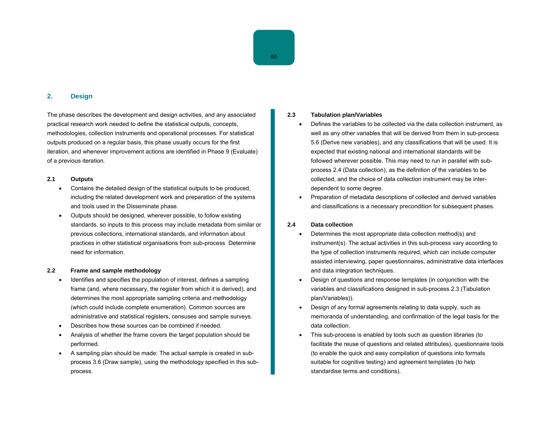## **2. Design**

The phase describes the development and design activities, and any associated practical research work needed to define the statistical outputs, concepts, methodologies, collection instruments and operational processes. For statistical outputs produced on a regular basis, this phase usually occurs for the first iteration, and whenever improvement actions are identified in Phase 9 (Evaluate) of a previous iteration.

#### **2.1 Outputs**

- Contains the detailed design of the statistical outputs to be produced, including the related development work and preparation of the systems and tools used in the Disseminate phase.
- Outputs should be designed, wherever possible, to follow existing standards, so inputs to this process may include metadata from similar or previous collections, international standards, and information about practices in other statistical organisations from sub-process Determine need for information.

#### **2.2 Frame and sample methodology**

- Identifies and specifies the population of interest, defines a sampling frame (and, where necessary, the register from which it is derived), and determines the most appropriate sampling criteria and methodology (which could include complete enumeration). Common sources are administrative and statistical registers, censuses and sample surveys.
- Describes how these sources can be combined if needed.
- Analysis of whether the frame covers the target population should be performed.
- A sampling plan should be made: The actual sample is created in subprocess 3.6 (Draw sample), using the methodology specified in this subprocess.

#### **2.3 Tabulation plan/Variables**

- Defines the variables to be collected via the data collection instrument, as well as any other variables that will be derived from them in sub-process 5.6 (Derive new variables), and any classifications that will be used. It is expected that existing national and international standards will be followed wherever possible. This may need to run in parallel with subprocess 2.4 (Data collection), as the definition of the variables to be collected, and the choice of data collection instrument may be interdependent to some degree.
- Preparation of metadata descriptions of collected and derived variables and classifications is a necessary precondition for subsequent phases.

### **2.4 Data collection**

- Determines the most appropriate data collection method(s) and instrument(s). The actual activities in this sub-process vary according to the type of collection instruments required, which can include computer assisted interviewing, paper questionnaires, administrative data interfaces and data integration techniques.
- Design of questions and response templates (in conjunction with the variables and classifications designed in sub-process 2.3 (Tabulation plan/Variables)).
- Design of any formal agreements relating to data supply, such as memoranda of understanding, and confirmation of the legal basis for the data collection.
- This sub-process is enabled by tools such as question libraries (to facilitate the reuse of questions and related attributes), questionnaire tools (to enable the quick and easy compilation of questions into formats suitable for cognitive testing) and agreement templates (to help standardise terms and conditions).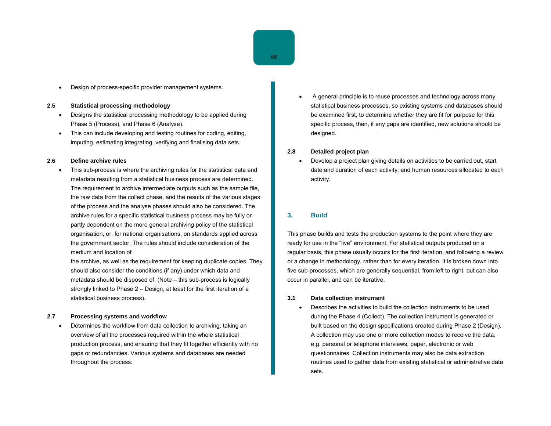• Design of process-specific provider management systems.

#### **2.5 Statistical processing methodology**

- Designs the statistical processing methodology to be applied during Phase 5 (Process), and Phase 6 (Analyse).
- This can include developing and testing routines for coding, editing, imputing, estimating integrating, verifying and finalising data sets.

#### **2.6 Define archive rules**

• This sub-process is where the archiving rules for the statistical data and metadata resulting from a statistical business process are determined. The requirement to archive intermediate outputs such as the sample file, the raw data from the collect phase, and the results of the various stages of the process and the analyse phases should also be considered. The archive rules for a specific statistical business process may be fully or partly dependent on the more general archiving policy of the statistical organisation, or, for national organisations, on standards applied across the government sector. The rules should include consideration of the medium and location of

the archive, as well as the requirement for keeping duplicate copies. They should also consider the conditions (if any) under which data and metadata should be disposed of. (Note – this sub-process is logically strongly linked to Phase 2 – Design, at least for the first iteration of a statistical business process).

#### **2.7 Processing systems and workflow**

• Determines the workflow from data collection to archiving, taking an overview of all the processes required within the whole statistical production process, and ensuring that they fit together efficiently with no gaps or redundancies. Various systems and databases are needed throughout the process.

• A general principle is to reuse processes and technology across many statistical business processes, so existing systems and databases should be examined first, to determine whether they are fit for purpose for this specific process, then, if any gaps are identified, new solutions should be designed.

## **2.8 Detailed project plan**

• Develop a project plan giving details on activities to be carried out, start date and duration of each activity; and human resources allocated to each activity.

# **3. Build**

This phase builds and tests the production systems to the point where they are ready for use in the "live" environment. For statistical outputs produced on a regular basis, this phase usually occurs for the first iteration, and following a review or a change in methodology, rather than for every iteration. It is broken down into five sub-processes, which are generally sequential, from left to right, but can also occur in parallel, and can be iterative.

#### **3.1 Data collection instrument**

• Describes the activities to build the collection instruments to be used during the Phase 4 (Collect). The collection instrument is generated or built based on the design specifications created during Phase 2 (Design). A collection may use one or more collection modes to receive the data, e.g. personal or telephone interviews; paper, electronic or web questionnaires. Collection instruments may also be data extraction routines used to gather data from existing statistical or administrative data sets.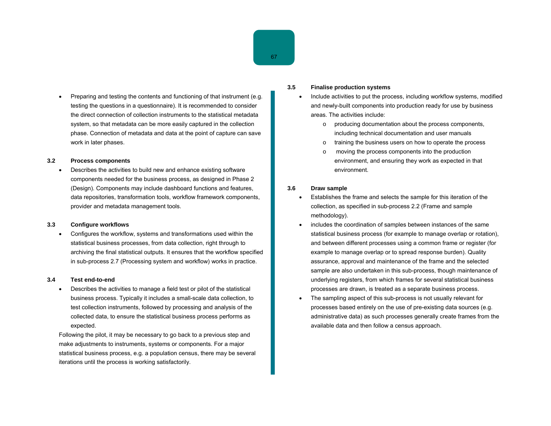• Preparing and testing the contents and functioning of that instrument (e.g. testing the questions in a questionnaire). It is recommended to consider the direct connection of collection instruments to the statistical metadata system, so that metadata can be more easily captured in the collection phase. Connection of metadata and data at the point of capture can save work in later phases.

#### **3.2 Process components**

• Describes the activities to build new and enhance existing software components needed for the business process, as designed in Phase 2 (Design). Components may include dashboard functions and features, data repositories, transformation tools, workflow framework components, provider and metadata management tools.

#### **3.3 Configure workflows**

• Configures the workflow, systems and transformations used within the statistical business processes, from data collection, right through to archiving the final statistical outputs. It ensures that the workflow specified in sub-process 2.7 (Processing system and workflow) works in practice.

#### **3.4 Test end-to-end**

• Describes the activities to manage a field test or pilot of the statistical business process. Typically it includes a small-scale data collection, to test collection instruments, followed by processing and analysis of the collected data, to ensure the statistical business process performs as expected.

Following the pilot, it may be necessary to go back to a previous step and make adjustments to instruments, systems or components. For a major statistical business process, e.g. a population census, there may be several iterations until the process is working satisfactorily.

## **3.5 Finalise production systems**

- Include activities to put the process, including workflow systems, modified and newly-built components into production ready for use by business areas. The activities include:
	- <sup>o</sup> producing documentation about the process components, including technical documentation and user manuals
	- <sup>o</sup> training the business users on how to operate the process
	- <sup>o</sup> moving the process components into the production environment, and ensuring they work as expected in that environment.

## **3.6 Draw sample**

- Establishes the frame and selects the sample for this iteration of the collection, as specified in sub-process 2.2 (Frame and sample methodology).
- includes the coordination of samples between instances of the same statistical business process (for example to manage overlap or rotation), and between different processes using a common frame or register (for example to manage overlap or to spread response burden). Quality assurance, approval and maintenance of the frame and the selected sample are also undertaken in this sub-process, though maintenance of underlying registers, from which frames for several statistical business processes are drawn, is treated as a separate business process.
- The sampling aspect of this sub-process is not usually relevant for processes based entirely on the use of pre-existing data sources (e.g. administrative data) as such processes generally create frames from the available data and then follow a census approach.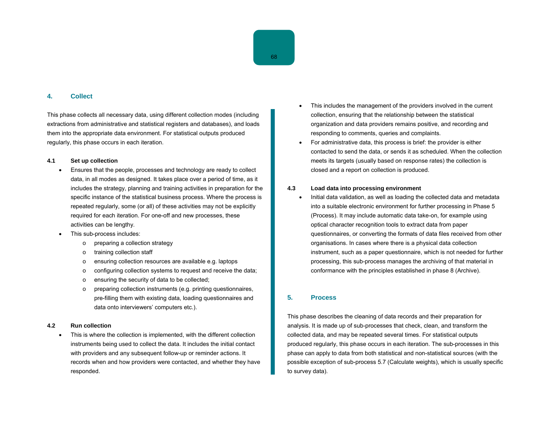#### **4. Collect**

This phase collects all necessary data, using different collection modes (including extractions from administrative and statistical registers and databases), and loads them into the appropriate data environment. For statistical outputs produced regularly, this phase occurs in each iteration.

#### **4.1 Set up collection**

- Ensures that the people, processes and technology are ready to collect data, in all modes as designed. It takes place over a period of time, as it includes the strategy, planning and training activities in preparation for the specific instance of the statistical business process. Where the process is repeated regularly, some (or all) of these activities may not be explicitly required for each iteration. For one-off and new processes, these activities can be lengthy.
- This sub-process includes:
	- <sup>o</sup> preparing a collection strategy
	- <sup>o</sup> training collection staff
	- <sup>o</sup> ensuring collection resources are available e.g. laptops
	- <sup>o</sup> configuring collection systems to request and receive the data;
	- <sup>o</sup> ensuring the security of data to be collected;
	- <sup>o</sup> preparing collection instruments (e.g. printing questionnaires, pre-filling them with existing data, loading questionnaires and data onto interviewers' computers etc.).

## **4.2 Run collection**

• This is where the collection is implemented, with the different collection instruments being used to collect the data. It includes the initial contact with providers and any subsequent follow-up or reminder actions. It records when and how providers were contacted, and whether they have responded.

- This includes the management of the providers involved in the current collection, ensuring that the relationship between the statistical organization and data providers remains positive, and recording and responding to comments, queries and complaints.
- For administrative data, this process is brief: the provider is either contacted to send the data, or sends it as scheduled. When the collection meets its targets (usually based on response rates) the collection is closed and a report on collection is produced.

#### **4.3 Load data into processing environment**

• Initial data validation, as well as loading the collected data and metadata into a suitable electronic environment for further processing in Phase 5 (Process). It may include automatic data take-on, for example using optical character recognition tools to extract data from paper questionnaires, or converting the formats of data files received from other organisations. In cases where there is a physical data collection instrument, such as a paper questionnaire, which is not needed for further processing, this sub-process manages the archiving of that material in conformance with the principles established in phase 8 (Archive).

## **5. Process**

This phase describes the cleaning of data records and their preparation for analysis. It is made up of sub-processes that check, clean, and transform the collected data, and may be repeated several times. For statistical outputs produced regularly, this phase occurs in each iteration. The sub-processes in this phase can apply to data from both statistical and non-statistical sources (with the possible exception of sub-process 5.7 (Calculate weights), which is usually specific to survey data).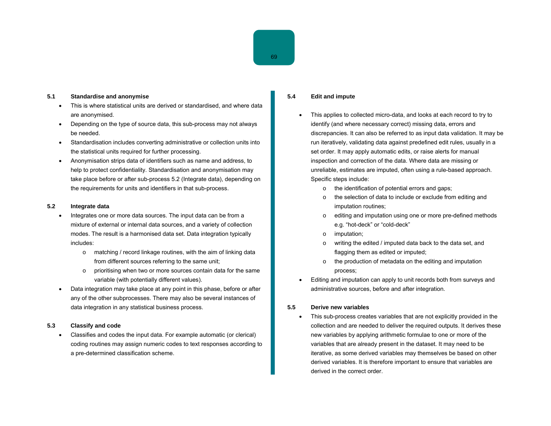#### **5.1 Standardise and anonymise**

- This is where statistical units are derived or standardised, and where data are anonymised.
- Depending on the type of source data, this sub-process may not always be needed.
- Standardisation includes converting administrative or collection units into the statistical units required for further processing.
- Anonymisation strips data of identifiers such as name and address, to help to protect confidentiality. Standardisation and anonymisation may take place before or after sub-process 5.2 (Integrate data), depending on the requirements for units and identifiers in that sub-process.

#### **5.2 Integrate data**

- Integrates one or more data sources. The input data can be from a mixture of external or internal data sources, and a variety of collection modes. The result is a harmonised data set. Data integration typically includes:
	- <sup>o</sup> matching / record linkage routines, with the aim of linking data from different sources referring to the same unit;
	- <sup>o</sup> prioritising when two or more sources contain data for the same variable (with potentially different values).
- Data integration may take place at any point in this phase, before or after any of the other subprocesses. There may also be several instances of data integration in any statistical business process.

## **5.3 Classify and code**

• Classifies and codes the input data. For example automatic (or clerical) coding routines may assign numeric codes to text responses according to a pre-determined classification scheme.

## **5.4 Edit and impute**

- This applies to collected micro-data, and looks at each record to try to identify (and where necessary correct) missing data, errors and discrepancies. It can also be referred to as input data validation. It may be run iteratively, validating data against predefined edit rules, usually in a set order. It may apply automatic edits, or raise alerts for manual inspection and correction of the data. Where data are missing or unreliable, estimates are imputed, often using a rule-based approach. Specific steps include:
	- <sup>o</sup> the identification of potential errors and gaps;
	- <sup>o</sup> the selection of data to include or exclude from editing and imputation routines;
	- <sup>o</sup> editing and imputation using one or more pre-defined methods e.g. "hot-deck" or "cold-deck"
	- <sup>o</sup> imputation;
	- <sup>o</sup> writing the edited / imputed data back to the data set, and flagging them as edited or imputed;
	- <sup>o</sup> the production of metadata on the editing and imputation process;
- Editing and imputation can apply to unit records both from surveys and administrative sources, before and after integration.

#### **5.5 Derive new variables**

• This sub-process creates variables that are not explicitly provided in the collection and are needed to deliver the required outputs. It derives these new variables by applying arithmetic formulae to one or more of the variables that are already present in the dataset. It may need to be iterative, as some derived variables may themselves be based on other derived variables. It is therefore important to ensure that variables are derived in the correct order.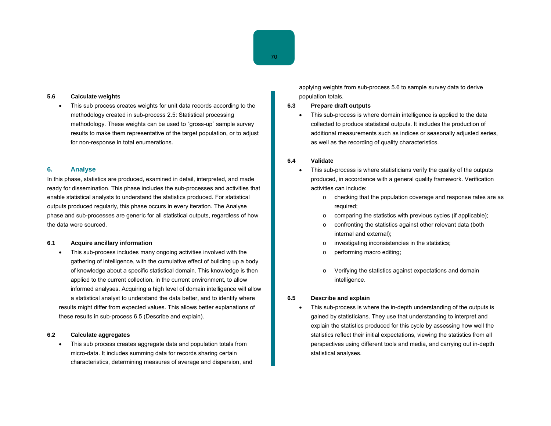#### **5.6 Calculate weights**

• This sub process creates weights for unit data records according to the methodology created in sub-process 2.5: Statistical processing methodology. These weights can be used to "gross-up" sample survey results to make them representative of the target population, or to adjust for non-response in total enumerations.

#### **6. Analyse**

In this phase, statistics are produced, examined in detail, interpreted, and made ready for dissemination. This phase includes the sub-processes and activities that enable statistical analysts to understand the statistics produced. For statistical outputs produced regularly, this phase occurs in every iteration. The Analyse phase and sub-processes are generic for all statistical outputs, regardless of how the data were sourced.

#### **6.1 Acquire ancillary information**

• This sub-process includes many ongoing activities involved with the gathering of intelligence, with the cumulative effect of building up a body of knowledge about a specific statistical domain. This knowledge is then applied to the current collection, in the current environment, to allow informed analyses. Acquiring a high level of domain intelligence will allow a statistical analyst to understand the data better, and to identify where results might differ from expected values. This allows better explanations of these results in sub-process 6.5 (Describe and explain).

#### **6.2 Calculate aggregates**

This sub process creates aggregate data and population totals from micro-data. It includes summing data for records sharing certain characteristics, determining measures of average and dispersion, and applying weights from sub-process 5.6 to sample survey data to derive population totals.

#### **6.3 Prepare draft outputs**

This sub-process is where domain intelligence is applied to the data collected to produce statistical outputs. It includes the production of additional measurements such as indices or seasonally adjusted series, as well as the recording of quality characteristics.

#### **6.4 Validate**

- This sub-process is where statisticians verify the quality of the outputs produced, in accordance with a general quality framework. Verification activities can include:
	- <sup>o</sup> checking that the population coverage and response rates are as required;
	- <sup>o</sup> comparing the statistics with previous cycles (if applicable);
	- <sup>o</sup> confronting the statistics against other relevant data (both internal and external);
	- <sup>o</sup> investigating inconsistencies in the statistics;
	- <sup>o</sup> performing macro editing;
	- <sup>o</sup> Verifying the statistics against expectations and domain intelligence.

#### **6.5 Describe and explain**

This sub-process is where the in-depth understanding of the outputs is gained by statisticians. They use that understanding to interpret and explain the statistics produced for this cycle by assessing how well the statistics reflect their initial expectations, viewing the statistics from all perspectives using different tools and media, and carrying out in-depth statistical analyses.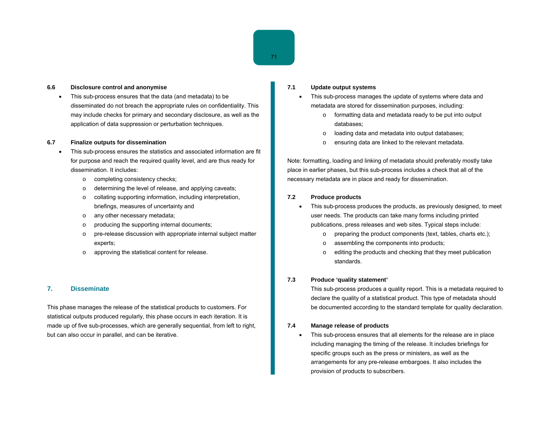#### **6.6 Disclosure control and anonymise**

• This sub-process ensures that the data (and metadata) to be disseminated do not breach the appropriate rules on confidentiality. This may include checks for primary and secondary disclosure, as well as the application of data suppression or perturbation techniques.

#### **6.7 Finalize outputs for dissemination**

- This sub-process ensures the statistics and associated information are fit for purpose and reach the required quality level, and are thus ready for dissemination. It includes:
	- <sup>o</sup> completing consistency checks;
	- <sup>o</sup> determining the level of release, and applying caveats;
	- <sup>o</sup> collating supporting information, including interpretation, briefings, measures of uncertainty and
	- <sup>o</sup> any other necessary metadata;
	- <sup>o</sup> producing the supporting internal documents;
	- <sup>o</sup> pre-release discussion with appropriate internal subject matter experts;
	- <sup>o</sup> approving the statistical content for release.

## **7. Disseminate**

This phase manages the release of the statistical products to customers. For statistical outputs produced regularly, this phase occurs in each iteration. It is made up of five sub-processes, which are generally sequential, from left to right, but can also occur in parallel, and can be iterative.

### **7.1 Update output systems**

- This sub-process manages the update of systems where data and metadata are stored for dissemination purposes, including:
	- <sup>o</sup> formatting data and metadata ready to be put into output databases;
	- <sup>o</sup> loading data and metadata into output databases;
	- <sup>o</sup> ensuring data are linked to the relevant metadata.

Note: formatting, loading and linking of metadata should preferably mostly take place in earlier phases, but this sub-process includes a check that all of the necessary metadata are in place and ready for dissemination.

#### **7.2 Produce products**

- This sub-process produces the products, as previously designed, to meet user needs. The products can take many forms including printed publications, press releases and web sites. Typical steps include:
	- <sup>o</sup> preparing the product components (text, tables, charts etc.);
	- <sup>o</sup> assembling the components into products;
	- <sup>o</sup> editing the products and checking that they meet publication standards.

#### **7.3 Produce 'quality statement'**

This sub-process produces a quality report. This is a metadata required to declare the quality of a statistical product. This type of metadata should be documented according to the standard template for quality declaration.

#### **7.4 Manage release of products**

• This sub-process ensures that all elements for the release are in place including managing the timing of the release. It includes briefings for specific groups such as the press or ministers, as well as the arrangements for any pre-release embargoes. It also includes the provision of products to subscribers.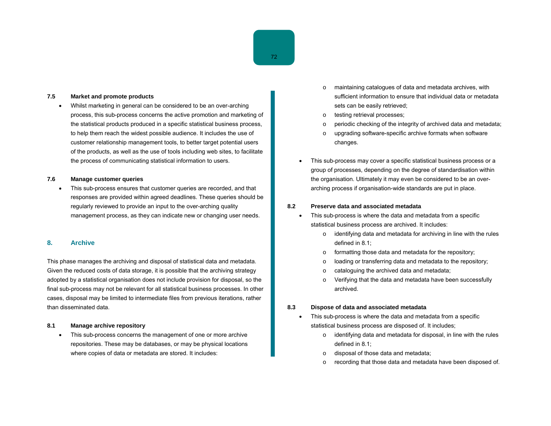#### **7.5 Market and promote products**

• Whilst marketing in general can be considered to be an over-arching process, this sub-process concerns the active promotion and marketing of the statistical products produced in a specific statistical business process, to help them reach the widest possible audience. It includes the use of customer relationship management tools, to better target potential users of the products, as well as the use of tools including web sites, to facilitate the process of communicating statistical information to users.

#### **7.6 Manage customer queries**

• This sub-process ensures that customer queries are recorded, and that responses are provided within agreed deadlines. These queries should be regularly reviewed to provide an input to the over-arching quality management process, as they can indicate new or changing user needs.

#### **8. Archive**

This phase manages the archiving and disposal of statistical data and metadata. Given the reduced costs of data storage, it is possible that the archiving strategy adopted by a statistical organisation does not include provision for disposal, so the final sub-process may not be relevant for all statistical business processes. In other cases, disposal may be limited to intermediate files from previous iterations, rather than disseminated data.

#### **8.1 Manage archive repository**

• This sub-process concerns the management of one or more archive repositories. These may be databases, or may be physical locations where copies of data or metadata are stored. It includes:

- <sup>o</sup> maintaining catalogues of data and metadata archives, with sufficient information to ensure that individual data or metadata sets can be easily retrieved;
- <sup>o</sup> testing retrieval processes;
- <sup>o</sup> periodic checking of the integrity of archived data and metadata;
- <sup>o</sup> upgrading software-specific archive formats when software changes.
- This sub-process may cover a specific statistical business process or a group of processes, depending on the degree of standardisation within the organisation. Ultimately it may even be considered to be an overarching process if organisation-wide standards are put in place.

#### **8.2 Preserve data and associated metadata**

- This sub-process is where the data and metadata from a specific statistical business process are archived. It includes:
	- <sup>o</sup> identifying data and metadata for archiving in line with the rules defined in 8.1;
	- <sup>o</sup> formatting those data and metadata for the repository;
	- <sup>o</sup> loading or transferring data and metadata to the repository;
	- <sup>o</sup> cataloguing the archived data and metadata;
	- <sup>o</sup> Verifying that the data and metadata have been successfully archived.

#### **8.3 Dispose of data and associated metadata**

- This sub-process is where the data and metadata from a specific statistical business process are disposed of. It includes;
	- <sup>o</sup> identifying data and metadata for disposal, in line with the rules defined in 8.1;
	- <sup>o</sup> disposal of those data and metadata;
	- o recording that those data and metadata have been disposed of.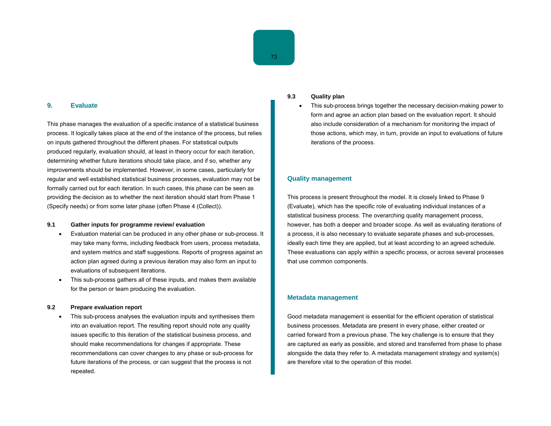#### **9. Evaluate**

This phase manages the evaluation of a specific instance of a statistical business process. It logically takes place at the end of the instance of the process, but relies on inputs gathered throughout the different phases. For statistical outputs produced regularly, evaluation should, at least in theory occur for each iteration, determining whether future iterations should take place, and if so, whether any improvements should be implemented. However, in some cases, particularly for regular and well established statistical business processes, evaluation may not be formally carried out for each iteration. In such cases, this phase can be seen as providing the decision as to whether the next iteration should start from Phase 1 (Specify needs) or from some later phase (often Phase 4 (Collect)).

#### **9.1 Gather inputs for programme review/ evaluation**

- Evaluation material can be produced in any other phase or sub-process. It may take many forms, including feedback from users, process metadata, and system metrics and staff suggestions. Reports of progress against an action plan agreed during a previous iteration may also form an input to evaluations of subsequent iterations.
- This sub-process gathers all of these inputs, and makes them available for the person or team producing the evaluation.

#### **9.2 Prepare evaluation report**

• This sub-process analyses the evaluation inputs and synthesises them into an evaluation report. The resulting report should note any quality issues specific to this iteration of the statistical business process, and should make recommendations for changes if appropriate. These recommendations can cover changes to any phase or sub-process for future iterations of the process, or can suggest that the process is not repeated.

#### **9.3 Quality plan**

• This sub-process brings together the necessary decision-making power to form and agree an action plan based on the evaluation report. It should also include consideration of a mechanism for monitoring the impact of those actions, which may, in turn, provide an input to evaluations of future iterations of the process.

## **Quality management**

This process is present throughout the model. It is closely linked to Phase 9 (Evaluate), which has the specific role of evaluating individual instances of a statistical business process. The overarching quality management process, however, has both a deeper and broader scope. As well as evaluating iterations of a process, it is also necessary to evaluate separate phases and sub-processes, ideally each time they are applied, but at least according to an agreed schedule. These evaluations can apply within a specific process, or across several processes that use common components.

#### **Metadata management**

Good metadata management is essential for the efficient operation of statistical business processes. Metadata are present in every phase, either created or carried forward from a previous phase. The key challenge is to ensure that they are captured as early as possible, and stored and transferred from phase to phase alongside the data they refer to. A metadata management strategy and system(s) are therefore vital to the operation of this model.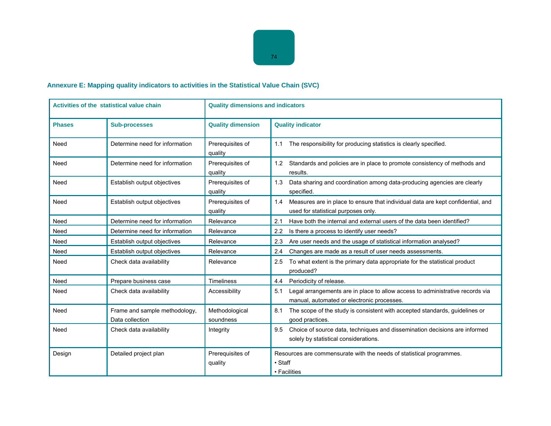# **Annexure E: Mapping quality indicators to activities in the Statistical Value Chain (SVC)**

| Activities of the statistical value chain |                                                  | <b>Quality dimensions and indicators</b> |                                                                                                                                    |  |
|-------------------------------------------|--------------------------------------------------|------------------------------------------|------------------------------------------------------------------------------------------------------------------------------------|--|
| <b>Phases</b>                             | <b>Sub-processes</b>                             | <b>Quality dimension</b>                 | <b>Quality indicator</b>                                                                                                           |  |
| Need                                      | Determine need for information                   | Prerequisites of<br>quality              | The responsibility for producing statistics is clearly specified.<br>1.1                                                           |  |
| Need                                      | Determine need for information                   | Prerequisites of<br>quality              | Standards and policies are in place to promote consistency of methods and<br>1.2<br>results.                                       |  |
| Need                                      | Establish output objectives                      | Prerequisites of<br>quality              | 1.3<br>Data sharing and coordination among data-producing agencies are clearly<br>specified.                                       |  |
| Need                                      | Establish output objectives                      | Prerequisites of<br>quality              | Measures are in place to ensure that individual data are kept confidential, and<br>1.4<br>used for statistical purposes only.      |  |
| Need                                      | Determine need for information                   | Relevance                                | 2.1<br>Have both the internal and external users of the data been identified?                                                      |  |
| Need                                      | Determine need for information                   | Relevance                                | 2.2<br>Is there a process to identify user needs?                                                                                  |  |
| Need                                      | Establish output objectives                      | Relevance                                | Are user needs and the usage of statistical information analysed?<br>2.3                                                           |  |
| Need                                      | Establish output objectives                      | Relevance                                | Changes are made as a result of user needs assessments.<br>2.4                                                                     |  |
| Need                                      | Check data availability                          | Relevance                                | 2.5<br>To what extent is the primary data appropriate for the statistical product<br>produced?                                     |  |
| Need                                      | Prepare business case                            | <b>Timeliness</b>                        | Periodicity of release.<br>4.4                                                                                                     |  |
| Need                                      | Check data availability                          | Accessibility                            | Legal arrangements are in place to allow access to administrative records via<br>5.1<br>manual, automated or electronic processes. |  |
| Need                                      | Frame and sample methodology,<br>Data collection | Methodological<br>soundness              | The scope of the study is consistent with accepted standards, guidelines or<br>8.1<br>good practices.                              |  |
| Need                                      | Check data availability                          | Integrity                                | Choice of source data, techniques and dissemination decisions are informed<br>9.5<br>solely by statistical considerations.         |  |
| Design                                    | Detailed project plan                            | Prerequisites of<br>quality              | Resources are commensurate with the needs of statistical programmes.<br>• Staff<br>• Facilities                                    |  |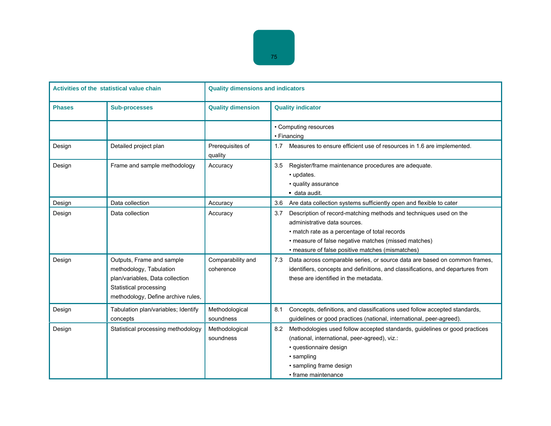| Activities of the statistical value chain |                                                                                                                                                         | <b>Quality dimensions and indicators</b> |                                                                                                                                                                                                                                                                       |  |  |
|-------------------------------------------|---------------------------------------------------------------------------------------------------------------------------------------------------------|------------------------------------------|-----------------------------------------------------------------------------------------------------------------------------------------------------------------------------------------------------------------------------------------------------------------------|--|--|
| <b>Phases</b>                             | <b>Sub-processes</b>                                                                                                                                    | <b>Quality dimension</b>                 | <b>Quality indicator</b>                                                                                                                                                                                                                                              |  |  |
|                                           |                                                                                                                                                         |                                          | • Computing resources<br>• Financing                                                                                                                                                                                                                                  |  |  |
| Design                                    | Detailed project plan                                                                                                                                   | Prerequisites of<br>quality              | Measures to ensure efficient use of resources in 1.6 are implemented.<br>1.7                                                                                                                                                                                          |  |  |
| Design                                    | Frame and sample methodology                                                                                                                            | Accuracy                                 | Register/frame maintenance procedures are adequate.<br>3.5<br>• updates.<br>• quality assurance<br>data audit.                                                                                                                                                        |  |  |
| Design                                    | Data collection                                                                                                                                         | Accuracy                                 | Are data collection systems sufficiently open and flexible to cater<br>3.6                                                                                                                                                                                            |  |  |
| Design                                    | Data collection                                                                                                                                         | Accuracy                                 | Description of record-matching methods and techniques used on the<br>3.7<br>administrative data sources.<br>• match rate as a percentage of total records<br>• measure of false negative matches (missed matches)<br>• measure of false positive matches (mismatches) |  |  |
| Design                                    | Outputs, Frame and sample<br>methodology, Tabulation<br>plan/variables, Data collection<br>Statistical processing<br>methodology, Define archive rules, | Comparability and<br>coherence           | Data across comparable series, or source data are based on common frames,<br>7.3<br>identifiers, concepts and definitions, and classifications, and departures from<br>these are identified in the metadata.                                                          |  |  |
| Design                                    | Tabulation plan/variables; Identify<br>concepts                                                                                                         | Methodological<br>soundness              | Concepts, definitions, and classifications used follow accepted standards,<br>8.1<br>guidelines or good practices (national, international, peer-agreed).                                                                                                             |  |  |
| Design                                    | Statistical processing methodology                                                                                                                      | Methodological<br>soundness              | Methodologies used follow accepted standards, guidelines or good practices<br>8.2<br>(national, international, peer-agreed), viz.:<br>· questionnaire design<br>• sampling<br>· sampling frame design<br>• frame maintenance                                          |  |  |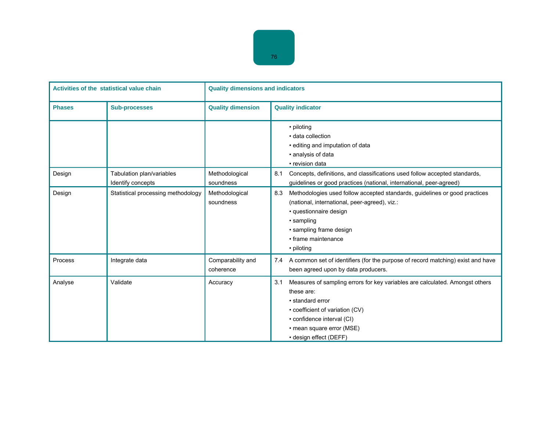| Activities of the statistical value chain |                                                | <b>Quality dimensions and indicators</b> |                                                                                                                                                                                                                                               |  |
|-------------------------------------------|------------------------------------------------|------------------------------------------|-----------------------------------------------------------------------------------------------------------------------------------------------------------------------------------------------------------------------------------------------|--|
| <b>Phases</b>                             | <b>Sub-processes</b>                           | <b>Quality dimension</b>                 | <b>Quality indicator</b>                                                                                                                                                                                                                      |  |
|                                           |                                                |                                          | • piloting<br>· data collection<br>· editing and imputation of data<br>• analysis of data<br>• revision data                                                                                                                                  |  |
| Design                                    | Tabulation plan/variables<br>Identify concepts | Methodological<br>soundness              | 8.1<br>Concepts, definitions, and classifications used follow accepted standards,<br>guidelines or good practices (national, international, peer-agreed)                                                                                      |  |
| Design                                    | Statistical processing methodology             | Methodological<br>soundness              | Methodologies used follow accepted standards, guidelines or good practices<br>8.3<br>(national, international, peer-agreed), viz.:<br>· questionnaire design<br>• sampling<br>• sampling frame design<br>• frame maintenance<br>• piloting    |  |
| Process                                   | Integrate data                                 | Comparability and<br>coherence           | A common set of identifiers (for the purpose of record matching) exist and have<br>7.4<br>been agreed upon by data producers.                                                                                                                 |  |
| Analyse                                   | Validate                                       | Accuracy                                 | Measures of sampling errors for key variables are calculated. Amongst others<br>3.1<br>these are:<br>• standard error<br>• coefficient of variation (CV)<br>• confidence interval (CI)<br>• mean square error (MSE)<br>• design effect (DEFF) |  |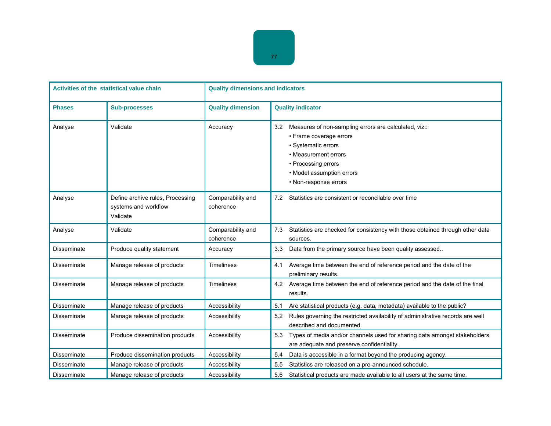| Activities of the statistical value chain |                                                                      | <b>Quality dimensions and indicators</b> |                                                                                                                                                                                                                     |  |
|-------------------------------------------|----------------------------------------------------------------------|------------------------------------------|---------------------------------------------------------------------------------------------------------------------------------------------------------------------------------------------------------------------|--|
| <b>Phases</b>                             | <b>Sub-processes</b>                                                 | <b>Quality dimension</b>                 | <b>Quality indicator</b>                                                                                                                                                                                            |  |
| Analyse                                   | Validate                                                             | Accuracy                                 | Measures of non-sampling errors are calculated, viz.:<br>3.2<br>• Frame coverage errors<br>• Systematic errors<br>• Measurement errors<br>• Processing errors<br>• Model assumption errors<br>• Non-response errors |  |
| Analyse                                   | Define archive rules, Processing<br>systems and workflow<br>Validate | Comparability and<br>coherence           | Statistics are consistent or reconcilable over time<br>7.2                                                                                                                                                          |  |
| Analyse                                   | Validate                                                             | Comparability and<br>coherence           | Statistics are checked for consistency with those obtained through other data<br>7.3<br>sources.                                                                                                                    |  |
| Disseminate                               | Produce quality statement                                            | Accuracy                                 | Data from the primary source have been quality assessed<br>3.3                                                                                                                                                      |  |
| Disseminate                               | Manage release of products                                           | <b>Timeliness</b>                        | Average time between the end of reference period and the date of the<br>4.1<br>preliminary results.                                                                                                                 |  |
| Disseminate                               | Manage release of products                                           | <b>Timeliness</b>                        | Average time between the end of reference period and the date of the final<br>4.2<br>results.                                                                                                                       |  |
| <b>Disseminate</b>                        | Manage release of products                                           | Accessibility                            | Are statistical products (e.g. data, metadata) available to the public?<br>5.1                                                                                                                                      |  |
| Disseminate                               | Manage release of products                                           | Accessibility                            | Rules governing the restricted availability of administrative records are well<br>5.2<br>described and documented.                                                                                                  |  |
| Disseminate                               | Produce dissemination products                                       | Accessibility                            | Types of media and/or channels used for sharing data amongst stakeholders<br>5.3<br>are adequate and preserve confidentiality.                                                                                      |  |
| Disseminate                               | Produce dissemination products                                       | Accessibility                            | Data is accessible in a format beyond the producing agency.<br>5.4                                                                                                                                                  |  |
| Disseminate                               | Manage release of products                                           | Accessibility                            | 5.5<br>Statistics are released on a pre-announced schedule.                                                                                                                                                         |  |
| <b>Disseminate</b>                        | Manage release of products                                           | Accessibility                            | 5.6<br>Statistical products are made available to all users at the same time.                                                                                                                                       |  |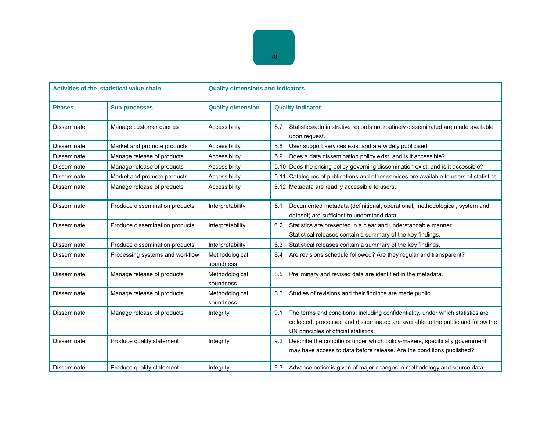| <b>Activities of the statistical value chain</b> |                                 | <b>Quality dimensions and indicators</b> |                                                                                                                                                                                                                     |  |  |
|--------------------------------------------------|---------------------------------|------------------------------------------|---------------------------------------------------------------------------------------------------------------------------------------------------------------------------------------------------------------------|--|--|
| <b>Phases</b>                                    | <b>Sub-processes</b>            | <b>Quality dimension</b>                 | <b>Quality indicator</b>                                                                                                                                                                                            |  |  |
| Disseminate                                      | Manage customer queries         | Accessibility                            | Statistics/administrative records not routinely disseminated are made available<br>5.7<br>upon request.                                                                                                             |  |  |
| Disseminate                                      | Market and promote products     | Accessibility                            | 5.8<br>User support services exist and are widely publicised.                                                                                                                                                       |  |  |
| <b>Disseminate</b>                               | Manage release of products      | Accessibility                            | Does a data dissemination policy exist, and is it accessible?<br>5.9                                                                                                                                                |  |  |
| Disseminate                                      | Manage release of products      | Accessibility                            | 5.10 Does the pricing policy governing dissemination exist, and is it accessible?                                                                                                                                   |  |  |
| Disseminate                                      | Market and promote products     | Accessibility                            | 5.11 Catalogues of publications and other services are available to users of statistics.                                                                                                                            |  |  |
| <b>Disseminate</b>                               | Manage release of products      | Accessibility                            | 5.12 Metadata are readily accessible to users.                                                                                                                                                                      |  |  |
| <b>Disseminate</b>                               | Produce dissemination products  | Interpretability                         | 6.1<br>Documented metadata (definitional, operational, methodological, system and<br>dataset) are sufficient to understand data.                                                                                    |  |  |
| Disseminate                                      | Produce dissemination products  | Interpretability                         | 6.2<br>Statistics are presented in a clear and understandable manner.<br>Statistical releases contain a summary of the key findings.                                                                                |  |  |
| Disseminate                                      | Produce dissemination products  | Interpretability                         | 6.3<br>Statistical releases contain a summary of the key findings.                                                                                                                                                  |  |  |
| Disseminate                                      | Processing systems and workflow | Methodological<br>soundness              | Are revisions schedule followed? Are they regular and transparent?<br>8.4                                                                                                                                           |  |  |
| Disseminate                                      | Manage release of products      | Methodological<br>soundness              | Preliminary and revised data are identified in the metadata.<br>8.5                                                                                                                                                 |  |  |
| Disseminate                                      | Manage release of products      | Methodological<br>soundness              | 8.6<br>Studies of revisions and their findings are made public.                                                                                                                                                     |  |  |
| Disseminate                                      | Manage release of products      | Integrity                                | The terms and conditions, including confidentiality, under which statistics are<br>9.1<br>collected, processed and disseminated are available to the public and follow the<br>UN principles of official statistics. |  |  |
| <b>Disseminate</b>                               | Produce quality statement       | Integrity                                | Describe the conditions under which policy-makers, specifically government,<br>9.2<br>may have access to data before release. Are the conditions published?                                                         |  |  |
| Disseminate                                      | Produce quality statement       | Integrity                                | Advance notice is given of major changes in methodology and source data.<br>9.3                                                                                                                                     |  |  |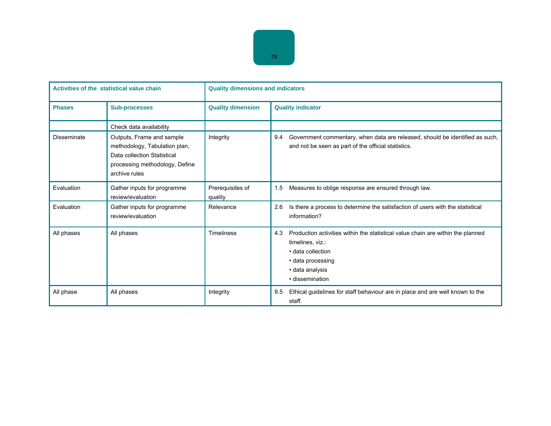| Activities of the statistical value chain |                                                                                                                                              | <b>Quality dimensions and indicators</b> |                                                                                                                                                                                            |  |
|-------------------------------------------|----------------------------------------------------------------------------------------------------------------------------------------------|------------------------------------------|--------------------------------------------------------------------------------------------------------------------------------------------------------------------------------------------|--|
| <b>Phases</b>                             | <b>Sub-processes</b>                                                                                                                         | <b>Quality dimension</b>                 | <b>Quality indicator</b>                                                                                                                                                                   |  |
|                                           | Check data availability                                                                                                                      |                                          |                                                                                                                                                                                            |  |
| Disseminate                               | Outputs, Frame and sample<br>methodology, Tabulation plan,<br>Data collection Statistical<br>processing methodology, Define<br>archive rules | Integrity                                | 9.4<br>Government commentary, when data are released, should be identified as such,<br>and not be seen as part of the official statistics.                                                 |  |
| Evaluation                                | Gather inputs for programme<br>review/evaluation                                                                                             | Prerequisites of<br>quality              | Measures to oblige response are ensured through law.<br>1.5                                                                                                                                |  |
| Evaluation                                | Gather inputs for programme<br>review/evaluation                                                                                             | Relevance                                | Is there a process to determine the satisfaction of users with the statistical<br>2.6<br>information?                                                                                      |  |
| All phases                                | All phases                                                                                                                                   | Timeliness                               | 4.3<br>Production activities within the statistical value chain are within the planned<br>timelines, viz.:<br>• data collection<br>• data processing<br>· data analysis<br>· dissemination |  |
| All phase                                 | All phases                                                                                                                                   | Integrity                                | Ethical guidelines for staff behaviour are in place and are well known to the<br>9.5<br>staff.                                                                                             |  |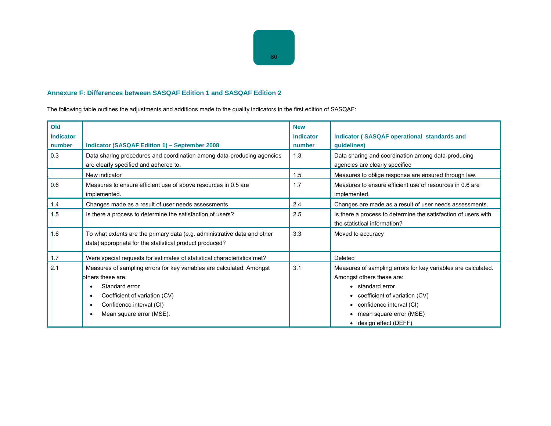# **Annexure F: Differences between SASQAF Edition 1 and SASQAF Edition 2**

The following table outlines the adjustments and additions made to the quality indicators in the first edition of SASQAF:

| Old<br><b>Indicator</b><br>number | Indicator (SASQAF Edition 1) - September 2008                                                                                                                                                                   | <b>New</b><br><b>Indicator</b><br>number | <b>Indicator (SASQAF operational standards and</b><br>guidelines)                                                                                                                                                                              |
|-----------------------------------|-----------------------------------------------------------------------------------------------------------------------------------------------------------------------------------------------------------------|------------------------------------------|------------------------------------------------------------------------------------------------------------------------------------------------------------------------------------------------------------------------------------------------|
| 0.3                               | Data sharing procedures and coordination among data-producing agencies<br>are clearly specified and adhered to.                                                                                                 | 1.3                                      | Data sharing and coordination among data-producing<br>agencies are clearly specified                                                                                                                                                           |
|                                   | New indicator                                                                                                                                                                                                   | 1.5                                      | Measures to oblige response are ensured through law.                                                                                                                                                                                           |
| 0.6                               | Measures to ensure efficient use of above resources in 0.5 are<br>implemented.                                                                                                                                  | 1.7                                      | Measures to ensure efficient use of resources in 0.6 are<br>implemented.                                                                                                                                                                       |
| 1.4                               | Changes made as a result of user needs assessments.                                                                                                                                                             | 2.4                                      | Changes are made as a result of user needs assessments.                                                                                                                                                                                        |
| 1.5                               | Is there a process to determine the satisfaction of users?                                                                                                                                                      | 2.5                                      | Is there a process to determine the satisfaction of users with<br>the statistical information?                                                                                                                                                 |
| 1.6                               | To what extents are the primary data (e.g. administrative data and other<br>data) appropriate for the statistical product produced?                                                                             | 3.3                                      | Moved to accuracy                                                                                                                                                                                                                              |
| 1.7                               | Were special requests for estimates of statistical characteristics met?                                                                                                                                         |                                          | Deleted                                                                                                                                                                                                                                        |
| 2.1                               | Measures of sampling errors for key variables are calculated. Amongst<br>others these are:<br>Standard error<br>Coefficient of variation (CV)<br>٠<br>Confidence interval (CI)<br>٠<br>Mean square error (MSE). | 3.1                                      | Measures of sampling errors for key variables are calculated.<br>Amongst others these are:<br>• standard error<br>• coefficient of variation (CV)<br>• confidence interval (CI)<br>• mean square error (MSE)<br>$\bullet$ design effect (DEFF) |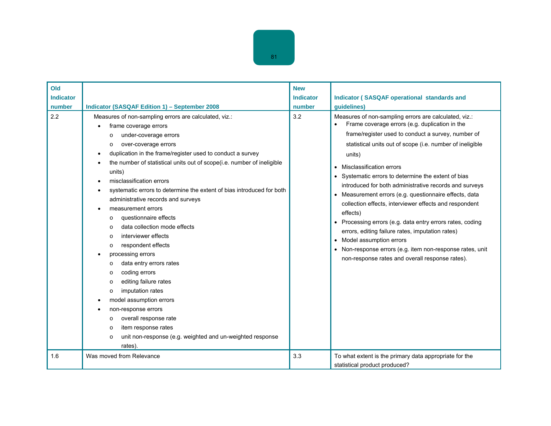| 81 |  |
|----|--|

| Old              |                                                                                                                                                                                                                                                                                                                                                                                                                                                                                                                                                                                                                                                                                                                                                                                                                                                                                                                                                                                                                                                             | <b>New</b>       |                                                                                                                                                                                                                                                                                                                                                                                                                                                                                                                                                                                                                                                                                                                                                                       |
|------------------|-------------------------------------------------------------------------------------------------------------------------------------------------------------------------------------------------------------------------------------------------------------------------------------------------------------------------------------------------------------------------------------------------------------------------------------------------------------------------------------------------------------------------------------------------------------------------------------------------------------------------------------------------------------------------------------------------------------------------------------------------------------------------------------------------------------------------------------------------------------------------------------------------------------------------------------------------------------------------------------------------------------------------------------------------------------|------------------|-----------------------------------------------------------------------------------------------------------------------------------------------------------------------------------------------------------------------------------------------------------------------------------------------------------------------------------------------------------------------------------------------------------------------------------------------------------------------------------------------------------------------------------------------------------------------------------------------------------------------------------------------------------------------------------------------------------------------------------------------------------------------|
| <b>Indicator</b> |                                                                                                                                                                                                                                                                                                                                                                                                                                                                                                                                                                                                                                                                                                                                                                                                                                                                                                                                                                                                                                                             | <b>Indicator</b> | <b>Indicator (SASQAF operational standards and</b>                                                                                                                                                                                                                                                                                                                                                                                                                                                                                                                                                                                                                                                                                                                    |
| number           | <b>Indicator (SASQAF Edition 1) - September 2008</b>                                                                                                                                                                                                                                                                                                                                                                                                                                                                                                                                                                                                                                                                                                                                                                                                                                                                                                                                                                                                        | number           | guidelines)                                                                                                                                                                                                                                                                                                                                                                                                                                                                                                                                                                                                                                                                                                                                                           |
| 2.2              | Measures of non-sampling errors are calculated, viz.:<br>frame coverage errors<br>under-coverage errors<br>$\circ$<br>over-coverage errors<br>O<br>duplication in the frame/register used to conduct a survey<br>$\bullet$<br>the number of statistical units out of scope(i.e. number of ineligible<br>٠<br>units)<br>misclassification errors<br>$\bullet$<br>systematic errors to determine the extent of bias introduced for both<br>٠<br>administrative records and surveys<br>measurement errors<br>$\bullet$<br>questionnaire effects<br>O<br>data collection mode effects<br>$\circ$<br>interviewer effects<br>$\circ$<br>respondent effects<br>O<br>processing errors<br>٠<br>data entry errors rates<br>$\Omega$<br>coding errors<br>O<br>editing failure rates<br>$\circ$<br>imputation rates<br>O<br>model assumption errors<br>non-response errors<br>$\bullet$<br>overall response rate<br>O<br>item response rates<br>$\circ$<br>unit non-response (e.g. weighted and un-weighted response<br>$\circ$<br>rates).<br>Was moved from Relevance | 3.2<br>3.3       | Measures of non-sampling errors are calculated, viz.:<br>Frame coverage errors (e.g. duplication in the<br>frame/register used to conduct a survey, number of<br>statistical units out of scope (i.e. number of ineligible<br>units)<br>Misclassification errors<br>Systematic errors to determine the extent of bias<br>introduced for both administrative records and surveys<br>Measurement errors (e.g. questionnaire effects, data<br>collection effects, interviewer effects and respondent<br>effects)<br>Processing errors (e.g. data entry errors rates, coding<br>errors, editing failure rates, imputation rates)<br>Model assumption errors<br>Non-response errors (e.g. item non-response rates, unit<br>non-response rates and overall response rates). |
| 1.6              |                                                                                                                                                                                                                                                                                                                                                                                                                                                                                                                                                                                                                                                                                                                                                                                                                                                                                                                                                                                                                                                             |                  | To what extent is the primary data appropriate for the<br>statistical product produced?                                                                                                                                                                                                                                                                                                                                                                                                                                                                                                                                                                                                                                                                               |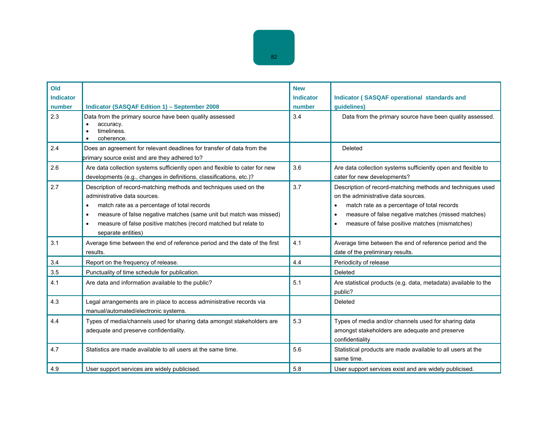| Old<br><b>Indicator</b><br>number | <b>Indicator (SASQAF Edition 1) - September 2008</b>                                                                                                                                                                                                                                                                                                   | <b>New</b><br><b>Indicator</b><br>number | <b>Indicator (SASQAF operational standards and</b><br>guidelines)                                                                                                                                                                                                                               |
|-----------------------------------|--------------------------------------------------------------------------------------------------------------------------------------------------------------------------------------------------------------------------------------------------------------------------------------------------------------------------------------------------------|------------------------------------------|-------------------------------------------------------------------------------------------------------------------------------------------------------------------------------------------------------------------------------------------------------------------------------------------------|
| 2.3                               | Data from the primary source have been quality assessed<br>accuracy.<br>$\bullet$<br>timeliness.<br>$\bullet$<br>coherence.                                                                                                                                                                                                                            | 3.4                                      | Data from the primary source have been quality assessed.                                                                                                                                                                                                                                        |
| 2.4                               | Does an agreement for relevant deadlines for transfer of data from the<br>primary source exist and are they adhered to?                                                                                                                                                                                                                                |                                          | Deleted                                                                                                                                                                                                                                                                                         |
| 2.6                               | Are data collection systems sufficiently open and flexible to cater for new<br>developments (e.g., changes in definitions, classifications, etc.)?                                                                                                                                                                                                     | 3.6                                      | Are data collection systems sufficiently open and flexible to<br>cater for new developments?                                                                                                                                                                                                    |
| 2.7                               | Description of record-matching methods and techniques used on the<br>administrative data sources.<br>match rate as a percentage of total records<br>$\bullet$<br>measure of false negative matches (same unit but match was missed)<br>$\bullet$<br>measure of false positive matches (record matched but relate to<br>$\bullet$<br>separate entities) | 3.7                                      | Description of record-matching methods and techniques used<br>on the administrative data sources.<br>match rate as a percentage of total records<br>$\bullet$<br>measure of false negative matches (missed matches)<br>$\bullet$<br>measure of false positive matches (mismatches)<br>$\bullet$ |
| 3.1                               | Average time between the end of reference period and the date of the first<br>results.                                                                                                                                                                                                                                                                 | 4.1                                      | Average time between the end of reference period and the<br>date of the preliminary results.                                                                                                                                                                                                    |
| 3.4                               | Report on the frequency of release.                                                                                                                                                                                                                                                                                                                    | 4.4                                      | Periodicity of release                                                                                                                                                                                                                                                                          |
| 3.5                               | Punctuality of time schedule for publication.                                                                                                                                                                                                                                                                                                          |                                          | Deleted                                                                                                                                                                                                                                                                                         |
| 4.1                               | Are data and information available to the public?                                                                                                                                                                                                                                                                                                      | 5.1                                      | Are statistical products (e.g. data, metadata) available to the<br>public?                                                                                                                                                                                                                      |
| 4.3                               | Legal arrangements are in place to access administrative records via<br>manual/automated/electronic systems.                                                                                                                                                                                                                                           |                                          | Deleted                                                                                                                                                                                                                                                                                         |
| 4.4                               | Types of media/channels used for sharing data amongst stakeholders are<br>adequate and preserve confidentiality.                                                                                                                                                                                                                                       | 5.3                                      | Types of media and/or channels used for sharing data<br>amongst stakeholders are adequate and preserve<br>confidentiality                                                                                                                                                                       |
| 4.7                               | Statistics are made available to all users at the same time.                                                                                                                                                                                                                                                                                           | 5.6                                      | Statistical products are made available to all users at the<br>same time.                                                                                                                                                                                                                       |
| 4.9                               | User support services are widely publicised.                                                                                                                                                                                                                                                                                                           | 5.8                                      | User support services exist and are widely publicised.                                                                                                                                                                                                                                          |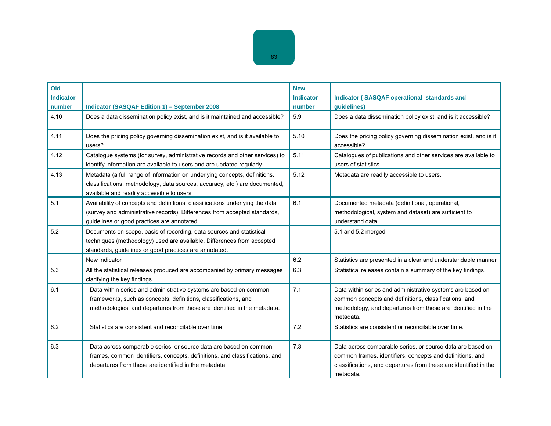| Old<br><b>Indicator</b><br>number | <b>Indicator (SASQAF Edition 1) - September 2008</b>                                                                                                                                                             | <b>New</b><br><b>Indicator</b><br>number | <b>Indicator (SASQAF operational standards and</b><br>guidelines)                                                                                                                                        |
|-----------------------------------|------------------------------------------------------------------------------------------------------------------------------------------------------------------------------------------------------------------|------------------------------------------|----------------------------------------------------------------------------------------------------------------------------------------------------------------------------------------------------------|
| 4.10                              | Does a data dissemination policy exist, and is it maintained and accessible?                                                                                                                                     | 5.9                                      | Does a data dissemination policy exist, and is it accessible?                                                                                                                                            |
| 4.11                              | Does the pricing policy governing dissemination exist, and is it available to<br>users?                                                                                                                          | 5.10                                     | Does the pricing policy governing dissemination exist, and is it<br>accessible?                                                                                                                          |
| 4.12                              | Catalogue systems (for survey, administrative records and other services) to<br>identify information are available to users and are updated regularly.                                                           | 5.11                                     | Catalogues of publications and other services are available to<br>users of statistics.                                                                                                                   |
| 4.13                              | Metadata (a full range of information on underlying concepts, definitions,<br>classifications, methodology, data sources, accuracy, etc.) are documented,<br>available and readily accessible to users           | 5.12                                     | Metadata are readily accessible to users.                                                                                                                                                                |
| 5.1                               | Availability of concepts and definitions, classifications underlying the data<br>(survey and administrative records). Differences from accepted standards,<br>guidelines or good practices are annotated.        | 6.1                                      | Documented metadata (definitional, operational,<br>methodological, system and dataset) are sufficient to<br>understand data.                                                                             |
| 5.2                               | Documents on scope, basis of recording, data sources and statistical<br>techniques (methodology) used are available. Differences from accepted<br>standards, guidelines or good practices are annotated.         |                                          | 5.1 and 5.2 merged                                                                                                                                                                                       |
|                                   | New indicator                                                                                                                                                                                                    | 6.2                                      | Statistics are presented in a clear and understandable manner                                                                                                                                            |
| 5.3                               | All the statistical releases produced are accompanied by primary messages<br>clarifying the key findings.                                                                                                        | 6.3                                      | Statistical releases contain a summary of the key findings.                                                                                                                                              |
| 6.1                               | Data within series and administrative systems are based on common<br>frameworks, such as concepts, definitions, classifications, and<br>methodologies, and departures from these are identified in the metadata. | 7.1                                      | Data within series and administrative systems are based on<br>common concepts and definitions, classifications, and<br>methodology, and departures from these are identified in the<br>metadata.         |
| 6.2                               | Statistics are consistent and reconcilable over time.                                                                                                                                                            | 7.2                                      | Statistics are consistent or reconcilable over time.                                                                                                                                                     |
| 6.3                               | Data across comparable series, or source data are based on common<br>frames, common identifiers, concepts, definitions, and classifications, and<br>departures from these are identified in the metadata.        | 7.3                                      | Data across comparable series, or source data are based on<br>common frames, identifiers, concepts and definitions, and<br>classifications, and departures from these are identified in the<br>metadata. |